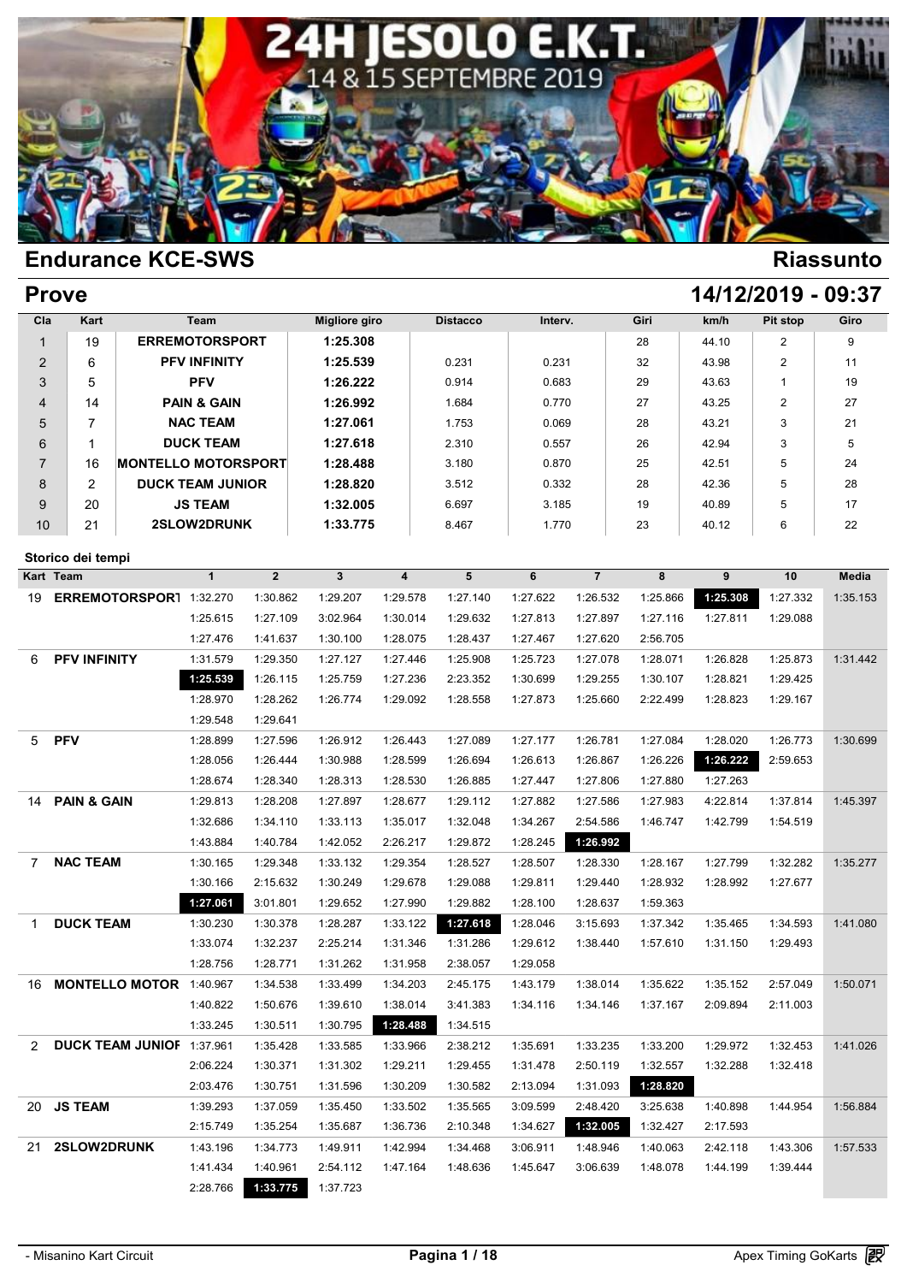

| <b>Prove</b>    |                        |                                   |                         |                |                      |                         |                 |          |                |          |          | 14/12/2019 - 09:37 |          |
|-----------------|------------------------|-----------------------------------|-------------------------|----------------|----------------------|-------------------------|-----------------|----------|----------------|----------|----------|--------------------|----------|
| Cla             | Kart                   |                                   | Team                    |                | <b>Migliore giro</b> |                         | <b>Distacco</b> | Interv.  |                | Giri     | km/h     | Pit stop           | Giro     |
| $\mathbf{1}$    | 19                     |                                   | <b>ERREMOTORSPORT</b>   |                | 1:25.308             |                         |                 |          |                | 28       | 44.10    | 2                  | 9        |
| $\overline{2}$  | 6                      |                                   | <b>PFV INFINITY</b>     |                | 1:25.539             |                         | 0.231           | 0.231    |                | 32       | 43.98    | $\overline{2}$     | 11       |
| 3               | 5                      |                                   | <b>PFV</b>              |                | 1:26.222             |                         | 0.914           | 0.683    |                | 29       | 43.63    | $\mathbf{1}$       | 19       |
| 4               | 14                     |                                   | <b>PAIN &amp; GAIN</b>  |                | 1:26.992             |                         | 1.684           | 0.770    |                | 27       | 43.25    | 2                  | 27       |
| 5               | $\overline{7}$         |                                   | <b>NAC TEAM</b>         |                | 1:27.061             |                         | 1.753           | 0.069    |                | 28       | 43.21    | 3                  | 21       |
| 6               | $\mathbf{1}$           |                                   | <b>DUCK TEAM</b>        |                | 1:27.618             |                         | 2.310           | 0.557    |                | 26       | 42.94    | 3                  | 5        |
| $\overline{7}$  | 16                     | <b>MONTELLO MOTORSPORT</b>        |                         |                | 1:28.488             |                         | 3.180           | 0.870    |                | 25       | 42.51    | 5                  | 24       |
| 8               | $\overline{2}$         |                                   | <b>DUCK TEAM JUNIOR</b> |                | 1:28.820             |                         | 3.512           | 0.332    |                | 28       | 42.36    | 5                  | 28       |
| 9               | 20                     |                                   | <b>JS TEAM</b>          |                | 1:32.005             |                         | 6.697           | 3.185    |                | 19       | 40.89    | 5                  | 17       |
| 10              | 21                     |                                   | 2SLOW2DRUNK             |                | 1:33.775             |                         | 8.467           | 1.770    |                | 23       | 40.12    | 6                  | 22       |
|                 |                        |                                   |                         |                |                      |                         |                 |          |                |          |          |                    |          |
|                 | Storico dei tempi      |                                   |                         |                |                      |                         |                 |          |                |          |          |                    |          |
| Kart Team       |                        |                                   | $\mathbf{1}$            | $\overline{2}$ | $\mathbf{3}$         | $\overline{\mathbf{4}}$ | $5\phantom{1}$  | 6        | $\overline{7}$ | 8        | 9        | 10                 | Media    |
| 19              |                        | ERREMOTORSPOR1 1:32.270           |                         | 1:30.862       | 1:29.207             | 1:29.578                | 1:27.140        | 1:27.622 | 1:26.532       | 1:25.866 | 1:25.308 | 1:27.332           | 1:35.153 |
|                 |                        |                                   | 1:25.615                | 1:27.109       | 3:02.964             | 1:30.014                | 1:29.632        | 1:27.813 | 1:27.897       | 1:27.116 | 1:27.811 | 1:29.088           |          |
|                 |                        |                                   | 1:27.476                | 1:41.637       | 1:30.100             | 1:28.075                | 1:28.437        | 1:27.467 | 1:27.620       | 2:56.705 |          |                    |          |
| 6               | <b>PFV INFINITY</b>    |                                   | 1:31.579                | 1:29.350       | 1:27.127             | 1:27.446                | 1:25.908        | 1:25.723 | 1:27.078       | 1:28.071 | 1:26.828 | 1:25.873           | 1:31.442 |
|                 |                        |                                   | 1:25.539                | 1:26.115       | 1:25.759             | 1:27.236                | 2:23.352        | 1:30.699 | 1:29.255       | 1:30.107 | 1:28.821 | 1:29.425           |          |
|                 |                        |                                   | 1:28.970                | 1:28.262       | 1:26.774             | 1:29.092                | 1:28.558        | 1:27.873 | 1:25.660       | 2:22.499 | 1:28.823 | 1:29.167           |          |
|                 |                        |                                   | 1:29.548                | 1:29.641       |                      |                         |                 |          |                |          |          |                    |          |
| 5               | <b>PFV</b>             |                                   | 1:28.899                | 1:27.596       | 1:26.912             | 1:26.443                | 1:27.089        | 1:27.177 | 1:26.781       | 1:27.084 | 1:28.020 | 1:26.773           | 1:30.699 |
|                 |                        |                                   | 1:28.056                | 1:26.444       | 1:30.988             | 1:28.599                | 1:26.694        | 1:26.613 | 1:26.867       | 1:26.226 | 1:26.222 | 2:59.653           |          |
|                 |                        |                                   | 1:28.674                | 1:28.340       | 1:28.313             | 1:28.530                | 1:26.885        | 1:27.447 | 1:27.806       | 1:27.880 | 1:27.263 |                    |          |
| 14              | <b>PAIN &amp; GAIN</b> |                                   | 1:29.813                | 1:28.208       | 1:27.897             | 1:28.677                | 1:29.112        | 1:27.882 | 1:27.586       | 1:27.983 | 4:22.814 | 1:37.814           | 1:45.397 |
|                 |                        |                                   | 1:32.686                | 1:34.110       | 1:33.113             | 1:35.017                | 1:32.048        | 1:34.267 | 2:54.586       | 1:46.747 | 1:42.799 | 1:54.519           |          |
|                 |                        |                                   | 1:43.884                | 1:40.784       | 1:42.052             | 2:26.217                | 1:29.872        | 1:28.245 | 1:26.992       |          |          |                    |          |
| $7\overline{ }$ | <b>NAC TEAM</b>        |                                   | 1:30.165                | 1:29.348       | 1:33.132             | 1:29.354                | 1:28.527        | 1:28.507 | 1:28.330       | 1:28.167 | 1:27.799 | 1:32.282           | 1:35.277 |
|                 |                        |                                   | 1:30.166                | 2:15.632       | 1:30.249             | 1:29.678                | 1:29.088        | 1:29.811 | 1:29.440       | 1:28.932 | 1:28.992 | 1:27.677           |          |
|                 |                        |                                   | 1:27.061                | 3:01.801       | 1:29.652             | 1:27.990                | 1:29.882        | 1:28.100 | 1:28.637       | 1:59.363 |          |                    |          |
| 1               | <b>DUCK TEAM</b>       |                                   | 1:30.230                | 1:30.378       | 1:28.287             | 1:33.122                | 1:27.618        | 1:28.046 | 3:15.693       | 1:37.342 | 1:35.465 | 1:34.593           | 1:41.080 |
|                 |                        |                                   | 1:33.074                | 1:32.237       | 2:25.214             | 1:31.346                | 1:31.286        | 1:29.612 | 1:38.440       | 1:57.610 | 1:31.150 | 1:29.493           |          |
|                 |                        |                                   | 1:28.756                | 1:28.771       | 1:31.262             | 1:31.958                | 2:38.057        | 1:29.058 |                |          |          |                    |          |
|                 |                        | 16 <b>MONTELLO MOTOR</b> 1:40.967 |                         | 1:34.538       | 1:33.499             | 1:34.203                | 2:45.175        | 1:43.179 | 1:38.014       | 1:35.622 | 1:35.152 | 2:57.049           | 1:50.071 |
|                 |                        |                                   | 1:40.822                | 1:50.676       | 1:39.610             | 1:38.014                | 3:41.383        | 1:34.116 | 1:34.146       | 1:37.167 | 2:09.894 | 2:11.003           |          |
|                 |                        |                                   | 1:33.245                | 1:30.511       | 1:30.795             | 1:28.488                | 1:34.515        |          |                |          |          |                    |          |
| 2               |                        | <b>DUCK TEAM JUNIOF 1:37.961</b>  |                         | 1:35.428       | 1:33.585             | 1:33.966                | 2:38.212        | 1:35.691 | 1:33.235       | 1:33.200 | 1:29.972 | 1:32.453           | 1:41.026 |
|                 |                        |                                   | 2:06.224                | 1:30.371       | 1:31.302             | 1:29.211                | 1:29.455        | 1:31.478 | 2:50.119       | 1:32.557 | 1:32.288 | 1:32.418           |          |
|                 |                        |                                   | 2:03.476                | 1:30.751       | 1:31.596             | 1:30.209                | 1:30.582        | 2:13.094 | 1:31.093       | 1:28.820 |          |                    |          |
|                 | 20 JS TEAM             |                                   | 1:39.293                | 1:37.059       | 1:35.450             | 1:33.502                | 1:35.565        | 3:09.599 | 2:48.420       | 3:25.638 | 1:40.898 | 1:44.954           | 1:56.884 |
|                 |                        |                                   | 2:15.749                | 1:35.254       | 1:35.687             | 1:36.736                | 2:10.348        | 1:34.627 | 1:32.005       | 1:32.427 | 2:17.593 |                    |          |
|                 | 21 2SLOW2DRUNK         |                                   | 1:43.196                | 1:34.773       | 1:49.911             | 1:42.994                | 1:34.468        | 3:06.911 | 1:48.946       | 1:40.063 | 2:42.118 | 1:43.306           | 1:57.533 |
|                 |                        |                                   | 1:41.434                | 1:40.961       | 2:54.112             | 1:47.164                | 1:48.636        | 1:45.647 | 3:06.639       | 1:48.078 | 1:44.199 | 1:39.444           |          |
|                 |                        |                                   | 2:28.766                | 1:33.775       | 1:37.723             |                         |                 |          |                |          |          |                    |          |
|                 |                        |                                   |                         |                |                      |                         |                 |          |                |          |          |                    |          |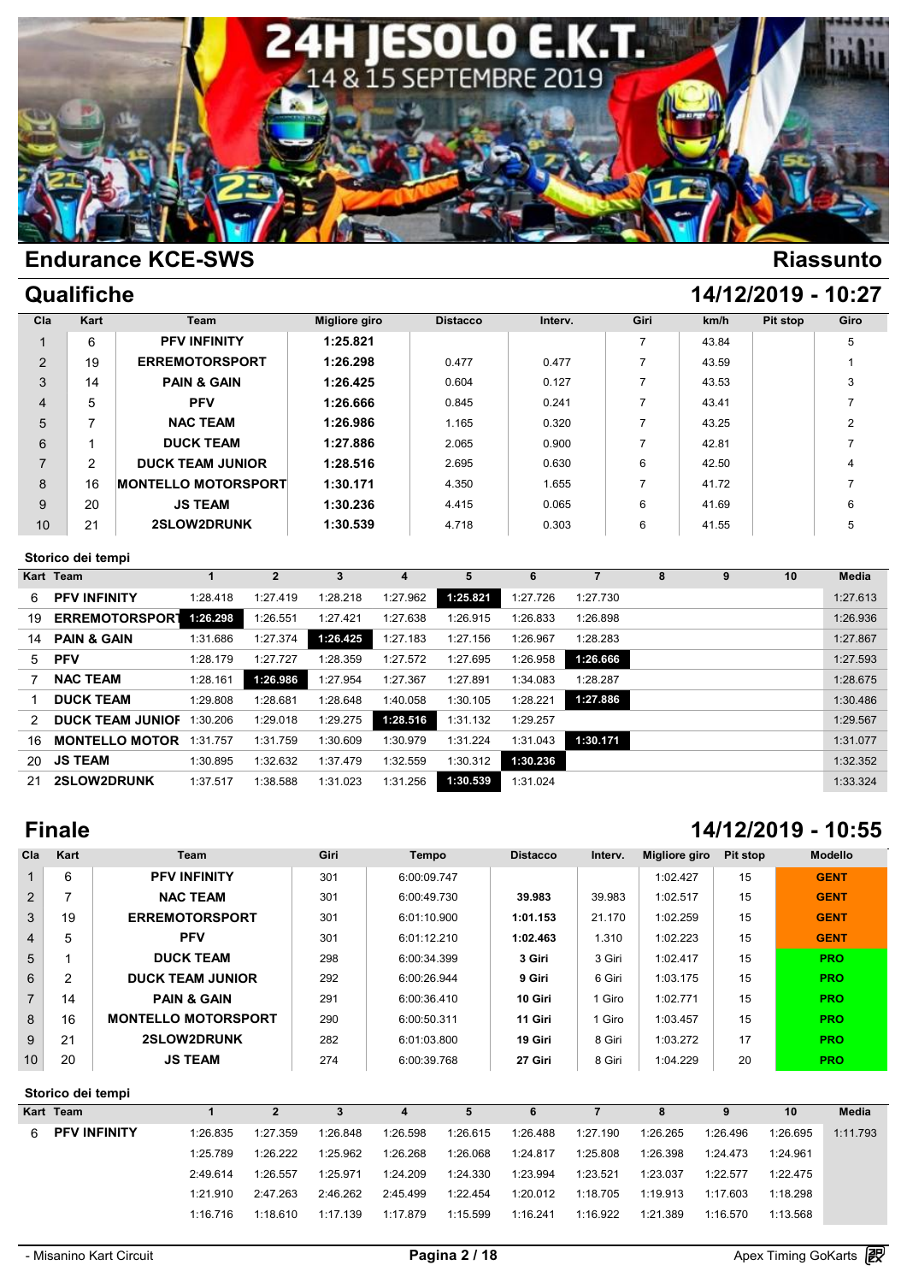

|  | Qualifiche |
|--|------------|
|--|------------|

| Qualifiche | 14/12/2019 - 10:27 |
|------------|--------------------|
|            |                    |

| 1:25.821<br>6<br><b>PFV INFINITY</b><br>$\overline{ }$<br>43.84<br>5<br>$\overline{2}$<br>19<br>1:26.298<br><b>ERREMOTORSPORT</b><br>0.477<br>0.477<br>43.59<br><b>PAIN &amp; GAIN</b><br>1:26.425<br>3<br>14<br>3<br>0.127<br>0.604<br>43.53<br><b>PFV</b><br>1:26.666<br>$\overline{4}$<br>5<br>0.845<br>0.241<br>43.41 | Giro |
|---------------------------------------------------------------------------------------------------------------------------------------------------------------------------------------------------------------------------------------------------------------------------------------------------------------------------|------|
|                                                                                                                                                                                                                                                                                                                           |      |
|                                                                                                                                                                                                                                                                                                                           |      |
|                                                                                                                                                                                                                                                                                                                           |      |
|                                                                                                                                                                                                                                                                                                                           |      |
| 5<br><b>NAC TEAM</b><br>1:26.986<br>2<br>1.165<br>0.320<br>43.25                                                                                                                                                                                                                                                          |      |
| <b>DUCK TEAM</b><br>1:27.886<br>6<br>2.065<br>0.900<br>42.81                                                                                                                                                                                                                                                              |      |
| $\overline{7}$<br>$\overline{2}$<br><b>DUCK TEAM JUNIOR</b><br>1:28.516<br>6<br>2.695<br>0.630<br>42.50<br>4                                                                                                                                                                                                              |      |
| <b>MONTELLO MOTORSPORT</b><br>1:30.171<br>16<br>8<br>1.655<br>4.350<br>7<br>41.72                                                                                                                                                                                                                                         |      |
| <b>JS TEAM</b><br>1:30.236<br>9<br>20<br>6<br>6<br>4.415<br>0.065<br>41.69                                                                                                                                                                                                                                                |      |
| 10<br>21<br>2SLOW2DRUNK<br>1:30.539<br>6<br>5<br>4.718<br>0.303<br>41.55                                                                                                                                                                                                                                                  |      |

### **Storico dei tempi**

|               | Storico dei tempi       |          |          |          |          |          |          |          |   |   |    |          |
|---------------|-------------------------|----------|----------|----------|----------|----------|----------|----------|---|---|----|----------|
|               | Kart Team               |          |          | 3        | 4        | 5        | 6        |          | 8 | 9 | 10 | Media    |
| 6.            | <b>PFV INFINITY</b>     | 1:28.418 | 1:27.419 | 1:28.218 | 1:27.962 | 1:25.821 | 1:27.726 | 1:27.730 |   |   |    | 1:27.613 |
| 19            | <b>ERREMOTORSPORT</b>   | 1:26.298 | 1:26.551 | 1:27.421 | 1:27.638 | 1:26.915 | 1:26.833 | 1:26.898 |   |   |    | 1:26.936 |
| 14            | <b>PAIN &amp; GAIN</b>  | 1:31.686 | 1:27.374 | 1:26.425 | 1:27.183 | 1:27.156 | 1:26.967 | 1:28.283 |   |   |    | 1:27.867 |
| 5             | <b>PFV</b>              | 1:28.179 | 1:27.727 | 1:28.359 | 1:27.572 | 1:27.695 | 1:26.958 | 1:26.666 |   |   |    | 1:27.593 |
|               | <b>NAC TEAM</b>         | 1:28.161 | 1:26.986 | 1:27.954 | 1:27.367 | 1:27.891 | 1:34.083 | 1:28.287 |   |   |    | 1:28.675 |
|               | <b>DUCK TEAM</b>        | 1:29.808 | 1:28.681 | 1:28.648 | 1:40.058 | 1:30.105 | 1:28.221 | 1:27.886 |   |   |    | 1:30.486 |
| $\mathcal{P}$ | <b>DUCK TEAM JUNIOF</b> | 1:30.206 | 1:29.018 | 1:29.275 | 1:28.516 | 1:31.132 | 1:29.257 |          |   |   |    | 1:29.567 |
| 16            | <b>MONTELLO MOTOR</b>   | 1:31.757 | 1:31.759 | 1:30.609 | 1:30.979 | 1:31.224 | 1:31.043 | 1:30.171 |   |   |    | 1:31.077 |
| 20            | <b>JS TEAM</b>          | 1:30.895 | 1:32.632 | 1:37.479 | 1:32.559 | 1:30.312 | 1:30.236 |          |   |   |    | 1:32.352 |
| 21            | 2SLOW2DRUNK             | 1:37.517 | 1:38.588 | 1:31.023 | 1:31.256 | 1:30.539 | 1:31.024 |          |   |   |    | 1:33.324 |

# **Finale 14/12/2019 - 10:55**

| Cla            | Kart | Team                       | Giri | <b>Tempo</b> | <b>Distacco</b> | Interv. | Migliore giro | Pit stop | <b>Modello</b> |
|----------------|------|----------------------------|------|--------------|-----------------|---------|---------------|----------|----------------|
| $\mathbf{1}$   | 6    | <b>PFV INFINITY</b>        | 301  | 6:00:09.747  |                 |         | 1:02.427      | 15       | <b>GENT</b>    |
| 2              | ⇁    | <b>NAC TEAM</b>            | 301  | 6:00:49.730  | 39.983          | 39.983  | 1:02.517      | 15       | <b>GENT</b>    |
| 3              | 19   | <b>ERREMOTORSPORT</b>      | 301  | 6:01:10.900  | 1:01.153        | 21.170  | 1:02.259      | 15       | <b>GENT</b>    |
| $\overline{4}$ | 5    | <b>PFV</b>                 | 301  | 6:01:12.210  | 1:02.463        | 1.310   | 1:02.223      | 15       | <b>GENT</b>    |
| 5              |      | <b>DUCK TEAM</b>           | 298  | 6:00:34.399  | 3 Giri          | 3 Giri  | 1:02.417      | 15       | <b>PRO</b>     |
| 6              | 2    | <b>DUCK TEAM JUNIOR</b>    | 292  | 6:00:26.944  | 9 Giri          | 6 Giri  | 1:03.175      | 15       | <b>PRO</b>     |
| $\overline{7}$ | 14   | <b>PAIN &amp; GAIN</b>     | 291  | 6:00:36.410  | 10 Giri         | l Giro  | 1:02.771      | 15       | <b>PRO</b>     |
| 8              | 16   | <b>MONTELLO MOTORSPORT</b> | 290  | 6:00:50.311  | 11 Giri         | 1 Giro  | 1:03.457      | 15       | <b>PRO</b>     |
| 9              | 21   | 2SLOW2DRUNK                | 282  | 6:01:03.800  | 19 Giri         | 8 Giri  | 1:03.272      | 17       | <b>PRO</b>     |
| 10             | 20   | <b>JS TEAM</b>             | 274  | 6:00:39.768  | 27 Giri         | 8 Giri  | 1:04.229      | 20       | <b>PRO</b>     |

### **Storico dei tempi**

|                                                       |          | 3        | 4        | 5        | 6        |          | 8        | 9        | 10       | <b>Media</b> |
|-------------------------------------------------------|----------|----------|----------|----------|----------|----------|----------|----------|----------|--------------|
| 1:26.835                                              | 1:27.359 | 1:26.848 | 1:26.598 | 1:26.615 | 1:26.488 | 1:27.190 | 1:26.265 | 1:26.496 | 1:26.695 | 1:11.793     |
| 1:25.789                                              | 1:26.222 | 1:25.962 | 1:26.268 | 1:26.068 | 1:24.817 | 1:25.808 | 1:26.398 | 1:24.473 | 1:24.961 |              |
| 2:49.614                                              | 1:26.557 | 1:25.971 | 1:24.209 | 1:24.330 | 1:23.994 | 1:23.521 | 1:23.037 | 1:22.577 | 1:22.475 |              |
| 1:21.910                                              | 2:47.263 | 2:46.262 | 2:45.499 | 1:22.454 | 1:20.012 | 1:18.705 | 1:19.913 | 1:17.603 | 1:18.298 |              |
| 1:16.716                                              | 1:18.610 | 1:17.139 | 1:17.879 | 1:15.599 | 1:16.241 | 1:16.922 | 1:21.389 | 1:16.570 | 1:13.568 |              |
| Storico dei tempi<br>Kart Team<br><b>PFV INFINITY</b> |          |          |          |          |          |          |          |          |          |              |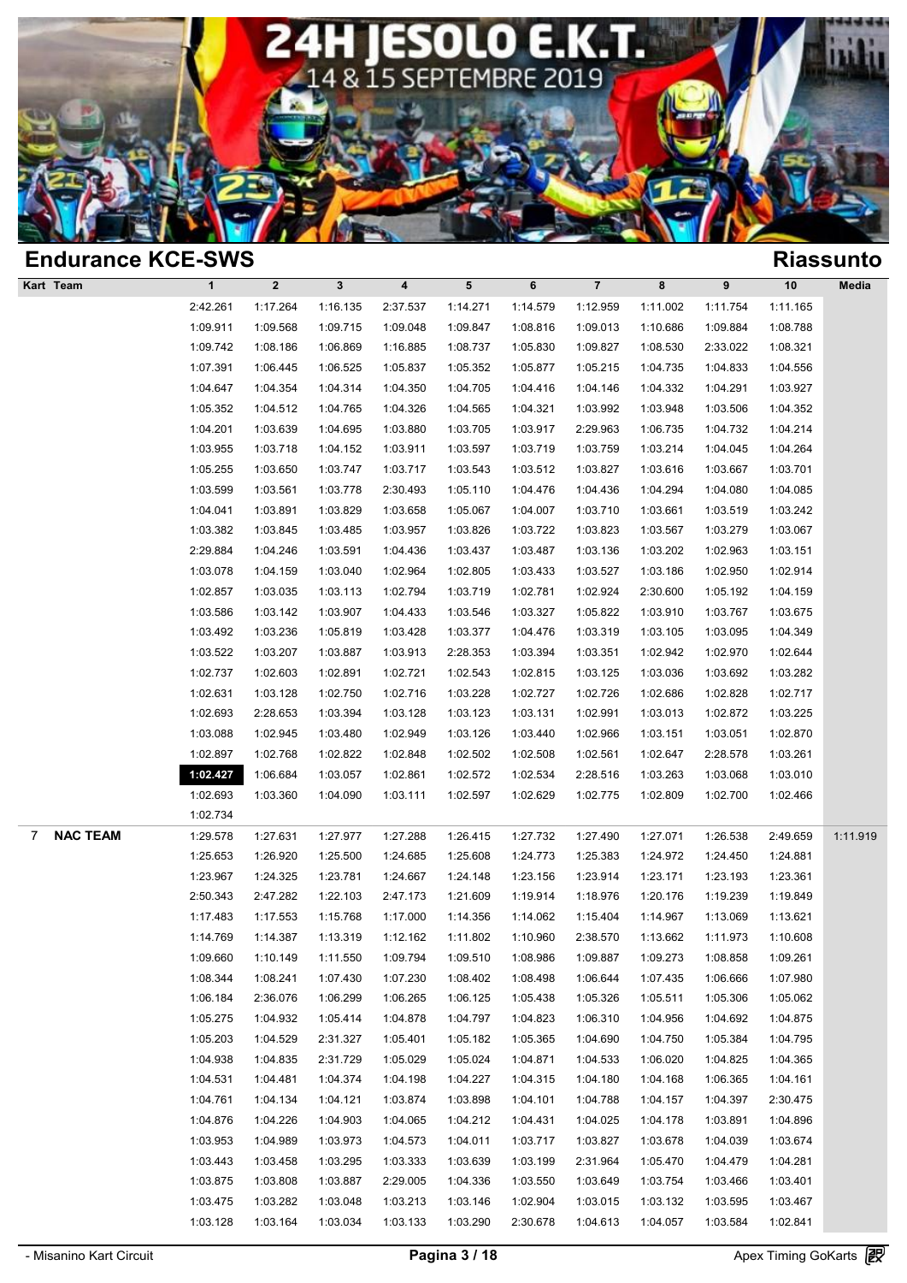

| <b>Endurance KCE-SWS</b> |              |              |              |          |          |          |                |          |          |          | <b>Riassunto</b> |
|--------------------------|--------------|--------------|--------------|----------|----------|----------|----------------|----------|----------|----------|------------------|
| Kart Team                | $\mathbf{1}$ | $\mathbf{2}$ | $\mathbf{3}$ | 4        | 5        | 6        | $\overline{7}$ | 8        | 9        | 10       | Media            |
|                          | 2:42.261     | 1:17.264     | 1:16.135     | 2:37.537 | 1:14.271 | 1:14.579 | 1:12.959       | 1:11.002 | 1:11.754 | 1:11.165 |                  |
|                          | 1:09.911     | 1:09.568     | 1:09.715     | 1:09.048 | 1:09.847 | 1:08.816 | 1:09.013       | 1:10.686 | 1:09.884 | 1:08.788 |                  |
|                          | 1:09.742     | 1:08.186     | 1:06.869     | 1:16.885 | 1:08.737 | 1:05.830 | 1:09.827       | 1:08.530 | 2:33.022 | 1:08.321 |                  |
|                          | 1:07.391     | 1:06.445     | 1:06.525     | 1:05.837 | 1:05.352 | 1:05.877 | 1:05.215       | 1:04.735 | 1:04.833 | 1:04.556 |                  |
|                          | 1:04.647     | 1:04.354     | 1:04.314     | 1:04.350 | 1:04.705 | 1:04.416 | 1:04.146       | 1:04.332 | 1:04.291 | 1:03.927 |                  |
|                          | 1:05.352     | 1:04.512     | 1:04.765     | 1:04.326 | 1:04.565 | 1:04.321 | 1:03.992       | 1:03.948 | 1:03.506 | 1:04.352 |                  |
|                          | 1:04.201     | 1:03.639     | 1:04.695     | 1:03.880 | 1:03.705 | 1:03.917 | 2:29.963       | 1:06.735 | 1:04.732 | 1:04.214 |                  |
|                          | 1:03.955     | 1:03.718     | 1:04.152     | 1:03.911 | 1:03.597 | 1:03.719 | 1:03.759       | 1:03.214 | 1:04.045 | 1:04.264 |                  |
|                          | 1:05.255     | 1:03.650     | 1:03.747     | 1:03.717 | 1:03.543 | 1:03.512 | 1:03.827       | 1:03.616 | 1:03.667 | 1:03.701 |                  |
|                          | 1:03.599     | 1:03.561     | 1:03.778     | 2:30.493 | 1:05.110 | 1:04.476 | 1:04.436       | 1:04.294 | 1:04.080 | 1:04.085 |                  |
|                          | 1:04.041     | 1:03.891     | 1:03.829     | 1:03.658 | 1:05.067 | 1:04.007 | 1:03.710       | 1:03.661 | 1:03.519 | 1:03.242 |                  |
|                          | 1:03.382     | 1:03.845     | 1:03.485     | 1:03.957 | 1:03.826 | 1:03.722 | 1:03.823       | 1:03.567 | 1:03.279 | 1:03.067 |                  |
|                          | 2:29.884     | 1:04.246     | 1:03.591     | 1:04.436 | 1:03.437 | 1:03.487 | 1:03.136       | 1:03.202 | 1:02.963 | 1:03.151 |                  |
|                          | 1:03.078     | 1:04.159     | 1:03.040     | 1:02.964 | 1:02.805 | 1:03.433 | 1:03.527       | 1:03.186 | 1:02.950 | 1:02.914 |                  |
|                          | 1:02.857     | 1:03.035     | 1:03.113     | 1:02.794 | 1:03.719 | 1:02.781 | 1:02.924       | 2:30.600 | 1:05.192 | 1:04.159 |                  |
|                          | 1:03.586     | 1:03.142     | 1:03.907     | 1:04.433 | 1:03.546 | 1:03.327 | 1:05.822       | 1:03.910 | 1:03.767 | 1:03.675 |                  |
|                          | 1:03.492     | 1:03.236     | 1:05.819     | 1:03.428 | 1:03.377 | 1:04.476 | 1:03.319       | 1:03.105 | 1:03.095 | 1:04.349 |                  |
|                          | 1:03.522     | 1:03.207     | 1:03.887     | 1:03.913 | 2:28.353 | 1:03.394 | 1:03.351       | 1:02.942 | 1:02.970 | 1:02.644 |                  |
|                          | 1:02.737     | 1:02.603     | 1:02.891     | 1:02.721 | 1:02.543 | 1:02.815 | 1:03.125       | 1:03.036 | 1:03.692 | 1:03.282 |                  |
|                          | 1:02.631     | 1:03.128     | 1:02.750     | 1:02.716 | 1:03.228 | 1:02.727 | 1:02.726       | 1:02.686 | 1:02.828 | 1:02.717 |                  |
|                          | 1:02.693     | 2:28.653     | 1:03.394     | 1:03.128 | 1:03.123 | 1:03.131 | 1:02.991       | 1:03.013 | 1:02.872 | 1:03.225 |                  |
|                          | 1:03.088     | 1:02.945     | 1:03.480     | 1:02.949 | 1:03.126 | 1:03.440 | 1:02.966       | 1:03.151 | 1:03.051 | 1:02.870 |                  |
|                          | 1:02.897     | 1:02.768     | 1:02.822     | 1:02.848 | 1:02.502 | 1:02.508 | 1:02.561       | 1:02.647 | 2:28.578 | 1:03.261 |                  |
|                          | 1:02.427     | 1:06.684     | 1:03.057     | 1:02.861 | 1:02.572 | 1:02.534 | 2:28.516       | 1:03.263 | 1:03.068 | 1:03.010 |                  |
|                          | 1:02.693     | 1:03.360     | 1:04.090     | 1:03.111 | 1:02.597 | 1:02.629 | 1:02.775       | 1:02.809 | 1:02.700 | 1:02.466 |                  |
|                          | 1:02.734     |              |              |          |          |          |                |          |          |          |                  |
| <b>NAC TEAM</b><br>7     | 1:29.578     | 1:27.631     | 1:27.977     | 1:27.288 | 1:26.415 | 1:27.732 | 1:27.490       | 1:27.071 | 1:26.538 | 2:49.659 | 1:11.919         |
|                          | 1:25.653     | 1:26.920     | 1:25.500     | 1:24.685 | 1:25.608 | 1:24.773 | 1:25.383       | 1:24.972 | 1:24.450 | 1:24.881 |                  |
|                          | 1:23.967     | 1:24.325     | 1:23.781     | 1:24.667 | 1:24.148 | 1:23.156 | 1:23.914       | 1:23.171 | 1:23.193 | 1:23.361 |                  |
|                          | 2:50.343     | 2:47.282     | 1:22.103     | 2:47.173 | 1:21.609 | 1:19.914 | 1:18.976       | 1:20.176 | 1:19.239 | 1:19.849 |                  |
|                          | 1:17.483     | 1:17.553     | 1:15.768     | 1:17.000 | 1:14.356 | 1:14.062 | 1:15.404       | 1:14.967 | 1:13.069 | 1:13.621 |                  |
|                          | 1:14.769     | 1:14.387     | 1:13.319     | 1:12.162 | 1:11.802 | 1:10.960 | 2:38.570       | 1:13.662 | 1:11.973 | 1:10.608 |                  |
|                          | 1:09.660     | 1:10.149     | 1:11.550     | 1:09.794 | 1:09.510 | 1:08.986 | 1:09.887       | 1:09.273 | 1:08.858 | 1:09.261 |                  |
|                          | 1:08.344     | 1:08.241     | 1:07.430     | 1:07.230 | 1:08.402 | 1:08.498 | 1:06.644       | 1:07.435 | 1:06.666 | 1:07.980 |                  |
|                          | 1:06.184     | 2:36.076     | 1:06.299     | 1:06.265 | 1:06.125 | 1:05.438 | 1:05.326       | 1:05.511 | 1:05.306 | 1:05.062 |                  |
|                          | 1:05.275     | 1:04.932     | 1:05.414     | 1:04.878 | 1:04.797 | 1:04.823 | 1:06.310       | 1:04.956 | 1:04.692 | 1:04.875 |                  |
|                          | 1:05.203     | 1:04.529     | 2:31.327     | 1:05.401 | 1:05.182 | 1:05.365 | 1:04.690       | 1:04.750 | 1:05.384 | 1:04.795 |                  |
|                          | 1:04.938     | 1:04.835     | 2:31.729     | 1:05.029 | 1:05.024 | 1:04.871 | 1:04.533       | 1:06.020 | 1:04.825 | 1:04.365 |                  |
|                          | 1:04.531     | 1:04.481     | 1:04.374     | 1:04.198 | 1:04.227 | 1:04.315 | 1:04.180       | 1:04.168 | 1:06.365 | 1:04.161 |                  |
|                          | 1:04.761     | 1:04.134     | 1:04.121     | 1:03.874 | 1:03.898 | 1:04.101 | 1:04.788       | 1:04.157 | 1:04.397 | 2:30.475 |                  |
|                          | 1:04.876     | 1:04.226     | 1:04.903     | 1:04.065 | 1:04.212 | 1:04.431 | 1:04.025       | 1:04.178 | 1:03.891 | 1:04.896 |                  |
|                          | 1:03.953     | 1:04.989     | 1:03.973     | 1:04.573 | 1:04.011 | 1:03.717 | 1:03.827       | 1:03.678 | 1:04.039 | 1:03.674 |                  |
|                          | 1:03.443     | 1:03.458     | 1:03.295     | 1:03.333 | 1:03.639 | 1:03.199 | 2:31.964       | 1:05.470 | 1:04.479 | 1:04.281 |                  |
|                          | 1:03.875     | 1:03.808     | 1:03.887     | 2:29.005 | 1:04.336 | 1:03.550 | 1:03.649       | 1:03.754 | 1:03.466 | 1:03.401 |                  |
|                          | 1:03.475     | 1:03.282     | 1:03.048     | 1:03.213 | 1:03.146 | 1:02.904 | 1:03.015       | 1:03.132 | 1:03.595 | 1:03.467 |                  |
|                          | 1:03.128     | 1:03.164     | 1:03.034     | 1:03.133 | 1:03.290 | 2:30.678 | 1:04.613       | 1:04.057 | 1:03.584 | 1:02.841 |                  |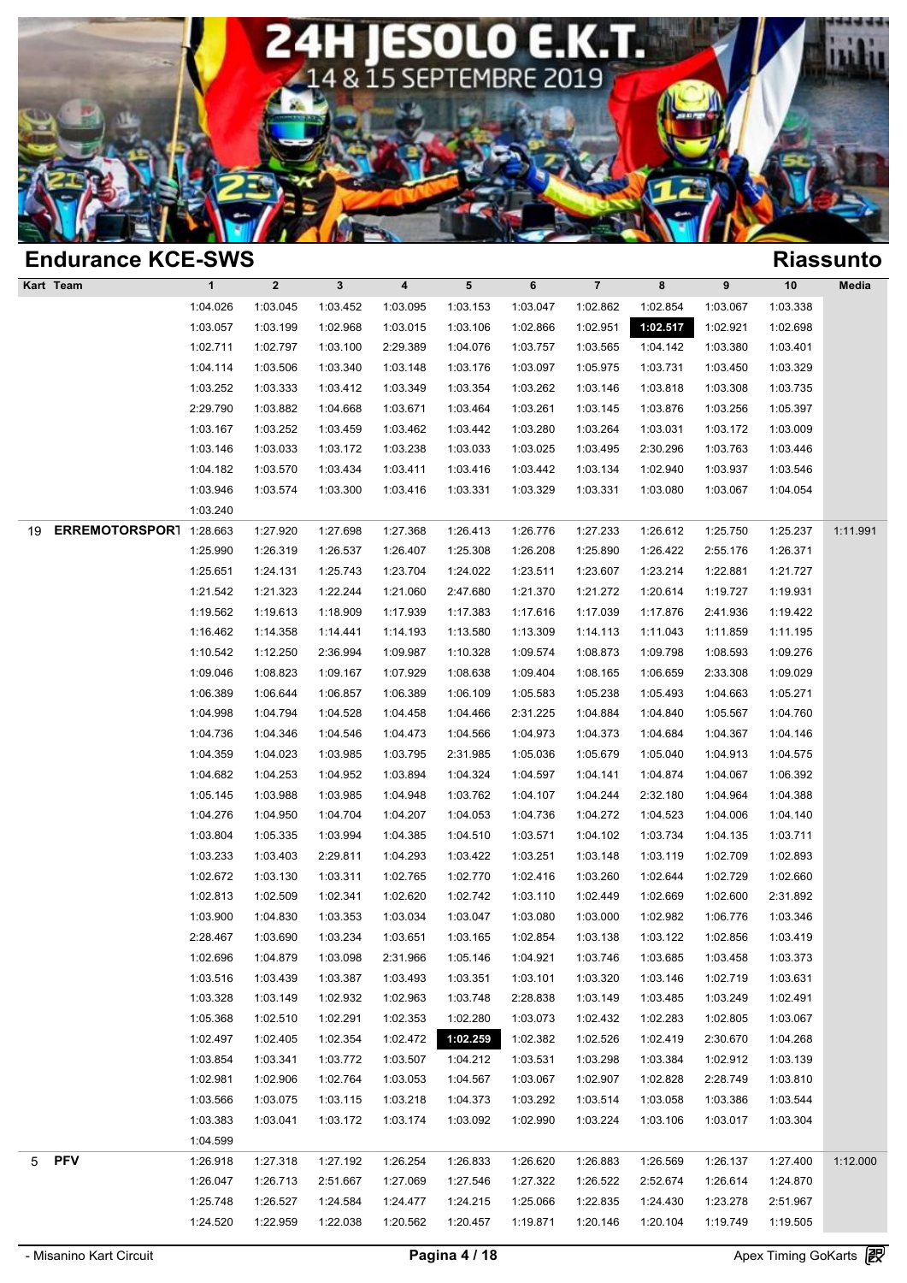

| <b>Endurance KCE-SWS</b>      |              |                  |          |                  |          |          |                |          |          |          | <b>Riassunto</b> |
|-------------------------------|--------------|------------------|----------|------------------|----------|----------|----------------|----------|----------|----------|------------------|
| Kart Team                     | $\mathbf{1}$ | $\boldsymbol{2}$ | 3        | $\boldsymbol{4}$ | 5        | 6        | $\overline{7}$ | 8        | 9        | 10       | Media            |
|                               | 1:04.026     | 1:03.045         | 1:03.452 | 1:03.095         | 1:03.153 | 1:03.047 | 1:02.862       | 1:02.854 | 1:03.067 | 1:03.338 |                  |
|                               | 1:03.057     | 1:03.199         | 1:02.968 | 1:03.015         | 1:03.106 | 1:02.866 | 1:02.951       | 1:02.517 | 1:02.921 | 1:02.698 |                  |
|                               | 1:02.711     | 1:02.797         | 1:03.100 | 2:29.389         | 1:04.076 | 1:03.757 | 1:03.565       | 1:04.142 | 1:03.380 | 1:03.401 |                  |
|                               | 1:04.114     | 1:03.506         | 1:03.340 | 1:03.148         | 1:03.176 | 1:03.097 | 1:05.975       | 1:03.731 | 1:03.450 | 1:03.329 |                  |
|                               | 1:03.252     | 1:03.333         | 1:03.412 | 1:03.349         | 1:03.354 | 1:03.262 | 1:03.146       | 1:03.818 | 1:03.308 | 1:03.735 |                  |
|                               | 2:29.790     | 1:03.882         | 1:04.668 | 1:03.671         | 1:03.464 | 1:03.261 | 1:03.145       | 1:03.876 | 1:03.256 | 1:05.397 |                  |
|                               | 1:03.167     | 1:03.252         | 1:03.459 | 1:03.462         | 1:03.442 | 1:03.280 | 1:03.264       | 1:03.031 | 1:03.172 | 1:03.009 |                  |
|                               | 1:03.146     | 1:03.033         | 1:03.172 | 1:03.238         | 1:03.033 | 1:03.025 | 1:03.495       | 2:30.296 | 1:03.763 | 1:03.446 |                  |
|                               | 1:04.182     | 1:03.570         | 1:03.434 | 1:03.411         | 1:03.416 | 1:03.442 | 1:03.134       | 1:02.940 | 1:03.937 | 1:03.546 |                  |
|                               | 1:03.946     | 1:03.574         | 1:03.300 | 1:03.416         | 1:03.331 | 1:03.329 | 1:03.331       | 1:03.080 | 1:03.067 | 1:04.054 |                  |
|                               | 1:03.240     |                  |          |                  |          |          |                |          |          |          |                  |
| ERREMOTORSPORT 1:28.663<br>19 |              | 1:27.920         | 1:27.698 | 1:27.368         | 1:26.413 | 1:26.776 | 1:27.233       | 1:26.612 | 1:25.750 | 1:25.237 | 1:11.991         |
|                               | 1:25.990     | 1:26.319         | 1:26.537 | 1:26.407         | 1:25.308 | 1:26.208 | 1:25.890       | 1:26.422 | 2:55.176 | 1:26.371 |                  |
|                               | 1:25.651     | 1:24.131         | 1:25.743 | 1:23.704         | 1:24.022 | 1:23.511 | 1:23.607       | 1:23.214 | 1:22.881 | 1:21.727 |                  |
|                               | 1:21.542     | 1:21.323         | 1:22.244 | 1:21.060         | 2:47.680 | 1:21.370 | 1:21.272       | 1:20.614 | 1:19.727 | 1:19.931 |                  |
|                               | 1:19.562     | 1:19.613         | 1:18.909 | 1:17.939         | 1:17.383 | 1:17.616 | 1:17.039       | 1:17.876 | 2:41.936 | 1:19.422 |                  |
|                               | 1:16.462     | 1:14.358         | 1:14.441 | 1:14.193         | 1:13.580 | 1:13.309 | 1:14.113       | 1:11.043 | 1:11.859 | 1:11.195 |                  |
|                               | 1:10.542     | 1:12.250         | 2:36.994 | 1:09.987         | 1:10.328 | 1:09.574 | 1:08.873       | 1:09.798 | 1:08.593 | 1:09.276 |                  |
|                               | 1:09.046     | 1:08.823         | 1:09.167 | 1:07.929         | 1:08.638 | 1:09.404 | 1:08.165       | 1:06.659 | 2:33.308 | 1:09.029 |                  |
|                               | 1:06.389     | 1:06.644         | 1:06.857 | 1:06.389         | 1:06.109 | 1:05.583 | 1:05.238       | 1:05.493 | 1:04.663 | 1:05.271 |                  |
|                               | 1:04.998     | 1:04.794         | 1:04.528 | 1:04.458         | 1:04.466 | 2:31.225 | 1:04.884       | 1:04.840 | 1:05.567 | 1:04.760 |                  |
|                               | 1:04.736     | 1:04.346         | 1:04.546 | 1:04.473         | 1:04.566 | 1:04.973 | 1:04.373       | 1:04.684 | 1:04.367 | 1:04.146 |                  |
|                               | 1:04.359     | 1:04.023         | 1:03.985 | 1:03.795         | 2:31.985 | 1:05.036 | 1:05.679       | 1:05.040 | 1:04.913 | 1:04.575 |                  |
|                               | 1:04.682     | 1:04.253         | 1:04.952 | 1:03.894         | 1:04.324 | 1:04.597 | 1:04.141       | 1:04.874 | 1:04.067 | 1:06.392 |                  |
|                               | 1:05.145     | 1:03.988         | 1:03.985 | 1:04.948         | 1:03.762 | 1:04.107 | 1:04.244       | 2:32.180 | 1:04.964 | 1:04.388 |                  |
|                               | 1:04.276     | 1:04.950         | 1:04.704 | 1:04.207         | 1:04.053 | 1:04.736 | 1:04.272       | 1:04.523 | 1:04.006 | 1:04.140 |                  |
|                               | 1:03.804     | 1:05.335         | 1:03.994 | 1:04.385         | 1:04.510 | 1:03.571 | 1:04.102       | 1:03.734 | 1:04.135 | 1:03.711 |                  |
|                               | 1:03.233     | 1:03.403         | 2:29.811 | 1:04.293         | 1:03.422 | 1:03.251 | 1:03.148       | 1:03.119 | 1:02.709 | 1:02.893 |                  |
|                               | 1:02.672     | 1:03.130         | 1:03.311 | 1:02.765         | 1:02.770 | 1:02.416 | 1:03.260       | 1:02.644 | 1:02.729 | 1:02.660 |                  |
|                               | 1:02.813     | 1:02.509         | 1:02.341 | 1:02.620         | 1:02.742 | 1:03.110 | 1:02.449       | 1:02.669 | 1:02.600 | 2:31.892 |                  |
|                               | 1:03.900     | 1:04.830         | 1:03.353 | 1:03.034         | 1:03.047 | 1:03.080 | 1:03.000       | 1:02.982 | 1:06.776 | 1:03.346 |                  |
|                               | 2:28.467     | 1:03.690         | 1:03.234 | 1:03.651         | 1:03.165 | 1:02.854 | 1:03.138       | 1:03.122 | 1:02.856 | 1:03.419 |                  |
|                               | 1:02.696     | 1:04.879         | 1:03.098 | 2:31.966         | 1:05.146 | 1:04.921 | 1:03.746       | 1:03.685 | 1:03.458 | 1:03.373 |                  |
|                               | 1:03.516     | 1:03.439         | 1:03.387 | 1:03.493         | 1:03.351 | 1:03.101 | 1:03.320       | 1:03.146 | 1:02.719 | 1:03.631 |                  |
|                               | 1:03.328     | 1:03.149         | 1:02.932 | 1:02.963         | 1:03.748 | 2:28.838 | 1:03.149       | 1:03.485 | 1:03.249 | 1:02.491 |                  |
|                               | 1:05.368     | 1:02.510         | 1:02.291 | 1:02.353         | 1:02.280 | 1:03.073 | 1:02.432       | 1:02.283 | 1:02.805 | 1:03.067 |                  |
|                               | 1:02.497     | 1:02.405         | 1:02.354 | 1:02.472         | 1:02.259 | 1:02.382 | 1:02.526       | 1:02.419 | 2:30.670 | 1:04.268 |                  |
|                               | 1:03.854     | 1:03.341         | 1:03.772 | 1:03.507         | 1:04.212 | 1:03.531 | 1:03.298       | 1:03.384 | 1:02.912 | 1:03.139 |                  |
|                               | 1:02.981     | 1:02.906         | 1:02.764 | 1:03.053         | 1:04.567 | 1:03.067 | 1:02.907       | 1:02.828 | 2:28.749 | 1:03.810 |                  |
|                               | 1:03.566     | 1:03.075         | 1:03.115 | 1:03.218         | 1:04.373 | 1:03.292 | 1:03.514       | 1:03.058 | 1:03.386 | 1:03.544 |                  |
|                               | 1:03.383     | 1:03.041         | 1:03.172 | 1:03.174         | 1:03.092 | 1:02.990 | 1:03.224       | 1:03.106 | 1:03.017 | 1:03.304 |                  |
|                               | 1:04.599     |                  |          |                  |          |          |                |          |          |          |                  |
| <b>PFV</b><br>5               | 1:26.918     | 1:27.318         | 1:27.192 | 1:26.254         | 1:26.833 | 1:26.620 | 1:26.883       | 1:26.569 | 1:26.137 | 1:27.400 | 1:12.000         |
|                               | 1:26.047     | 1:26.713         | 2:51.667 | 1:27.069         | 1:27.546 | 1:27.322 | 1:26.522       | 2:52.674 | 1:26.614 | 1:24.870 |                  |
|                               | 1:25.748     | 1:26.527         | 1:24.584 | 1:24.477         | 1:24.215 | 1:25.066 | 1:22.835       | 1:24.430 | 1:23.278 | 2:51.967 |                  |
|                               | 1:24.520     | 1:22.959         | 1:22.038 | 1:20.562         | 1:20.457 | 1:19.871 | 1:20.146       | 1:20.104 | 1:19.749 | 1:19.505 |                  |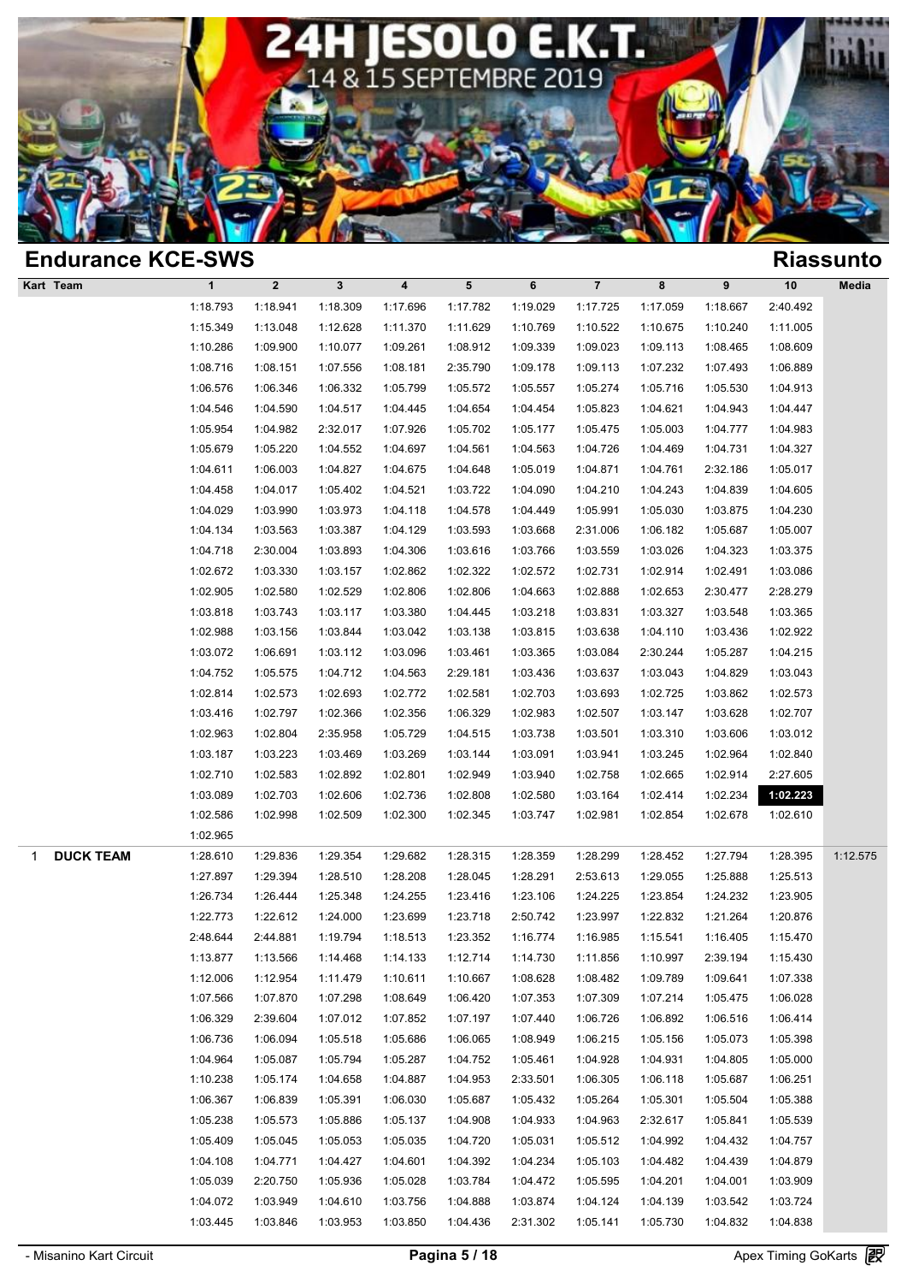

| <b>Endurance KCE-SWS</b> |              |             |              |                         |          |          |                |          |          |          | <b>Riassunto</b> |
|--------------------------|--------------|-------------|--------------|-------------------------|----------|----------|----------------|----------|----------|----------|------------------|
| Kart Team                | $\mathbf{1}$ | $\mathbf 2$ | $\mathbf{3}$ | $\overline{\mathbf{4}}$ | 5        | 6        | $\overline{7}$ | 8        | 9        | 10       | Media            |
|                          | 1:18.793     | 1:18.941    | 1:18.309     | 1:17.696                | 1:17.782 | 1:19.029 | 1:17.725       | 1:17.059 | 1:18.667 | 2:40.492 |                  |
|                          | 1:15.349     | 1:13.048    | 1:12.628     | 1:11.370                | 1:11.629 | 1:10.769 | 1:10.522       | 1:10.675 | 1:10.240 | 1:11.005 |                  |
|                          | 1:10.286     | 1:09.900    | 1:10.077     | 1:09.261                | 1:08.912 | 1:09.339 | 1:09.023       | 1:09.113 | 1:08.465 | 1:08.609 |                  |
|                          | 1:08.716     | 1:08.151    | 1:07.556     | 1:08.181                | 2:35.790 | 1:09.178 | 1:09.113       | 1:07.232 | 1:07.493 | 1:06.889 |                  |
|                          | 1:06.576     | 1:06.346    | 1:06.332     | 1:05.799                | 1:05.572 | 1:05.557 | 1:05.274       | 1:05.716 | 1:05.530 | 1:04.913 |                  |
|                          | 1:04.546     | 1:04.590    | 1:04.517     | 1:04.445                | 1:04.654 | 1:04.454 | 1:05.823       | 1:04.621 | 1:04.943 | 1:04.447 |                  |
|                          | 1:05.954     | 1:04.982    | 2:32.017     | 1:07.926                | 1:05.702 | 1:05.177 | 1:05.475       | 1:05.003 | 1:04.777 | 1:04.983 |                  |
|                          | 1:05.679     | 1:05.220    | 1:04.552     | 1:04.697                | 1:04.561 | 1:04.563 | 1:04.726       | 1:04.469 | 1:04.731 | 1:04.327 |                  |
|                          | 1:04.611     | 1:06.003    | 1:04.827     | 1:04.675                | 1:04.648 | 1:05.019 | 1:04.871       | 1:04.761 | 2:32.186 | 1:05.017 |                  |
|                          | 1:04.458     | 1:04.017    | 1:05.402     | 1:04.521                | 1:03.722 | 1:04.090 | 1:04.210       | 1:04.243 | 1:04.839 | 1:04.605 |                  |
|                          | 1:04.029     | 1:03.990    | 1:03.973     | 1:04.118                | 1:04.578 | 1:04.449 | 1:05.991       | 1:05.030 | 1:03.875 | 1:04.230 |                  |
|                          | 1:04.134     | 1:03.563    | 1:03.387     | 1:04.129                | 1:03.593 | 1:03.668 | 2:31.006       | 1:06.182 | 1:05.687 | 1:05.007 |                  |
|                          | 1:04.718     | 2:30.004    | 1:03.893     | 1:04.306                | 1:03.616 | 1:03.766 | 1:03.559       | 1:03.026 | 1:04.323 | 1:03.375 |                  |
|                          | 1:02.672     | 1:03.330    | 1:03.157     | 1:02.862                | 1:02.322 | 1:02.572 | 1:02.731       | 1:02.914 | 1:02.491 | 1:03.086 |                  |
|                          | 1:02.905     | 1:02.580    | 1:02.529     | 1:02.806                | 1:02.806 | 1:04.663 | 1:02.888       | 1:02.653 | 2:30.477 | 2:28.279 |                  |
|                          | 1:03.818     | 1:03.743    | 1:03.117     | 1:03.380                | 1:04.445 | 1:03.218 | 1:03.831       | 1:03.327 | 1:03.548 | 1:03.365 |                  |
|                          | 1:02.988     | 1:03.156    | 1:03.844     | 1:03.042                | 1:03.138 | 1:03.815 | 1:03.638       | 1:04.110 | 1:03.436 | 1:02.922 |                  |
|                          | 1:03.072     | 1:06.691    | 1:03.112     | 1:03.096                | 1:03.461 | 1:03.365 | 1:03.084       | 2:30.244 | 1:05.287 | 1:04.215 |                  |
|                          | 1:04.752     | 1:05.575    | 1:04.712     | 1:04.563                | 2:29.181 | 1:03.436 | 1:03.637       | 1:03.043 | 1:04.829 | 1:03.043 |                  |
|                          | 1:02.814     | 1:02.573    | 1:02.693     | 1:02.772                | 1:02.581 | 1:02.703 | 1:03.693       | 1:02.725 | 1:03.862 | 1:02.573 |                  |
|                          | 1:03.416     | 1:02.797    | 1:02.366     | 1:02.356                | 1:06.329 | 1:02.983 | 1:02.507       | 1:03.147 | 1:03.628 | 1:02.707 |                  |
|                          | 1:02.963     | 1:02.804    | 2:35.958     | 1:05.729                | 1:04.515 | 1:03.738 | 1:03.501       | 1:03.310 | 1:03.606 | 1:03.012 |                  |
|                          | 1:03.187     | 1:03.223    | 1:03.469     | 1:03.269                | 1:03.144 | 1:03.091 | 1:03.941       | 1:03.245 | 1:02.964 | 1:02.840 |                  |
|                          | 1:02.710     | 1:02.583    | 1:02.892     | 1:02.801                | 1:02.949 | 1:03.940 | 1:02.758       | 1:02.665 | 1:02.914 | 2:27.605 |                  |
|                          | 1:03.089     | 1:02.703    | 1:02.606     | 1:02.736                | 1:02.808 | 1:02.580 | 1:03.164       | 1:02.414 | 1:02.234 | 1:02.223 |                  |
|                          | 1:02.586     | 1:02.998    | 1:02.509     | 1:02.300                | 1:02.345 | 1:03.747 | 1:02.981       | 1:02.854 | 1:02.678 | 1:02.610 |                  |
|                          | 1:02.965     |             |              |                         |          |          |                |          |          |          |                  |
| <b>DUCK TEAM</b><br>1    | 1:28.610     | 1:29.836    | 1:29.354     | 1:29.682                | 1:28.315 | 1:28.359 | 1:28.299       | 1:28.452 | 1:27.794 | 1:28.395 | 1:12.575         |
|                          | 1:27.897     | 1:29.394    | 1:28.510     | 1:28.208                | 1:28.045 | 1:28.291 | 2:53.613       | 1:29.055 | 1:25.888 | 1:25.513 |                  |
|                          | 1:26.734     | 1:26.444    | 1:25.348     | 1:24.255                | 1:23.416 | 1:23.106 | 1:24.225       | 1:23.854 | 1:24.232 | 1:23.905 |                  |
|                          | 1:22.773     | 1:22.612    | 1:24.000     | 1:23.699                | 1:23.718 | 2:50.742 | 1:23.997       | 1:22.832 | 1:21.264 | 1:20.876 |                  |
|                          | 2:48.644     | 2:44.881    | 1:19.794     | 1:18.513                | 1:23.352 | 1:16.774 | 1:16.985       | 1:15.541 | 1:16.405 | 1:15.470 |                  |
|                          | 1:13.877     | 1:13.566    | 1:14.468     | 1:14.133                | 1:12.714 | 1:14.730 | 1:11.856       | 1:10.997 | 2:39.194 | 1:15.430 |                  |
|                          | 1:12.006     | 1:12.954    | 1:11.479     | 1:10.611                | 1:10.667 | 1:08.628 | 1:08.482       | 1:09.789 | 1:09.641 | 1:07.338 |                  |
|                          | 1:07.566     | 1:07.870    | 1:07.298     | 1:08.649                | 1:06.420 | 1:07.353 | 1:07.309       | 1:07.214 | 1:05.475 | 1:06.028 |                  |
|                          | 1:06.329     | 2:39.604    | 1:07.012     | 1:07.852                | 1:07.197 | 1:07.440 | 1:06.726       | 1:06.892 | 1:06.516 | 1:06.414 |                  |
|                          | 1:06.736     | 1:06.094    | 1:05.518     | 1:05.686                | 1:06.065 | 1:08.949 | 1:06.215       | 1:05.156 | 1:05.073 | 1:05.398 |                  |
|                          | 1:04.964     | 1:05.087    | 1:05.794     | 1:05.287                | 1:04.752 | 1:05.461 | 1:04.928       | 1:04.931 | 1:04.805 | 1:05.000 |                  |
|                          | 1:10.238     | 1:05.174    | 1:04.658     | 1:04.887                | 1:04.953 | 2:33.501 | 1:06.305       | 1:06.118 | 1:05.687 | 1:06.251 |                  |
|                          | 1:06.367     | 1:06.839    | 1:05.391     | 1:06.030                | 1:05.687 | 1:05.432 | 1:05.264       | 1:05.301 | 1:05.504 | 1:05.388 |                  |
|                          | 1:05.238     | 1:05.573    | 1:05.886     | 1:05.137                | 1:04.908 | 1:04.933 | 1:04.963       | 2:32.617 | 1:05.841 | 1:05.539 |                  |
|                          | 1:05.409     | 1:05.045    | 1:05.053     | 1:05.035                | 1:04.720 | 1:05.031 | 1:05.512       | 1:04.992 | 1:04.432 | 1:04.757 |                  |
|                          | 1:04.108     | 1:04.771    | 1:04.427     | 1:04.601                | 1:04.392 | 1:04.234 | 1:05.103       | 1:04.482 | 1:04.439 | 1:04.879 |                  |
|                          | 1:05.039     | 2:20.750    | 1:05.936     | 1:05.028                | 1:03.784 | 1:04.472 | 1:05.595       | 1:04.201 | 1:04.001 | 1:03.909 |                  |
|                          | 1:04.072     | 1:03.949    | 1:04.610     | 1:03.756                | 1:04.888 | 1:03.874 | 1:04.124       | 1:04.139 | 1:03.542 | 1:03.724 |                  |
|                          | 1:03.445     | 1:03.846    | 1:03.953     | 1:03.850                | 1:04.436 | 2:31.302 | 1:05.141       | 1:05.730 | 1:04.832 | 1:04.838 |                  |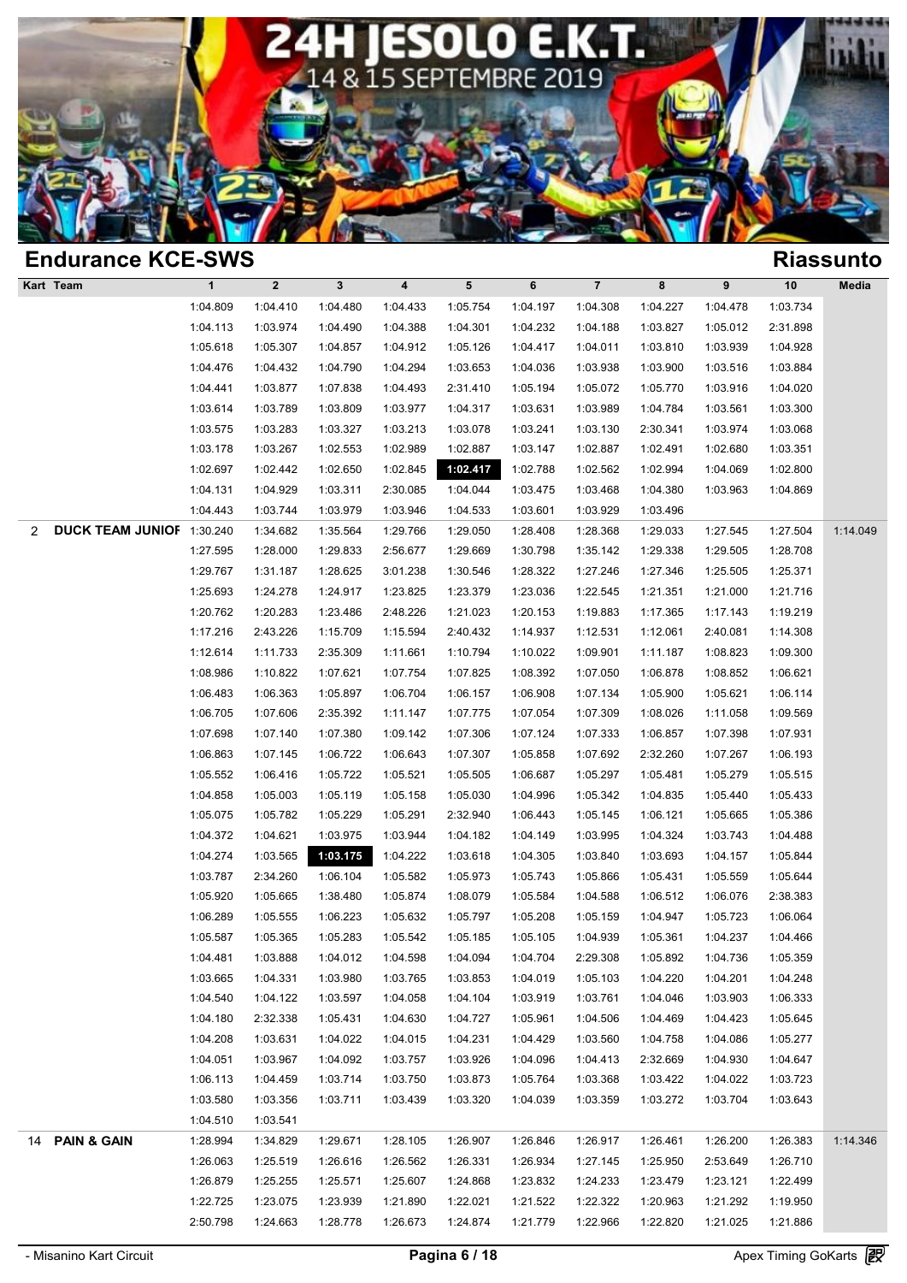

| <b>Endurance KCE-SWS</b>       |              |              |              |           |          |          |                |          |          |          | <b>Riassunto</b> |
|--------------------------------|--------------|--------------|--------------|-----------|----------|----------|----------------|----------|----------|----------|------------------|
| Kart Team                      | $\mathbf{1}$ | $\mathbf{2}$ | $\mathbf{3}$ | $\pmb{4}$ | 5        | 6        | $\overline{7}$ | 8        | 9        | 10       | Media            |
|                                | 1:04.809     | 1:04.410     | 1:04.480     | 1:04.433  | 1:05.754 | 1:04.197 | 1:04.308       | 1:04.227 | 1:04.478 | 1:03.734 |                  |
|                                | 1:04.113     | 1:03.974     | 1:04.490     | 1:04.388  | 1:04.301 | 1:04.232 | 1:04.188       | 1:03.827 | 1:05.012 | 2:31.898 |                  |
|                                | 1:05.618     | 1:05.307     | 1:04.857     | 1:04.912  | 1:05.126 | 1:04.417 | 1:04.011       | 1:03.810 | 1:03.939 | 1:04.928 |                  |
|                                | 1:04.476     | 1:04.432     | 1:04.790     | 1:04.294  | 1:03.653 | 1:04.036 | 1:03.938       | 1:03.900 | 1:03.516 | 1:03.884 |                  |
|                                | 1:04.441     | 1:03.877     | 1:07.838     | 1:04.493  | 2:31.410 | 1:05.194 | 1:05.072       | 1:05.770 | 1:03.916 | 1:04.020 |                  |
|                                | 1:03.614     | 1:03.789     | 1:03.809     | 1:03.977  | 1:04.317 | 1:03.631 | 1:03.989       | 1:04.784 | 1:03.561 | 1:03.300 |                  |
|                                | 1:03.575     | 1:03.283     | 1:03.327     | 1:03.213  | 1:03.078 | 1:03.241 | 1:03.130       | 2:30.341 | 1:03.974 | 1:03.068 |                  |
|                                | 1:03.178     | 1:03.267     | 1:02.553     | 1:02.989  | 1:02.887 | 1:03.147 | 1:02.887       | 1:02.491 | 1:02.680 | 1:03.351 |                  |
|                                | 1:02.697     | 1:02.442     | 1:02.650     | 1:02.845  | 1:02.417 | 1:02.788 | 1:02.562       | 1:02.994 | 1:04.069 | 1:02.800 |                  |
|                                | 1:04.131     | 1:04.929     | 1:03.311     | 2:30.085  | 1:04.044 | 1:03.475 | 1:03.468       | 1:04.380 | 1:03.963 | 1:04.869 |                  |
|                                | 1:04.443     | 1:03.744     | 1:03.979     | 1:03.946  | 1:04.533 | 1:03.601 | 1:03.929       | 1:03.496 |          |          |                  |
| DUCK TEAM JUNIOF 1:30.240<br>2 |              | 1:34.682     | 1:35.564     | 1:29.766  | 1:29.050 | 1:28.408 | 1:28.368       | 1:29.033 | 1:27.545 | 1:27.504 | 1:14.049         |
|                                | 1:27.595     | 1:28.000     | 1:29.833     | 2:56.677  | 1:29.669 | 1:30.798 | 1:35.142       | 1:29.338 | 1:29.505 | 1:28.708 |                  |
|                                | 1:29.767     | 1:31.187     | 1:28.625     | 3:01.238  | 1:30.546 | 1:28.322 | 1:27.246       | 1:27.346 | 1:25.505 | 1:25.371 |                  |
|                                | 1:25.693     | 1:24.278     | 1:24.917     | 1:23.825  | 1:23.379 | 1:23.036 | 1:22.545       | 1:21.351 | 1:21.000 | 1:21.716 |                  |
|                                | 1:20.762     | 1:20.283     | 1:23.486     | 2:48.226  | 1:21.023 | 1:20.153 | 1:19.883       | 1:17.365 | 1:17.143 | 1:19.219 |                  |
|                                | 1:17.216     | 2:43.226     | 1:15.709     | 1:15.594  | 2:40.432 | 1:14.937 | 1:12.531       | 1:12.061 | 2:40.081 | 1:14.308 |                  |
|                                | 1:12.614     | 1:11.733     | 2:35.309     | 1:11.661  | 1:10.794 | 1:10.022 | 1:09.901       | 1:11.187 | 1:08.823 | 1:09.300 |                  |
|                                | 1:08.986     | 1:10.822     | 1:07.621     | 1:07.754  | 1:07.825 | 1:08.392 | 1:07.050       | 1:06.878 | 1:08.852 | 1:06.621 |                  |
|                                | 1:06.483     | 1:06.363     | 1:05.897     | 1:06.704  | 1:06.157 | 1:06.908 | 1:07.134       | 1:05.900 | 1:05.621 | 1:06.114 |                  |
|                                | 1:06.705     | 1:07.606     | 2:35.392     | 1:11.147  | 1:07.775 | 1:07.054 | 1:07.309       | 1:08.026 | 1:11.058 | 1:09.569 |                  |
|                                | 1:07.698     | 1:07.140     | 1:07.380     | 1:09.142  | 1:07.306 | 1:07.124 | 1:07.333       | 1:06.857 | 1:07.398 | 1:07.931 |                  |
|                                | 1:06.863     | 1:07.145     | 1:06.722     | 1:06.643  | 1:07.307 | 1:05.858 | 1:07.692       | 2:32.260 | 1:07.267 | 1:06.193 |                  |
|                                | 1:05.552     | 1:06.416     | 1:05.722     | 1:05.521  | 1:05.505 | 1:06.687 | 1:05.297       | 1:05.481 | 1:05.279 | 1:05.515 |                  |
|                                | 1:04.858     | 1:05.003     | 1:05.119     | 1:05.158  | 1:05.030 | 1:04.996 | 1:05.342       | 1:04.835 | 1:05.440 | 1:05.433 |                  |
|                                | 1:05.075     | 1:05.782     | 1:05.229     | 1:05.291  | 2:32.940 | 1:06.443 | 1:05.145       | 1:06.121 | 1:05.665 | 1:05.386 |                  |
|                                | 1:04.372     | 1:04.621     | 1:03.975     | 1:03.944  | 1:04.182 | 1:04.149 | 1:03.995       | 1:04.324 | 1:03.743 | 1:04.488 |                  |
|                                | 1:04.274     | 1:03.565     | 1:03.175     | 1:04.222  | 1:03.618 | 1:04.305 | 1:03.840       | 1:03.693 | 1:04.157 | 1:05.844 |                  |
|                                | 1:03.787     | 2:34.260     | 1:06.104     | 1:05.582  | 1:05.973 | 1:05.743 | 1:05.866       | 1:05.431 | 1:05.559 | 1:05.644 |                  |
|                                | 1:05.920     | 1:05.665     | 1:38.480     | 1:05.874  | 1:08.079 | 1:05.584 | 1:04.588       | 1:06.512 | 1:06.076 | 2:38.383 |                  |
|                                | 1:06.289     | 1:05.555     | 1:06.223     | 1:05.632  | 1:05.797 | 1:05.208 | 1:05.159       | 1:04.947 | 1:05.723 | 1:06.064 |                  |
|                                | 1:05.587     | 1:05.365     | 1:05.283     | 1:05.542  | 1:05.185 | 1:05.105 | 1:04.939       | 1:05.361 | 1:04.237 | 1:04.466 |                  |
|                                | 1:04.481     | 1:03.888     | 1:04.012     | 1:04.598  | 1:04.094 | 1:04.704 | 2:29.308       | 1:05.892 | 1:04.736 | 1:05.359 |                  |
|                                | 1:03.665     | 1:04.331     | 1:03.980     | 1:03.765  | 1:03.853 | 1:04.019 | 1:05.103       | 1:04.220 | 1:04.201 | 1:04.248 |                  |
|                                | 1:04.540     | 1:04.122     | 1:03.597     | 1:04.058  | 1:04.104 | 1:03.919 | 1:03.761       | 1:04.046 | 1:03.903 | 1:06.333 |                  |
|                                | 1:04.180     | 2:32.338     | 1:05.431     | 1:04.630  | 1:04.727 | 1:05.961 | 1:04.506       | 1:04.469 | 1:04.423 | 1:05.645 |                  |
|                                | 1:04.208     | 1:03.631     | 1:04.022     | 1:04.015  | 1:04.231 | 1:04.429 | 1:03.560       | 1:04.758 | 1:04.086 | 1:05.277 |                  |
|                                | 1:04.051     | 1:03.967     | 1:04.092     | 1:03.757  | 1:03.926 | 1:04.096 | 1:04.413       | 2:32.669 | 1:04.930 | 1:04.647 |                  |
|                                | 1:06.113     | 1:04.459     | 1:03.714     | 1:03.750  | 1:03.873 | 1:05.764 | 1:03.368       | 1:03.422 | 1:04.022 | 1:03.723 |                  |
|                                | 1:03.580     | 1:03.356     | 1:03.711     | 1:03.439  | 1:03.320 | 1:04.039 | 1:03.359       | 1:03.272 | 1:03.704 | 1:03.643 |                  |
|                                | 1:04.510     | 1:03.541     |              |           |          |          |                |          |          |          |                  |
| 14 PAIN & GAIN                 | 1:28.994     | 1:34.829     | 1:29.671     | 1:28.105  | 1:26.907 | 1:26.846 | 1:26.917       | 1:26.461 | 1:26.200 | 1:26.383 | 1:14.346         |
|                                | 1:26.063     | 1:25.519     | 1:26.616     | 1:26.562  | 1:26.331 | 1:26.934 | 1:27.145       | 1:25.950 | 2:53.649 | 1:26.710 |                  |
|                                | 1:26.879     | 1:25.255     | 1:25.571     | 1:25.607  | 1:24.868 | 1:23.832 | 1:24.233       | 1:23.479 | 1:23.121 | 1:22.499 |                  |
|                                | 1:22.725     | 1:23.075     | 1:23.939     | 1:21.890  | 1:22.021 | 1:21.522 | 1:22.322       | 1:20.963 | 1:21.292 | 1:19.950 |                  |
|                                | 2:50.798     | 1:24.663     | 1:28.778     | 1:26.673  | 1:24.874 | 1:21.779 | 1:22.966       | 1:22.820 | 1:21.025 | 1:21.886 |                  |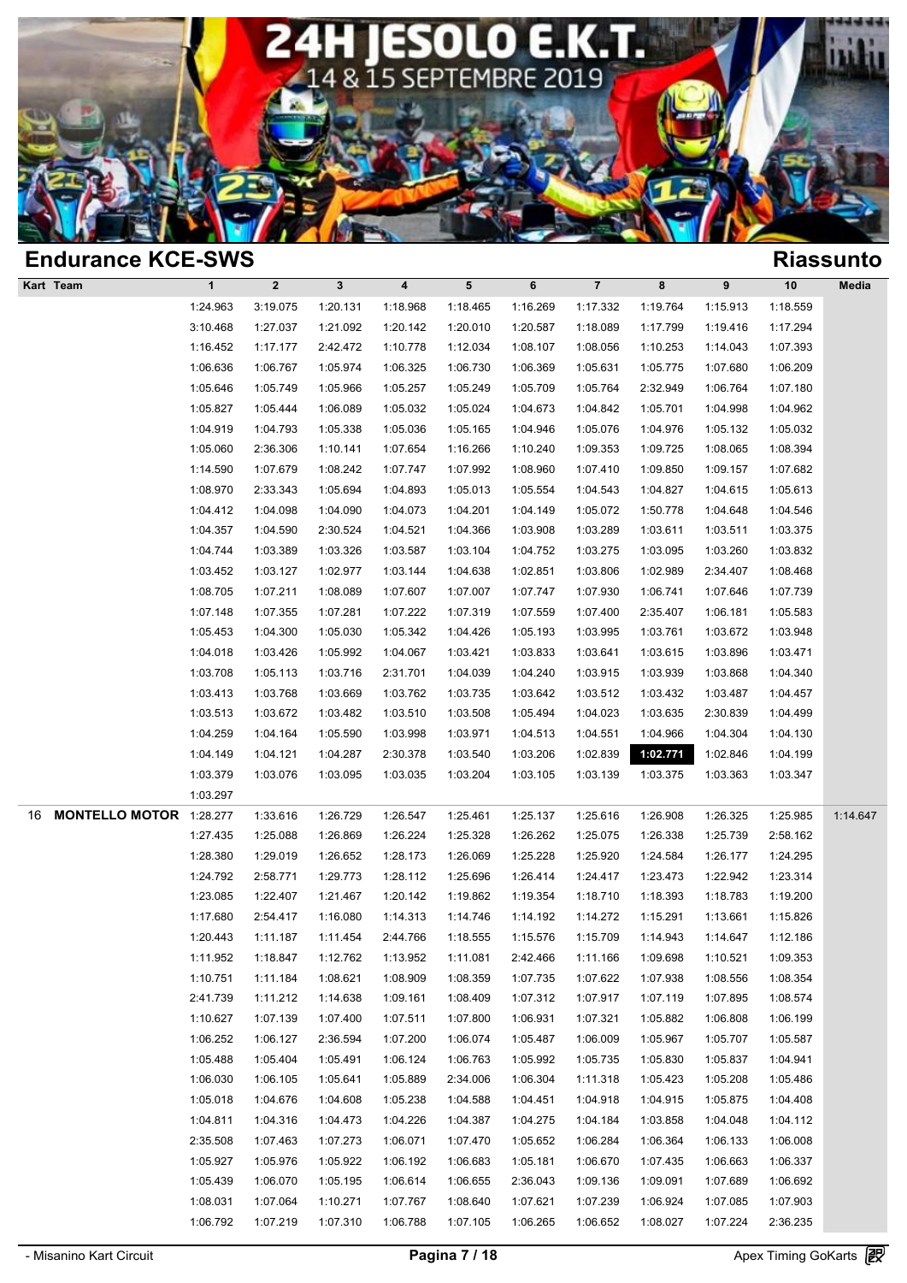

| <b>Endurance KCE-SWS</b>             |                      |                      |          |                      |          |          |                      |                      |                      |                      | <b>Riassunto</b> |
|--------------------------------------|----------------------|----------------------|----------|----------------------|----------|----------|----------------------|----------------------|----------------------|----------------------|------------------|
| Kart Team                            | $\mathbf{1}$         | $\mathbf 2$          | 3        | $\boldsymbol{4}$     | 5        | 6        | $\overline{7}$       | 8                    | 9                    | 10                   | Media            |
|                                      | 1:24.963             | 3:19.075             | 1:20.131 | 1:18.968             | 1:18.465 | 1:16.269 | 1:17.332             | 1:19.764             | 1:15.913             | 1:18.559             |                  |
|                                      | 3:10.468             | 1:27.037             | 1:21.092 | 1:20.142             | 1:20.010 | 1:20.587 | 1:18.089             | 1:17.799             | 1:19.416             | 1:17.294             |                  |
|                                      | 1:16.452             | 1:17.177             | 2:42.472 | 1:10.778             | 1:12.034 | 1:08.107 | 1:08.056             | 1:10.253             | 1:14.043             | 1:07.393             |                  |
|                                      | 1:06.636             | 1:06.767             | 1:05.974 | 1:06.325             | 1:06.730 | 1:06.369 | 1:05.631             | 1:05.775             | 1:07.680             | 1:06.209             |                  |
|                                      | 1:05.646             | 1:05.749             | 1:05.966 | 1:05.257             | 1:05.249 | 1:05.709 | 1:05.764             | 2:32.949             | 1:06.764             | 1:07.180             |                  |
|                                      | 1:05.827             | 1:05.444             | 1:06.089 | 1:05.032             | 1:05.024 | 1:04.673 | 1:04.842             | 1:05.701             | 1:04.998             | 1:04.962             |                  |
|                                      | 1:04.919             | 1:04.793             | 1:05.338 | 1:05.036             | 1:05.165 | 1:04.946 | 1:05.076             | 1:04.976             | 1:05.132             | 1:05.032             |                  |
|                                      | 1:05.060             | 2:36.306             | 1:10.141 | 1:07.654             | 1:16.266 | 1:10.240 | 1:09.353             | 1:09.725             | 1:08.065             | 1:08.394             |                  |
|                                      | 1:14.590             | 1:07.679             | 1:08.242 | 1:07.747             | 1:07.992 | 1:08.960 | 1:07.410             | 1:09.850             | 1:09.157             | 1:07.682             |                  |
|                                      | 1:08.970             | 2:33.343             | 1:05.694 | 1:04.893             | 1:05.013 | 1:05.554 | 1:04.543             | 1:04.827             | 1:04.615             | 1:05.613             |                  |
|                                      | 1:04.412             | 1:04.098             | 1:04.090 | 1:04.073             | 1:04.201 | 1:04.149 | 1:05.072             | 1:50.778             | 1:04.648             | 1:04.546             |                  |
|                                      | 1:04.357             | 1:04.590             | 2:30.524 | 1:04.521             | 1:04.366 | 1:03.908 | 1:03.289             | 1:03.611             | 1:03.511             | 1:03.375             |                  |
|                                      | 1:04.744             | 1:03.389             | 1:03.326 | 1:03.587             | 1:03.104 | 1:04.752 | 1:03.275             | 1:03.095             | 1:03.260             | 1:03.832             |                  |
|                                      | 1:03.452             | 1:03.127             | 1:02.977 | 1:03.144             | 1:04.638 | 1:02.851 | 1:03.806             | 1:02.989             | 2:34.407             | 1:08.468             |                  |
|                                      | 1:08.705             | 1:07.211             | 1:08.089 | 1:07.607             | 1:07.007 | 1:07.747 | 1:07.930             | 1:06.741             | 1:07.646             | 1:07.739             |                  |
|                                      | 1:07.148             | 1:07.355             | 1:07.281 | 1:07.222             | 1:07.319 | 1:07.559 | 1:07.400             | 2:35.407             | 1:06.181             | 1:05.583             |                  |
|                                      | 1:05.453             | 1:04.300             | 1:05.030 | 1:05.342             | 1:04.426 | 1:05.193 | 1:03.995             | 1:03.761             | 1:03.672             | 1:03.948             |                  |
|                                      | 1:04.018             | 1:03.426             | 1:05.992 | 1:04.067             | 1:03.421 | 1:03.833 | 1:03.641             | 1:03.615             | 1:03.896             | 1:03.471             |                  |
|                                      | 1:03.708             | 1:05.113             | 1:03.716 | 2:31.701             | 1:04.039 | 1:04.240 | 1:03.915             | 1:03.939             | 1:03.868             | 1:04.340             |                  |
|                                      | 1:03.413             | 1:03.768             | 1:03.669 | 1:03.762             | 1:03.735 | 1:03.642 | 1:03.512             | 1:03.432             | 1:03.487             | 1:04.457             |                  |
|                                      | 1:03.513             | 1:03.672             | 1:03.482 | 1:03.510             | 1:03.508 | 1:05.494 | 1:04.023             | 1:03.635             | 2:30.839             | 1:04.499             |                  |
|                                      | 1:04.259             | 1:04.164             | 1:05.590 | 1:03.998             | 1:03.971 | 1:04.513 | 1:04.551             | 1:04.966             | 1:04.304             | 1:04.130             |                  |
|                                      | 1:04.149             | 1:04.121             | 1:04.287 | 2:30.378             | 1:03.540 | 1:03.206 | 1:02.839             | 1:02.771             | 1:02.846             | 1:04.199             |                  |
|                                      | 1:03.379             | 1:03.076             | 1:03.095 | 1:03.035             | 1:03.204 | 1:03.105 | 1:03.139             | 1:03.375             | 1:03.363             | 1:03.347             |                  |
|                                      | 1:03.297             |                      |          |                      |          |          |                      |                      |                      |                      |                  |
| <b>MONTELLO MOTOR 1:28.277</b><br>16 |                      | 1:33.616             | 1:26.729 | 1:26.547             | 1:25.461 | 1:25.137 | 1:25.616             | 1:26.908             | 1:26.325             | 1:25.985             | 1:14.647         |
|                                      | 1:27.435             | 1:25.088             | 1:26.869 | 1:26.224             | 1:25.328 | 1:26.262 | 1:25.075             | 1:26.338             | 1:25.739             | 2:58.162             |                  |
|                                      | 1:28.380             | 1:29.019             | 1:26.652 | 1:28.173             | 1:26.069 | 1:25.228 | 1:25.920             | 1:24.584             | 1:26.177             | 1:24.295             |                  |
|                                      | 1:24.792             | 2:58.771             | 1:29.773 | 1:28.112             | 1:25.696 | 1:26.414 | 1:24.417             | 1:23.473             | 1:22.942             | 1:23.314             |                  |
|                                      | 1:23.085             | 1:22.407             | 1:21.467 | 1:20.142             | 1:19.862 | 1:19.354 | 1:18.710             | 1:18.393             | 1:18.783             | 1:19.200             |                  |
|                                      | 1:17.680             | 2:54.417             | 1:16.080 | 1:14.313             | 1:14.746 | 1:14.192 | 1:14.272             | 1:15.291             | 1:13.661             | 1:15.826             |                  |
|                                      | 1:20.443             | 1:11.187             | 1:11.454 | 2:44.766             | 1:18.555 | 1:15.576 | 1:15.709             | 1:14.943             | 1:14.647             | 1:12.186             |                  |
|                                      | 1:11.952             | 1:18.847             | 1:12.762 | 1:13.952             | 1:11.081 | 2:42.466 | 1:11.166             | 1:09.698             | 1:10.521             | 1:09.353             |                  |
|                                      | 1:10.751             | 1:11.184             | 1:08.621 | 1:08.909             | 1:08.359 | 1:07.735 | 1:07.622             | 1:07.938             | 1:08.556             | 1:08.354             |                  |
|                                      | 2:41.739             | 1:11.212             | 1:14.638 | 1:09.161             | 1:08.409 | 1:07.312 | 1:07.917             | 1:07.119             | 1:07.895             | 1:08.574             |                  |
|                                      | 1:10.627             | 1:07.139             | 1:07.400 | 1:07.511             | 1:07.800 | 1:06.931 | 1:07.321             | 1:05.882             | 1:06.808             | 1:06.199             |                  |
|                                      | 1:06.252             | 1:06.127             | 2:36.594 | 1:07.200             | 1:06.074 | 1:05.487 | 1:06.009             | 1:05.967             | 1:05.707<br>1:05.837 | 1:05.587             |                  |
|                                      | 1:05.488             | 1:05.404             | 1:05.491 | 1:06.124             | 1:06.763 | 1:05.992 | 1:05.735             | 1:05.830             |                      | 1:04.941<br>1:05.486 |                  |
|                                      | 1:06.030             | 1:06.105             | 1:05.641 | 1:05.889             | 2:34.006 | 1:06.304 | 1:11.318             | 1:05.423             | 1:05.208             |                      |                  |
|                                      | 1:05.018<br>1:04.811 | 1:04.676<br>1:04.316 | 1:04.608 | 1:05.238<br>1:04.226 | 1:04.588 | 1:04.451 | 1:04.918<br>1:04.184 | 1:04.915<br>1:03.858 | 1:05.875             | 1:04.408<br>1:04.112 |                  |
|                                      |                      |                      | 1:04.473 |                      | 1:04.387 | 1:04.275 |                      |                      | 1:04.048             |                      |                  |
|                                      | 2:35.508             | 1:07.463             | 1:07.273 | 1:06.071             | 1:07.470 | 1:05.652 | 1:06.284             | 1:06.364             | 1:06.133             | 1:06.008             |                  |
|                                      | 1:05.927             | 1:05.976             | 1:05.922 | 1:06.192             | 1:06.683 | 1:05.181 | 1:06.670             | 1:07.435             | 1:06.663             | 1:06.337             |                  |
|                                      | 1:05.439             | 1:06.070             | 1:05.195 | 1:06.614             | 1:06.655 | 2:36.043 | 1:09.136             | 1:09.091             | 1:07.689             | 1:06.692             |                  |
|                                      | 1:08.031             | 1:07.064             | 1:10.271 | 1:07.767             | 1:08.640 | 1:07.621 | 1:07.239             | 1:06.924             | 1:07.085             | 1:07.903             |                  |
|                                      | 1:06.792             | 1:07.219             | 1:07.310 | 1:06.788             | 1:07.105 | 1:06.265 | 1:06.652             | 1:08.027             | 1:07.224             | 2:36.235             |                  |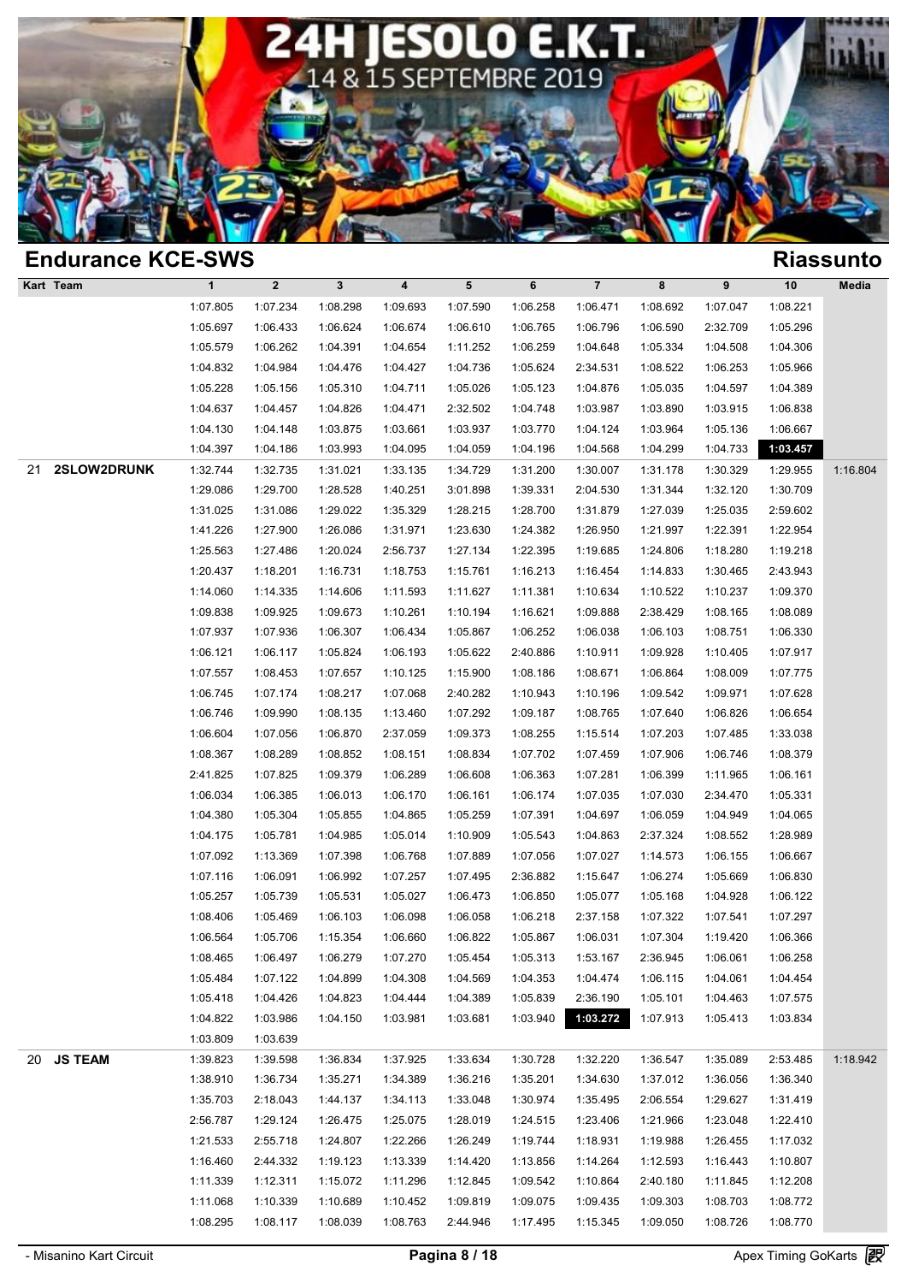

| <b>Endurance KCE-SWS</b> |              |             |          |                         |          |          |                |          |          |          | <b>Riassunto</b> |
|--------------------------|--------------|-------------|----------|-------------------------|----------|----------|----------------|----------|----------|----------|------------------|
| Kart Team                | $\mathbf{1}$ | $\mathbf 2$ | 3        | $\overline{\mathbf{4}}$ | 5        | 6        | $\overline{7}$ | 8        | 9        | 10       | Media            |
|                          | 1:07.805     | 1:07.234    | 1:08.298 | 1:09.693                | 1:07.590 | 1:06.258 | 1:06.471       | 1:08.692 | 1:07.047 | 1:08.221 |                  |
|                          | 1:05.697     | 1:06.433    | 1:06.624 | 1:06.674                | 1:06.610 | 1:06.765 | 1:06.796       | 1:06.590 | 2:32.709 | 1:05.296 |                  |
|                          | 1:05.579     | 1:06.262    | 1:04.391 | 1:04.654                | 1:11.252 | 1:06.259 | 1:04.648       | 1:05.334 | 1:04.508 | 1:04.306 |                  |
|                          | 1:04.832     | 1:04.984    | 1:04.476 | 1:04.427                | 1:04.736 | 1:05.624 | 2:34.531       | 1:08.522 | 1:06.253 | 1:05.966 |                  |
|                          | 1:05.228     | 1:05.156    | 1:05.310 | 1:04.711                | 1:05.026 | 1:05.123 | 1:04.876       | 1:05.035 | 1:04.597 | 1:04.389 |                  |
|                          | 1:04.637     | 1:04.457    | 1:04.826 | 1:04.471                | 2:32.502 | 1:04.748 | 1:03.987       | 1:03.890 | 1:03.915 | 1:06.838 |                  |
|                          | 1:04.130     | 1:04.148    | 1:03.875 | 1:03.661                | 1:03.937 | 1:03.770 | 1:04.124       | 1:03.964 | 1:05.136 | 1:06.667 |                  |
|                          | 1:04.397     | 1:04.186    | 1:03.993 | 1:04.095                | 1:04.059 | 1:04.196 | 1:04.568       | 1:04.299 | 1:04.733 | 1:03.457 |                  |
| 2SLOW2DRUNK<br>21        | 1:32.744     | 1:32.735    | 1:31.021 | 1:33.135                | 1:34.729 | 1:31.200 | 1:30.007       | 1:31.178 | 1:30.329 | 1:29.955 | 1:16.804         |
|                          | 1:29.086     | 1:29.700    | 1:28.528 | 1:40.251                | 3:01.898 | 1:39.331 | 2:04.530       | 1:31.344 | 1:32.120 | 1:30.709 |                  |
|                          | 1:31.025     | 1:31.086    | 1:29.022 | 1:35.329                | 1:28.215 | 1:28.700 | 1:31.879       | 1:27.039 | 1:25.035 | 2:59.602 |                  |
|                          | 1:41.226     | 1:27.900    | 1:26.086 | 1:31.971                | 1:23.630 | 1:24.382 | 1:26.950       | 1:21.997 | 1:22.391 | 1:22.954 |                  |
|                          | 1:25.563     | 1:27.486    | 1:20.024 | 2:56.737                | 1:27.134 | 1:22.395 | 1:19.685       | 1:24.806 | 1:18.280 | 1:19.218 |                  |
|                          | 1:20.437     | 1:18.201    | 1:16.731 | 1:18.753                | 1:15.761 | 1:16.213 | 1:16.454       | 1:14.833 | 1:30.465 | 2:43.943 |                  |
|                          | 1:14.060     | 1:14.335    | 1:14.606 | 1:11.593                | 1:11.627 | 1:11.381 | 1:10.634       | 1:10.522 | 1:10.237 | 1:09.370 |                  |
|                          | 1:09.838     | 1:09.925    | 1:09.673 | 1:10.261                | 1:10.194 | 1:16.621 | 1:09.888       | 2:38.429 | 1:08.165 | 1:08.089 |                  |
|                          | 1:07.937     | 1:07.936    | 1:06.307 | 1:06.434                | 1:05.867 | 1:06.252 | 1:06.038       | 1:06.103 | 1:08.751 | 1:06.330 |                  |
|                          | 1:06.121     | 1:06.117    | 1:05.824 | 1:06.193                | 1:05.622 | 2:40.886 | 1:10.911       | 1:09.928 | 1:10.405 | 1:07.917 |                  |
|                          | 1:07.557     | 1:08.453    | 1:07.657 | 1:10.125                | 1:15.900 | 1:08.186 | 1:08.671       | 1:06.864 | 1:08.009 | 1:07.775 |                  |
|                          | 1:06.745     | 1:07.174    | 1:08.217 | 1:07.068                | 2:40.282 | 1:10.943 | 1:10.196       | 1:09.542 | 1:09.971 | 1:07.628 |                  |
|                          | 1:06.746     | 1:09.990    | 1:08.135 | 1:13.460                | 1:07.292 | 1:09.187 | 1:08.765       | 1:07.640 | 1:06.826 | 1:06.654 |                  |
|                          | 1:06.604     | 1:07.056    | 1:06.870 | 2:37.059                | 1:09.373 | 1:08.255 | 1:15.514       | 1:07.203 | 1:07.485 | 1:33.038 |                  |
|                          | 1:08.367     | 1:08.289    | 1:08.852 | 1:08.151                | 1:08.834 | 1:07.702 | 1:07.459       | 1:07.906 | 1:06.746 | 1:08.379 |                  |
|                          | 2:41.825     | 1:07.825    | 1:09.379 | 1:06.289                | 1:06.608 | 1:06.363 | 1:07.281       | 1:06.399 | 1:11.965 | 1:06.161 |                  |
|                          | 1:06.034     | 1:06.385    | 1:06.013 | 1:06.170                | 1:06.161 | 1:06.174 | 1:07.035       | 1:07.030 | 2:34.470 | 1:05.331 |                  |
|                          | 1:04.380     | 1:05.304    | 1:05.855 | 1:04.865                | 1:05.259 | 1:07.391 | 1:04.697       | 1:06.059 | 1:04.949 | 1:04.065 |                  |
|                          | 1:04.175     | 1:05.781    | 1:04.985 | 1:05.014                | 1:10.909 | 1:05.543 | 1:04.863       | 2:37.324 | 1:08.552 | 1:28.989 |                  |
|                          | 1:07.092     | 1:13.369    | 1:07.398 | 1:06.768                | 1:07.889 | 1:07.056 | 1:07.027       | 1:14.573 | 1:06.155 | 1:06.667 |                  |
|                          | 1:07.116     | 1:06.091    | 1:06.992 | 1:07.257                | 1:07.495 | 2:36.882 | 1:15.647       | 1:06.274 | 1:05.669 | 1:06.830 |                  |
|                          | 1:05.257     | 1:05.739    | 1:05.531 | 1:05.027                | 1:06.473 | 1:06.850 | 1:05.077       | 1:05.168 | 1:04.928 | 1:06.122 |                  |
|                          | 1:08.406     | 1:05.469    | 1:06.103 | 1:06.098                | 1:06.058 | 1:06.218 | 2:37.158       | 1:07.322 | 1:07.541 | 1:07.297 |                  |
|                          | 1:06.564     | 1:05.706    | 1:15.354 | 1:06.660                | 1:06.822 | 1:05.867 | 1:06.031       | 1:07.304 | 1:19.420 | 1:06.366 |                  |
|                          | 1:08.465     | 1:06.497    | 1:06.279 | 1:07.270                | 1:05.454 | 1:05.313 | 1:53.167       | 2:36.945 | 1:06.061 | 1:06.258 |                  |
|                          | 1:05.484     | 1:07.122    | 1:04.899 | 1:04.308                | 1:04.569 | 1:04.353 | 1:04.474       | 1:06.115 | 1:04.061 | 1:04.454 |                  |
|                          | 1:05.418     | 1:04.426    | 1:04.823 | 1:04.444                | 1:04.389 | 1:05.839 | 2:36.190       | 1:05.101 | 1:04.463 | 1:07.575 |                  |
|                          | 1:04.822     | 1:03.986    | 1:04.150 | 1:03.981                | 1:03.681 | 1:03.940 | 1:03.272       | 1:07.913 | 1:05.413 | 1:03.834 |                  |
|                          | 1:03.809     | 1:03.639    |          |                         |          |          |                |          |          |          |                  |
| <b>JS TEAM</b><br>20     | 1:39.823     | 1:39.598    | 1:36.834 | 1:37.925                | 1:33.634 | 1:30.728 | 1:32.220       | 1:36.547 | 1:35.089 | 2:53.485 | 1:18.942         |
|                          | 1:38.910     | 1:36.734    | 1:35.271 | 1:34.389                | 1:36.216 | 1:35.201 | 1:34.630       | 1:37.012 | 1:36.056 | 1:36.340 |                  |
|                          | 1:35.703     | 2:18.043    | 1:44.137 | 1:34.113                | 1:33.048 | 1:30.974 | 1:35.495       | 2:06.554 | 1:29.627 | 1:31.419 |                  |
|                          | 2:56.787     |             |          | 1:25.075                |          |          |                |          |          | 1:22.410 |                  |
|                          |              | 1:29.124    | 1:26.475 |                         | 1:28.019 | 1:24.515 | 1:23.406       | 1:21.966 | 1:23.048 |          |                  |
|                          | 1:21.533     | 2:55.718    | 1:24.807 | 1:22.266                | 1:26.249 | 1:19.744 | 1:18.931       | 1:19.988 | 1:26.455 | 1:17.032 |                  |
|                          | 1:16.460     | 2:44.332    | 1:19.123 | 1:13.339                | 1:14.420 | 1:13.856 | 1:14.264       | 1:12.593 | 1:16.443 | 1:10.807 |                  |
|                          | 1:11.339     | 1:12.311    | 1:15.072 | 1:11.296                | 1:12.845 | 1:09.542 | 1:10.864       | 2:40.180 | 1:11.845 | 1:12.208 |                  |
|                          | 1:11.068     | 1:10.339    | 1:10.689 | 1:10.452                | 1:09.819 | 1:09.075 | 1:09.435       | 1:09.303 | 1:08.703 | 1:08.772 |                  |
|                          | 1:08.295     | 1:08.117    | 1:08.039 | 1:08.763                | 2:44.946 | 1:17.495 | 1:15.345       | 1:09.050 | 1:08.726 | 1:08.770 |                  |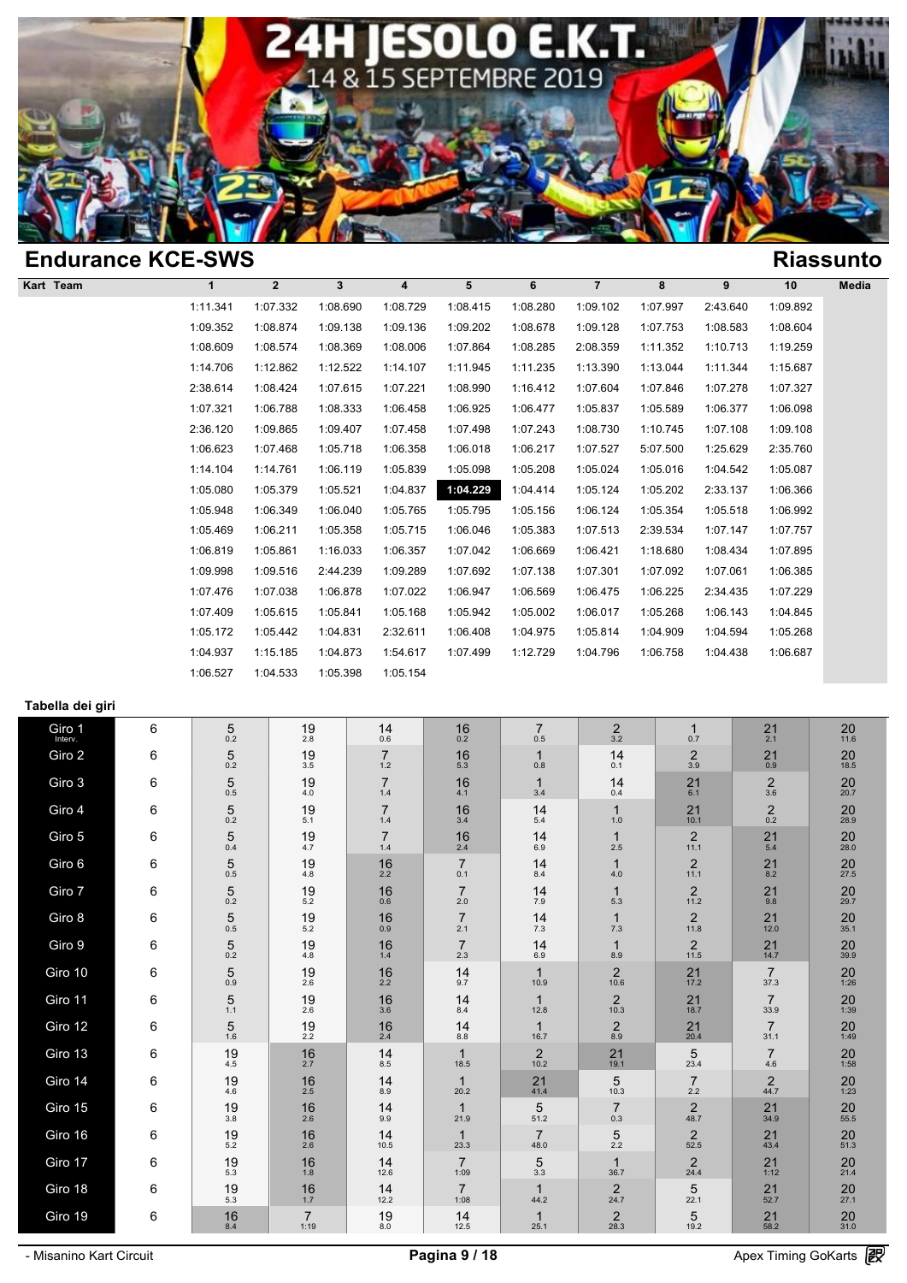

|          |                |                          |          |          |          |                |          |          |          | <b>Riassunto</b> |
|----------|----------------|--------------------------|----------|----------|----------|----------------|----------|----------|----------|------------------|
| 1        | $\overline{2}$ | 3                        | 4        | 5        | 6        | $\overline{7}$ | 8        | 9        | 10       | Media            |
| 1:11.341 | 1:07.332       | 1:08.690                 | 1:08.729 | 1:08.415 | 1:08.280 | 1:09.102       | 1:07.997 | 2:43.640 | 1:09.892 |                  |
| 1:09.352 | 1:08.874       | 1:09.138                 | 1:09.136 | 1:09.202 | 1:08.678 | 1:09.128       | 1:07.753 | 1:08.583 | 1:08.604 |                  |
| 1:08.609 | 1:08.574       | 1:08.369                 | 1:08.006 | 1:07.864 | 1:08.285 | 2:08.359       | 1:11.352 | 1:10.713 | 1:19.259 |                  |
| 1:14.706 | 1:12.862       | 1:12.522                 | 1:14.107 | 1:11.945 | 1:11.235 | 1:13.390       | 1:13.044 | 1:11.344 | 1:15.687 |                  |
| 2:38.614 | 1:08.424       | 1:07.615                 | 1:07.221 | 1:08.990 | 1:16.412 | 1:07.604       | 1:07.846 | 1:07.278 | 1:07.327 |                  |
| 1:07.321 | 1:06.788       | 1:08.333                 | 1:06.458 | 1:06.925 | 1:06.477 | 1:05.837       | 1:05.589 | 1:06.377 | 1:06.098 |                  |
| 2:36.120 | 1:09.865       | 1:09.407                 | 1:07.458 | 1:07.498 | 1:07.243 | 1:08.730       | 1:10.745 | 1:07.108 | 1:09.108 |                  |
| 1:06.623 | 1:07.468       | 1:05.718                 | 1:06.358 | 1:06.018 | 1:06.217 | 1:07.527       | 5:07.500 | 1:25.629 | 2:35.760 |                  |
| 1:14.104 | 1:14.761       | 1:06.119                 | 1:05.839 | 1:05.098 | 1:05.208 | 1:05.024       | 1:05.016 | 1:04.542 | 1:05.087 |                  |
| 1:05.080 | 1:05.379       | 1:05.521                 | 1:04.837 | 1:04.229 | 1:04.414 | 1:05.124       | 1:05.202 | 2:33.137 | 1:06.366 |                  |
| 1:05.948 | 1:06.349       | 1:06.040                 | 1:05.765 | 1:05.795 | 1:05.156 | 1:06.124       | 1:05.354 | 1:05.518 | 1:06.992 |                  |
| 1:05.469 | 1:06.211       | 1:05.358                 | 1:05.715 | 1:06.046 | 1:05.383 | 1:07.513       | 2:39.534 | 1:07.147 | 1:07.757 |                  |
| 1:06.819 | 1:05.861       | 1:16.033                 | 1:06.357 | 1:07.042 | 1:06.669 | 1:06.421       | 1:18.680 | 1:08.434 | 1:07.895 |                  |
| 1:09.998 | 1:09.516       | 2:44.239                 | 1:09.289 | 1:07.692 | 1:07.138 | 1:07.301       | 1:07.092 | 1:07.061 | 1:06.385 |                  |
| 1:07.476 | 1:07.038       | 1:06.878                 | 1:07.022 | 1:06.947 | 1:06.569 | 1:06.475       | 1:06.225 | 2:34.435 | 1:07.229 |                  |
| 1:07.409 | 1:05.615       | 1:05.841                 | 1:05.168 | 1:05.942 | 1:05.002 | 1:06.017       | 1:05.268 | 1:06.143 | 1:04.845 |                  |
| 1:05.172 | 1:05.442       | 1:04.831                 | 2:32.611 | 1:06.408 | 1:04.975 | 1:05.814       | 1:04.909 | 1:04.594 | 1:05.268 |                  |
| 1:04.937 | 1:15.185       | 1:04.873                 | 1:54.617 | 1:07.499 | 1:12.729 | 1:04.796       | 1:06.758 | 1:04.438 | 1:06.687 |                  |
| 1:06.527 | 1:04.533       | 1:05.398                 | 1:05.154 |          |          |                |          |          |          |                  |
|          |                | <b>Endurance KCE-SWS</b> |          |          |          |                |          |          |          |                  |

### **Tabella dei giri**

| Giro 1<br>Interv. | 6 | 5<br>0.2          | 19<br>2.8              | 14<br>0.6               | 16<br>0.2              | $\overline{7}$<br>0.5  | $\overline{2}$<br>3.2  | $\mathbf{1}$<br>0.7    | 21<br>2.1              | 20<br>11.6        |
|-------------------|---|-------------------|------------------------|-------------------------|------------------------|------------------------|------------------------|------------------------|------------------------|-------------------|
| Giro 2            | 6 | 5<br>0.2          | 19<br>3.5              | $\overline{7}$<br>$1.2$ | 16<br>5.3              | $\mathbf{1}$<br>0.8    | 14<br>0.1              | $\overline{2}$<br>3.9  | 21<br>0.9              | 20<br>18.5        |
| Giro 3            | 6 | $\sqrt{5}$<br>0.5 | 19<br>$4.0\,$          | $\overline{7}$<br>1.4   | 16<br>4.1              | $\mathbf 1$<br>3.4     | 14<br>0.4              | 21<br>6.1              | $\frac{2}{3.6}$        | $20_{20.7}$       |
| Giro 4            | 6 | $\sqrt{5}$<br>0.2 | 19<br>5.1              | $\overline{7}$<br>$1.4$ | 16<br>3.4              | 14<br>5.4              | $\mathbf{1}$<br>1.0    | 21<br>10.1             | $^{2}_{0.2}$           | $\frac{20}{28.9}$ |
| Giro 5            | 6 | 5<br>0.4          | 19<br>4.7              | $\overline{7}$<br>$1.4$ | 16<br>$2.4\,$          | 14<br>6.9              | $\mathbf{1}$<br>2.5    | 2<br>11.1              | $^{21}_{\,5.4}$        | $\frac{20}{28.0}$ |
| Giro 6            | 6 | $\sqrt{5}$<br>0.5 | 19<br>4.8              | 16<br>2.2               | $\overline{7}$<br>0.1  | 14<br>8.4              | $\mathbf{1}$<br>4.0    | $\overline{2}$<br>11.1 | 21<br>8.2              | $20\,$<br>27.5    |
| Giro 7            | 6 | $\sqrt{5}$<br>0.2 | 19<br>5.2              | 16<br>0.6               | $\overline{7}$<br>2.0  | 14<br>7.9              | $\mathbf{1}$<br>5.3    | $\overline{2}$<br>11.2 | 21<br>$\overline{9.8}$ | $\frac{20}{29.7}$ |
| Giro 8            | 6 | $\sqrt{5}$<br>0.5 | 19<br>$5.2\,$          | 16<br>0.9               | $\overline{7}$<br>2.1  | 14<br>7.3              | $\mathbf{1}$<br>7.3    | $\overline{c}$<br>11.8 | 21<br>12.0             | 20<br>35.1        |
| Giro 9            | 6 | $\sqrt{5}$<br>0.2 | 19<br>4.8              | 16<br>1.4               | $\overline{7}$<br>2.3  | 14<br>6.9              | $\mathbf{1}$<br>8.9    | $\overline{2}$<br>11.5 | 21<br>14.7             | 20<br>39.9        |
| Giro 10           | 6 | $\sqrt{5}$<br>0.9 | 19<br>2.6              | 16<br>2.2               | 14<br>9.7              | $\mathbf{1}$<br>10.9   | $\overline{2}$<br>10.6 | 21<br>17.2             | $\overline{7}$<br>37.3 | 20<br>1:26        |
| Giro 11           | 6 | $\sqrt{5}$<br>1.1 | 19<br>2.6              | 16<br>3.6               | 14<br>8.4              | $\mathbf{1}$<br>12.8   | $\overline{c}$<br>10.3 | 21<br>18.7             | $\overline{7}$<br>33.9 | 20<br>1:39        |
| Giro 12           | 6 | 5<br>1.6          | 19<br>2.2              | 16<br>2.4               | 14<br>$8.8\,$          | $\mathbf{1}$<br>16.7   | $\overline{2}$<br>8.9  | 21<br>20.4             | $\overline{7}$<br>31.1 | 20<br>1:49        |
| Giro 13           | 6 | 19<br>4.5         | 16<br>2.7              | 14<br>8.5               | $\mathbf{1}$<br>18.5   | $\overline{2}$<br>10.2 | 21<br>19.1             | 5<br>23.4              | $\overline{7}$<br>4.6  | 20<br>1:58        |
| Giro 14           | 6 | 19<br>4.6         | 16<br>2.5              | 14<br>8.9               | $\mathbf{1}$<br>20.2   | 21<br>41.4             | 5<br>10.3              | $\overline{7}$<br>2.2  | $\overline{c}$<br>44.7 | 20<br>1:23        |
| Giro 15           | 6 | 19<br>3.8         | 16<br>2.6              | 14<br>9.9               | $\mathbf{1}$<br>21.9   | 5<br>51.2              | $\overline{7}$<br>0.3  | $\overline{2}$<br>48.7 | 21<br>34.9             | $20$<br>55.5      |
| Giro 16           | 6 | 19<br>5.2         | 16<br>2.6              | 14<br>10.5              | $\mathbf{1}$<br>23.3   | $\overline{7}$<br>48.0 | $\sqrt{5}$<br>$2.2\,$  | $\sqrt{2}$<br>52.5     | 21<br>43.4             | 20<br>51.3        |
| Giro 17           | 6 | 19<br>5.3         | 16<br>1.8              | 14<br>12.6              | $\overline{7}$<br>1:09 | 5<br>3.3               | $\mathbf{1}$<br>36.7   | 2<br>24.4              | 21<br>1:12             | $20$<br>$21.4$    |
| Giro 18           | 6 | 19<br>5.3         | 16<br>1.7              | 14<br>12.2              | $\overline{7}$<br>1:08 | $\mathbf{1}$<br>44.2   | $\overline{2}$<br>24.7 | 5<br>22.1              | 21<br>52.7             | 20<br>27.1        |
| Giro 19           | 6 | 16<br>8.4         | $\overline{7}$<br>1:19 | 19<br>8.0               | 14<br>12.5             | $\mathbf{1}$<br>25.1   | 2<br>28.3              | 5<br>19.2              | 21<br>58.2             | 20<br>31.0        |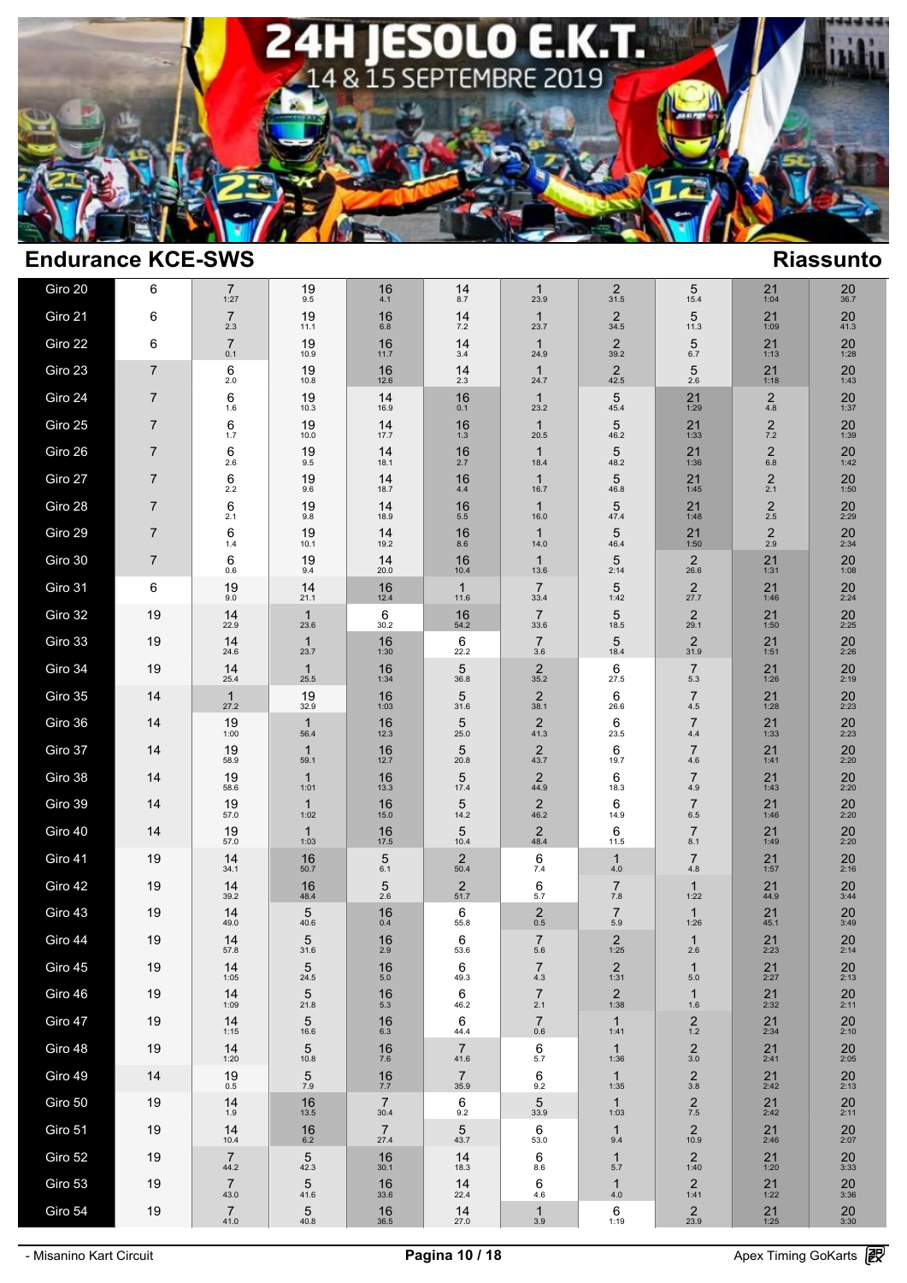

| Giro 20 | 6              | $\overline{7}$<br>1:27 | 19<br>9.5            | 16<br>4.1              | 14<br>8.7              | $\mathbf{1}$<br>23.9      | $\overline{2}$<br>31.5    | 5<br>15.4                 | 21<br>1:04             | 20<br>36.7           |  |
|---------|----------------|------------------------|----------------------|------------------------|------------------------|---------------------------|---------------------------|---------------------------|------------------------|----------------------|--|
| Giro 21 | 6              | $\overline{7}$<br>2.3  | 19<br>11.1           | 16<br>6.8              | 14<br>$7.2\,$          | $\mathbf{1}$<br>23.7      | $\overline{2}$<br>34.5    | 5<br>11.3                 | 21<br>1:09             | 20<br>41.3           |  |
| Giro 22 | 6              | $\overline{7}$<br>0.1  | 19<br>10.9           | 16<br>11.7             | 14<br>$3.4$            | $\mathbf{1}$<br>24.9      | $\overline{2}$<br>39.2    | $\sqrt{5}$<br>$6.7\,$     | 21<br>1:13             | 20<br>1:28           |  |
| Giro 23 | $\overline{7}$ | 6<br>2.0               | 19<br>10.8           | 16<br>12.6             | 14<br>2.3              | $\mathbf{1}$<br>24.7      | 2<br>42.5                 | 5<br>2.6                  | 21<br>1:18             | $20$ <sub>1:43</sub> |  |
| Giro 24 | $\overline{7}$ | 6<br>1.6               | 19<br>10.3           | 14<br>16.9             | 16<br>0.1              | $\mathbf{1}$<br>23.2      | 5<br>45.4                 | 21<br>1:29                | $\mathbf 2$<br>$4.8\,$ | $20$ <sub>1:37</sub> |  |
| Giro 25 | $\overline{7}$ | 6<br>1.7               | 19<br>10.0           | 14<br>17.7             | 16<br>1.3              | $\mathbf{1}$<br>20.5      | 5<br>46.2                 | 21<br>1:33                | $\frac{2}{7.2}$        | $20$ <sub>1:39</sub> |  |
| Giro 26 | $\overline{7}$ | 6<br>2.6               | 19<br>9.5            | 14<br>18.1             | 16<br>2.7              | $\mathbf{1}$<br>18.4      | 5<br>48.2                 | 21<br>1:36                | $\mathbf 2$<br>$6.8\,$ | 20<br>1:42           |  |
| Giro 27 | $\overline{7}$ | 6<br>$2.2\,$           | 19<br>9.6            | 14<br>18.7             | 16<br>4.4              | $\mathbf{1}$<br>16.7      | 5<br>46.8                 | 21<br>1:45                | $\frac{2}{2.1}$        | 20<br>1:50           |  |
| Giro 28 | $\overline{7}$ | 6<br>2.1               | 19<br>9.8            | 14<br>18.9             | 16<br>$5.5\,$          | $\mathbf{1}$<br>16.0      | 5<br>47.4                 | 21<br>1:48                | $\mathbf 2$<br>2.5     | 20<br>2:29           |  |
| Giro 29 | $\overline{7}$ | 6<br>1.4               | 19<br>10.1           | 14<br>19.2             | 16<br>8.6              | $\mathbf{1}$<br>14.0      | 5<br>46.4                 | 21<br>1:50                | $^{2}_{2.9}$           | 20<br>2:34           |  |
| Giro 30 | $\overline{7}$ | 6<br>0.6               | 19<br>9.4            | 14<br>20.0             | 16<br>10.4             | $\mathbf{1}$<br>13.6      | 5<br>2:14                 | $\overline{2}$<br>26.6    | 21<br>1:31             | 20<br>1:08           |  |
| Giro 31 | 6              | 19<br>9.0              | 14<br>21.1           | 16<br>12.4             | $\mathbf{1}$<br>11.6   | $\overline{7}$<br>33.4    | 5<br>1:42                 | $\frac{2}{27.7}$          | 21<br>1:46             | $20$<br>$2:24$       |  |
| Giro 32 | 19             | 14<br>22.9             | $\mathbf{1}$<br>23.6 | 6<br>30.2              | 16<br>54.2             | $\overline{7}$<br>33.6    | 5<br>18.5                 | $\overline{c}$<br>29.1    | $21$<br>1:50           | 20<br>2:25           |  |
| Giro 33 | 19             | 14<br>24.6             | $\mathbf{1}$<br>23.7 | 16<br>1:30             | 6<br>22.2              | $\overline{7}$<br>3.6     | 5<br>18.4                 | $\frac{2}{31.9}$          | $21$<br>1:51           | 20<br>2:26           |  |
| Giro 34 | 19             | 14<br>25.4             | $\mathbf{1}$<br>25.5 | 16<br>1:34             | 5<br>36.8              | $\sqrt{2}$<br>35.2        | 6<br>27.5                 | $\overline{7}$<br>5.3     | 21<br>1:26             | 20<br>2:19           |  |
| Giro 35 | 14             | $\mathbf{1}$<br>27.2   | 19<br>32.9           | 16<br>1:03             | 5<br>31.6              | $\sqrt{2}$<br>38.1        | 6<br>26.6                 | $\overline{7}$<br>$4.5\,$ | 21<br>1:28             | 20<br>2:23           |  |
| Giro 36 | 14             | 19<br>1:00             | $\mathbf{1}$<br>56.4 | 16<br>12.3             | $\sqrt{5}$<br>25.0     | $\sqrt{2}$<br>41.3        | 6<br>23.5                 | $\overline{7}$<br>$4.4\,$ | 21<br>1:33             | 20<br>2:23           |  |
| Giro 37 | 14             | 19<br>58.9             | $\mathbf{1}$<br>59.1 | 16<br>12.7             | 5<br>20.8              | $\sqrt{2}$<br>43.7        | 6<br>19.7                 | $\overline{7}$<br>$4.6\,$ | 21<br>1:41             | 20<br>2:20           |  |
| Giro 38 | 14             | 19<br>58.6             | $\mathbf{1}$<br>1:01 | 16<br>13.3             | 5<br>17.4              | $^{2}_{44.9}$             | 6<br>18.3                 | $\overline{7}$<br>4.9     | 21<br>1:43             | $20$<br>$2:20$       |  |
| Giro 39 | 14             | 19<br>57.0             | $\mathbf{1}$<br>1:02 | 16<br>15.0             | 5<br>14.2              | $\overline{2}$<br>46.2    | 6<br>14.9                 | $\overline{7}$<br>$6.5\,$ | 21<br>1:46             | 20<br>2:20           |  |
| Giro 40 | 14             | 19<br>57.0             | $\mathbf{1}$<br>1:03 | 16<br>17.5             | 5<br>10.4              | $^{2}_{48.4}$             | 6<br>11.5                 | $\overline{7}$<br>8.1     | 21<br>1:49             | $20$<br>$2:20$       |  |
| Giro 41 | 19             | 14<br>34.1             | 16<br>50.7           | 5<br>6.1               | $\overline{2}$<br>50.4 | 6<br>$7.4$                | $\mathbf{1}$<br>4.0       | $\overline{7}$<br>4.8     | 21<br>1:57             | 20<br>2:16           |  |
| Giro 42 | 19             | 14<br>39.2             | 16<br>48.4           | 5<br>2.6               | $\overline{2}$<br>51.7 | 6<br>5.7                  | $\overline{7}$<br>$7.8\,$ | 1<br>1:22                 | 21<br>44.9             | $\frac{20}{3:44}$    |  |
| Giro 43 | 19             | 14<br>49.0             | 5<br>40.6            | 16<br>0.4              | 6<br>55.8              | $\overline{2}$<br>$0.5\,$ | $\overline{7}$<br>$5.9\,$ | $\mathbf{1}$<br>1:26      | 21<br>45.1             | 20<br>3:49           |  |
| Giro 44 | 19             | 14<br>57.8             | 5<br>31.6            | 16<br>2.9              | 6<br>53.6              | $\overline{7}$<br>5.6     | 2<br>1:25                 | 1<br>2.6                  | $21$<br>$2:23$         | $20$<br>$2:14$       |  |
| Giro 45 | 19             | 14<br>1:05             | 5<br>24.5            | 16<br>5.0              | 6<br>49.3              | 7<br>$4.3$                | 2<br>1:31                 | 1<br>$5.0\,$              | 21<br>2:27             | 20<br>2:13           |  |
| Giro 46 | 19             | 14<br>1:09             | 5<br>21.8            | 16<br>$5.3\,$          | 6<br>46.2              | $\overline{7}$<br>2.1     | $\frac{2}{1:38}$          | $\mathbf{1}$<br>$1.6\,$   | $21$<br>$2:32$         | $20$ <sub>2:11</sub> |  |
| Giro 47 | 19             | 14<br>1:15             | 5<br>16.6            | 16<br>$6.3\,$          | 6<br>44.4              | $\overline{7}$<br>$0.6\,$ | $\mathbf{1}$<br>1:41      | $^{2}_{1.2}$              | $21$<br>$2:34$         | $20$<br>$2:10$       |  |
| Giro 48 | 19             | 14<br>1:20             | 5<br>10.8            | $^{16}_{7.6}$          | $\overline{7}$<br>41.6 | 6<br>5.7                  | $\mathbf{1}$<br>1:36      | $\frac{2}{3.0}$           | $21$<br>$2:41$         | $20_{2:05}$          |  |
| Giro 49 | 14             | 19<br>$0.5\,$          | 5<br>$7.9\,$         | $\frac{16}{7.7}$       | $\overline{7}$<br>35.9 | 6<br>9.2                  | $\mathbf{1}$<br>1:35      | $\underset{3.8}{2}$       | 21<br>2:42             | $20$<br>2:13         |  |
| Giro 50 | 19             | 14<br>1.9              | 16<br>13.5           | $\overline{7}$<br>30.4 | 6<br>9.2               | 5<br>33.9                 | $\mathbf{1}$<br>1:03      | $\frac{2}{7.5}$           | $21$<br>$2:42$         | $20$ <sub>2:11</sub> |  |
| Giro 51 | 19             | 14<br>10.4             | 16<br>$6.2\,$        | $\overline{7}$<br>27.4 | 5<br>43.7              | 6<br>53.0                 | $\mathbf{1}$<br>9.4       | $\overline{c}$<br>10.9    | 21<br>2:46             | 20<br>2:07           |  |
| Giro 52 | 19             | $\overline{7}$<br>44.2 | 5<br>42.3            | 16<br>30.1             | 14<br>18.3             | 6<br>8.6                  | $\mathbf{1}$<br>5.7       | $\overline{c}$<br>1:40    | 21<br>1:20             | 20<br>3:33           |  |
| Giro 53 | 19             | $\overline{7}$<br>43.0 | 5<br>41.6            | 16<br>33.6             | 14<br>22.4             | 6<br>4.6                  | $\mathbf{1}$<br>4.0       | $\overline{2}$<br>1:41    | 21<br>1:22             | $\frac{20}{3:36}$    |  |
| Giro 54 | 19             | $^{7}_{41.0}$          | $\frac{5}{40.8}$     | $\frac{16}{36.5}$      | $14 \over 27.0$        | $\mathbf{1}$<br>3.9       | $6$ <sub>1:19</sub>       | $\frac{2}{23.9}$          | $21$<br>1:25           | $\frac{20}{3:30}$    |  |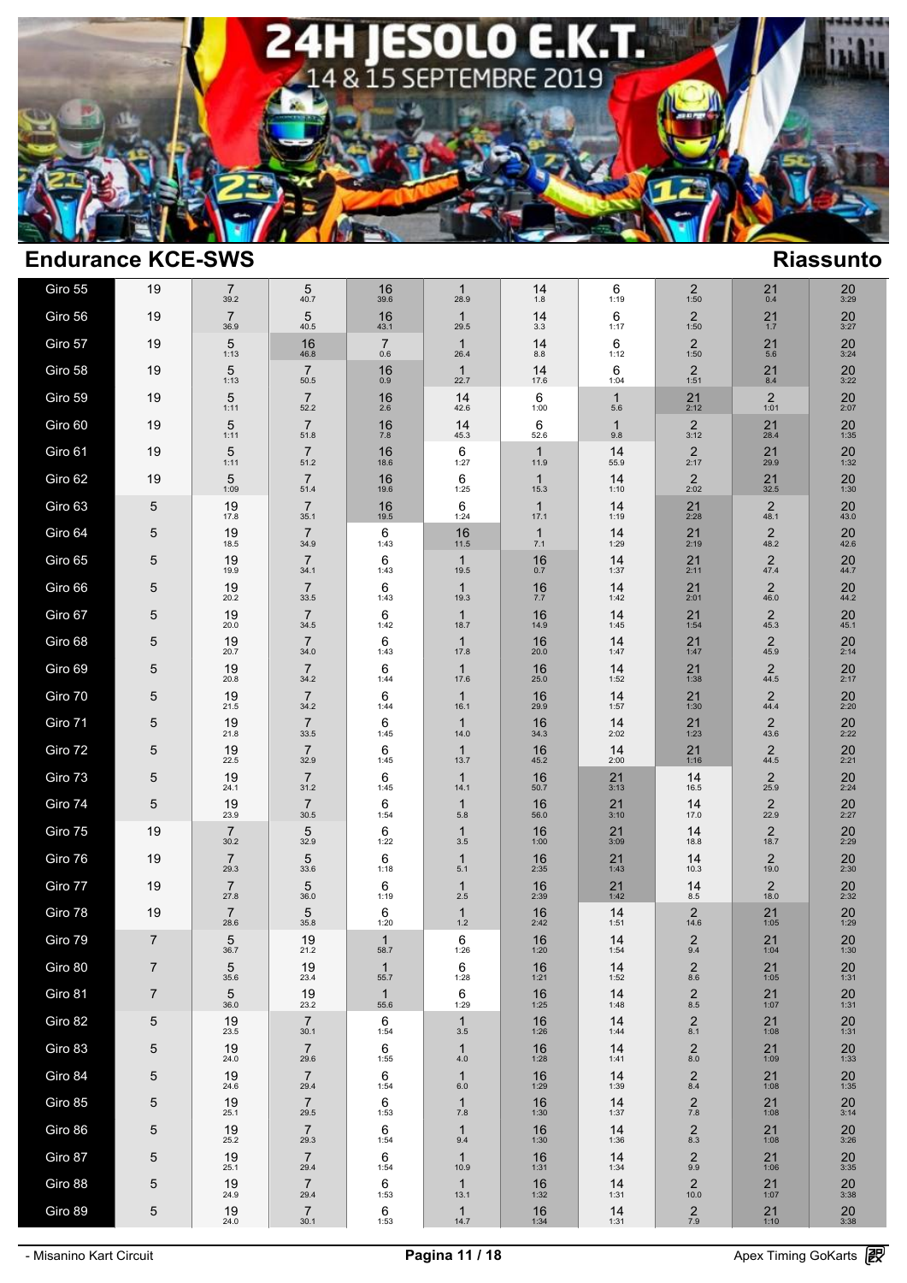

| Giro 55 | 19             | $\overline{7}$<br>39.2    | 5<br>40.7                      | 16<br>39.6                   | $\mathbf{1}$<br>28.9       | 14<br>1.8                    | 6<br>1:19             | 2<br>1:50                       | 21<br>0.4                    | 20<br>3:29                   |  |
|---------|----------------|---------------------------|--------------------------------|------------------------------|----------------------------|------------------------------|-----------------------|---------------------------------|------------------------------|------------------------------|--|
| Giro 56 | 19             | $\overline{7}$<br>36.9    | 5<br>40.5                      | 16<br>43.1                   | $\mathbf{1}$<br>29.5       | 14<br>3.3                    | 6<br>1:17             | 2<br>1:50                       | $21 \atop 1.7$               | $20$<br>3:27                 |  |
| Giro 57 | 19             | 5<br>1:13                 | 16<br>46.8                     | $\overline{7}$<br>0.6        | $\mathbf{1}$<br>26.4       | 14<br>$8.8\,$                | 6<br>1:12             | $\overline{c}$<br>1:50          | 21<br>5.6                    | 20<br>3:24                   |  |
| Giro 58 | 19             | 5                         | $\overline{7}$                 | 16<br>0.9                    | $\mathbf{1}$<br>22.7       | 14<br>17.6                   | 6                     | $\overline{2}$<br>1:51          | $^{21}_{8.4}$                | $20_{3:22}$                  |  |
| Giro 59 | 19             | 1:13<br>5                 | $50.5\,$<br>$\overline{7}$     | 16                           | 14                         | 6                            | 1:04<br>$\mathbf{1}$  | 21                              | $\overline{2}$               | 20                           |  |
| Giro 60 | 19             | 1:11<br>5                 | 52.2<br>$\overline{7}$         | 2.6<br>16                    | 42.6<br>14                 | 1:00<br>6                    | $5.6$<br>$\mathbf{1}$ | 2:12<br>2                       | 1:01<br>21                   | 2:07<br>20                   |  |
| Giro 61 | 19             | 1:11<br>5                 | 51.8<br>$\overline{7}$         | $7.8\,$<br>16                | 45.3<br>6                  | 52.6<br>$\mathbf{1}$         | 9.8<br>14             | 3:12<br>$\overline{2}$          | 28.4<br>21                   | 1:35<br>20                   |  |
| Giro 62 | 19             | 1:11<br>5                 | 51.2<br>$\overline{7}$         | 18.6<br>16                   | 1:27<br>6                  | 11.9<br>$\mathbf{1}$         | 55.9<br>14            | 2:17<br>2                       | 29.9<br>$21$ <sub>32.5</sub> | 1:32<br>$20$ <sub>1:30</sub> |  |
| Giro 63 | 5              | 1:09<br>19                | 51.4<br>$\overline{7}$         | 19.6<br>16                   | 1:25<br>6                  | 15.3<br>$\mathbf{1}$         | 1:10<br>14            | 2:02<br>21                      | $\overline{2}$               | $^{20}_{43.0}$               |  |
| Giro 64 | 5              | 17.8<br>19                | 35.1<br>$\overline{7}$         | 19.5<br>6                    | 1:24<br>16                 | 17.1<br>1                    | 1:19<br>14            | 2:28<br>21                      | 48.1<br>$\overline{2}$       | $^{20}_{42.6}$               |  |
| Giro 65 | 5              | 18.5<br>19                | 34.9<br>$\overline{7}$         | 1:43<br>6                    | 11.5<br>$\mathbf{1}$       | 7.1<br>16                    | 1:29<br>14            | 2:19<br>21                      | 48.2<br>$\overline{c}$       | 20                           |  |
| Giro 66 | 5              | 19.9<br>19                | 34.1<br>$\overline{7}$         | 1:43<br>6                    | 19.5<br>$\mathbf{1}$       | $0.7\,$<br>16                | 1:37<br>14            | 2:11<br>21                      | 47.4<br>$\mathbf 2$          | 44.7<br>20                   |  |
| Giro 67 | 5              | 20.2<br>19                | 33.5<br>$\overline{7}$         | 1:43<br>6                    | 19.3<br>$\mathbf{1}$       | $7.7\,$<br>16                | 1:42<br>14            | 2:01<br>21                      | 46.0<br>$\boldsymbol{2}$     | 44.2<br>20                   |  |
| Giro 68 | 5              | 20.0<br>19                | 34.5<br>$\overline{7}$         | 1:42<br>6                    | 18.7<br>$\mathbf{1}$       | 14.9<br>16                   | 1:45<br>14            | 1:54<br>21                      | 45.3<br>$\overline{c}$       | 45.1<br>20                   |  |
| Giro 69 | 5              | 20.7<br>19                | 34.0<br>$\overline{7}$         | 1:43<br>6                    | 17.8<br>$\mathbf{1}$       | 20.0<br>16                   | 1:47<br>14            | 1:47<br>21                      | 45.9<br>$\sqrt{2}$           | 2:14<br>$20$<br>$2:17$       |  |
| Giro 70 | 5              | 20.8<br>19                | 34.2<br>$\overline{7}$         | 1:44<br>6                    | 17.6<br>$\mathbf{1}$       | 25.0<br>16                   | 1:52<br>14            | 1:38<br>21                      | 44.5<br>$\overline{2}$       | $20$<br>$2:20$               |  |
| Giro 71 | 5              | 21.5<br>19                | 34.2<br>$\overline{7}$         | 1:44<br>6                    | 16.1<br>$\mathbf{1}$       | 29.9<br>16                   | 1:57<br>14            | 1:30<br>21                      | 44.4<br>$\sqrt{2}$           | $20$<br>$2:22$               |  |
| Giro 72 | 5              | 21.8<br>19                | 33.5<br>$\overline{7}$         | 1:45<br>6                    | 14.0<br>$\mathbf{1}$       | 34.3<br>16                   | 2:02<br>14            | 1:23<br>21                      | 43.6<br>$\sqrt{2}$           | 20                           |  |
| Giro 73 | 5              | 22.5<br>19                | 32.9<br>$\overline{7}$         | 1:45<br>6                    | 13.7<br>$\mathbf{1}$       | 45.2<br>16                   | 2:00<br>21            | 1:16<br>14                      | 44.5<br>$\sqrt{2}$           | 2:21<br>20                   |  |
| Giro 74 | 5              | 24.1<br>19                | 31.2<br>$\overline{7}$         | 1:45<br>6                    | 14.1<br>$\mathbf{1}$       | 50.7<br>16                   | 3:13<br>21            | 16.5<br>14                      | 25.9<br>$\overline{2}$       | 2:24<br>20                   |  |
| Giro 75 | 19             | 23.9<br>$\overline{7}$    | $30.5\,$<br>$\sqrt{5}$         | 1:54<br>6                    | 5.8<br>$\mathbf{1}$        | 56.0<br>16                   | 3:10<br>21            | 17.0<br>14                      | 22.9<br>$\sqrt{2}$           | 2:27<br>20                   |  |
| Giro 76 | 19             | 30.2<br>$\overline{7}$    | 32.9<br>5                      | 1:22<br>6                    | 3.5<br>$\mathbf{1}$        | 1:00<br>16                   | 3:09<br>21            | 18.8<br>14                      | 18.7<br>$\overline{2}$       | 2:29<br>20                   |  |
| Giro 77 | 19             | 29.3<br>$\overline{7}$    | 33.6<br>5                      | 1:18<br>6                    | $5.1$<br>$\mathbf{1}$      | 2:35<br>$16$ <sub>2:39</sub> | 1:43<br>21            | 10.3<br>14                      | 19.0<br>$\overline{2}$       | 2:30<br>$20$<br>$2:32$       |  |
| Giro 78 | 19             | 27.8<br>$\overline{7}$    | 36.0<br>5                      | 1:19<br>6                    | 2.5<br>$\mathbf{1}$        | 16                           | 1:42<br>14            | 8.5<br>2                        | 18.0<br>21                   | 20                           |  |
| Giro 79 | $\overline{7}$ | 28.6<br>5                 | 35.8<br>19                     | 1:20<br>$\mathbf 1$          | 1.2<br>6<br>1:26           | 2:42<br>$16 \atop 1:20$      | 1:51<br>14            | 14.6<br>$^{2}_{9.4}$            | 1:05<br>$21$<br>1:04         | 1:29<br>$20$ <sub>1:30</sub> |  |
| Giro 80 | $\overline{7}$ | 36.7<br>5                 | 21.2<br>19                     | 58.7<br>-1                   | 6                          | 16                           | 1:54<br>14            | $\overline{2}$<br>$8.6\,$       | 21                           | 20                           |  |
| Giro 81 | $\overline{7}$ | 35.6<br>5<br>36.0         | 23.4<br>19<br>23.2             | 55.7<br>$\mathbf{1}$<br>55.6 | 1:28<br>6<br>1:29          | 1:21<br>16<br>1:25           | 1:52<br>14<br>1:48    | $\underset{8.5}{\underline{2}}$ | 1:05<br>$21$<br>1:07         | 1:31<br>20<br>1:31           |  |
| Giro 82 | 5              | 19<br>23.5                | $\overline{7}$<br>30.1         | 6<br>1:54                    | $\mathbf{1}$<br>$3.5\,$    | 16<br>1:26                   | 14<br>1:44            | $^{2}_{8.1}$                    | 21<br>1:08                   | 20<br>1:31                   |  |
| Giro 83 | 5              | 19<br>24.0                | $\overline{7}$<br>29.6         | 6<br>1:55                    | $\mathbf{1}$<br>$4.0\,$    | 16<br>1:28                   | 14<br>1:41            | $\underset{8.0}{\underline{2}}$ | 21<br>1:09                   | 20<br>1:33                   |  |
| Giro 84 | 5              | 19<br>24.6                | $\overline{7}$<br>29.4         | 6<br>1:54                    | $\mathbf{1}$<br>6.0        | 16<br>1:29                   | 14<br>1:39            | $^{2}_{8.4}$                    | 21<br>1:08                   | 20<br>1:35                   |  |
| Giro 85 | 5              | 19                        | $\overline{7}$                 | 6                            | $\mathbf{1}$               | 16                           | 14                    | $\frac{2}{7.8}$                 | $21$<br>1:08                 | $\frac{20}{3:14}$            |  |
| Giro 86 | 5              | 25.1<br>$\frac{19}{25.2}$ | 29.5<br>$\overline{7}$<br>29.3 | 1:53<br>6<br>1:54            | 7.8<br>$\mathbf{1}$<br>9.4 | 1:30<br>16<br>1:30           | 1:37<br>14<br>1:36    | $^{2}_{8.3}$                    | $21$<br>1:08                 | $\frac{20}{3:26}$            |  |
| Giro 87 | 5              | $19_{25.1}$               | $\overline{7}$<br>29.4         | 6                            | $\mathbf{1}$<br>10.9       | $16$ <sub>1:31</sub>         | 14                    | $^{2}_{9.9}$                    | $21$<br>1:06                 | $\frac{20}{3:35}$            |  |
| Giro 88 | 5              | 19<br>24.9                | $\overline{7}$<br>29.4         | 1:54<br>6<br>1:53            | $\mathbf{1}$<br>13.1       | 16<br>1:32                   | 1:34<br>14<br>1:31    | $\overline{2}$<br>10.0          | 21<br>1:07                   | 20<br>3:38                   |  |
| Giro 89 | 5              | 19<br>24.0                | $\overline{7}$<br>30.1         | 6<br>1:53                    | $\mathbf{1}$<br>14.7       | $16$ <sub>1:34</sub>         | 14<br>1:31            | $\frac{2}{7.9}$                 | $21$<br>1:10                 | $20$<br>3:38                 |  |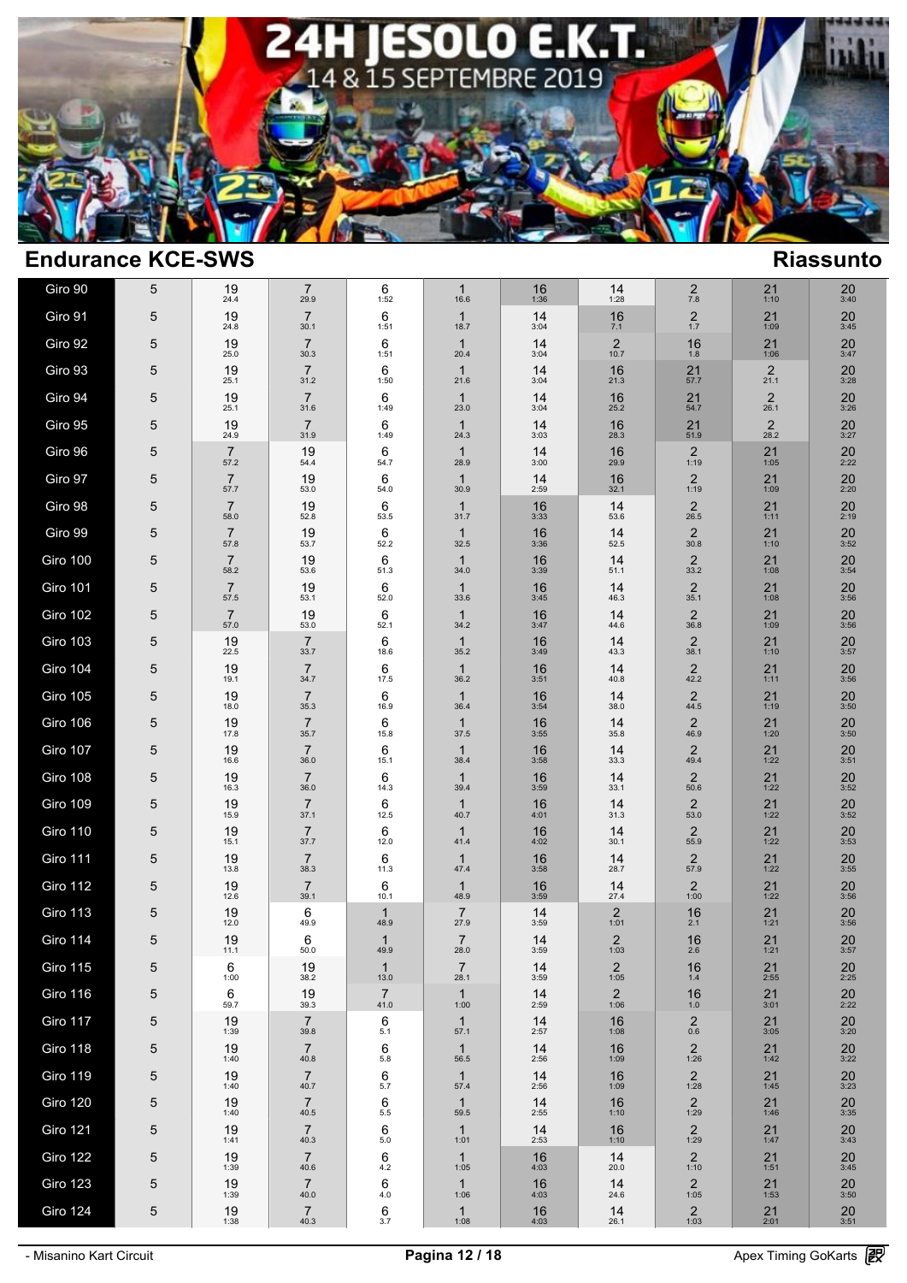

| Giro 90         | 5          | 19<br>24.4             | $\overline{7}$<br>29.9 | 6<br>1:52              | $\mathbf{1}$<br>16.6   | 16<br>1:36 | 14<br>1:28             | $\overline{\mathbf{c}}$<br>7.8    | 21<br>1:10             | 20<br>3:40        |
|-----------------|------------|------------------------|------------------------|------------------------|------------------------|------------|------------------------|-----------------------------------|------------------------|-------------------|
| Giro 91         | 5          | 19<br>24.8             | $\overline{7}$<br>30.1 | 6<br>1:51              | $\mathbf{1}$<br>18.7   | 14<br>3:04 | 16<br>7.1              | $\frac{2}{1.7}$                   | 21<br>1:09             | 20<br>3:45        |
| Giro 92         | 5          | 19<br>25.0             | $\overline{7}$<br>30.3 | 6<br>1:51              | $\mathbf{1}$<br>20.4   | 14<br>3:04 | $\overline{2}$<br>10.7 | 16<br>1.8                         | 21<br>1:06             | 20<br>3:47        |
| Giro 93         | 5          | 19<br>25.1             | $\overline{7}$<br>31.2 | 6<br>1:50              | $\mathbf{1}$<br>21.6   | 14<br>3:04 | 16<br>21.3             | 21<br>57.7                        | $\overline{2}$<br>21.1 | 20<br>3:28        |
| Giro 94         | 5          | 19<br>25.1             | $\overline{7}$<br>31.6 | 6<br>1:49              | $\mathbf{1}$<br>23.0   | 14<br>3:04 | 16<br>25.2             | 21<br>54.7                        | $\overline{2}$<br>26.1 | 20<br>3:26        |
| Giro 95         | 5          | 19<br>24.9             | $\overline{7}$<br>31.9 | 6<br>1:49              | $\mathbf{1}$<br>24.3   | 14<br>3:03 | 16<br>28.3             | 21<br>51.9                        | $\overline{2}$<br>28.2 | $20$<br>3:27      |
| Giro 96         | 5          | $\overline{7}$<br>57.2 | 19<br>54.4             | 6<br>54.7              | $\mathbf{1}$<br>28.9   | 14<br>3:00 | 16<br>29.9             | $\overline{2}$<br>1:19            | 21<br>1:05             | 20<br>2:22        |
| Giro 97         | 5          | $\overline{7}$<br>57.7 | 19<br>53.0             | 6<br>54.0              | $\mathbf{1}$<br>30.9   | 14<br>2:59 | 16<br>32.1             | $\overline{2}$<br>1:19            | 21<br>1:09             | 20<br>2:20        |
| Giro 98         | 5          | $\overline{7}$<br>58.0 | 19<br>52.8             | 6<br>53.5              | $\mathbf{1}$<br>31.7   | 16<br>3:33 | 14<br>53.6             | $\overline{2}$<br>26.5            | 21<br>1:11             | 20<br>2:19        |
| Giro 99         | 5          | $\overline{7}$<br>57.8 | 19<br>53.7             | 6<br>52.2              | $\mathbf{1}$<br>32.5   | 16<br>3:36 | 14<br>52.5             | 2<br>30.8                         | 21<br>1:10             | $20_{3:52}$       |
| Giro 100        | 5          | $\overline{7}$<br>58.2 | 19<br>53.6             | 6<br>51.3              | $\mathbf{1}$<br>34.0   | 16<br>3:39 | 14<br>51.1             | $\overline{2}$<br>33.2            | $21$<br>1:08           | $\frac{20}{3:54}$ |
| Giro 101        | 5          | $\overline{7}$<br>57.5 | 19<br>53.1             | 6<br>52.0              | $\mathbf{1}$<br>33.6   | 16<br>3:45 | 14<br>46.3             | 2<br>35.1                         | $21$<br>1:08           | 20<br>3:56        |
| <b>Giro 102</b> | 5          | $\overline{7}$<br>57.0 | 19<br>53.0             | 6<br>52.1              | $\mathbf{1}$<br>34.2   | 16<br>3:47 | 14<br>44.6             | $\overline{2}$<br>36.8            | 21<br>1:09             | $\frac{20}{3:56}$ |
| <b>Giro 103</b> | 5          | 19<br>22.5             | $\overline{7}$<br>33.7 | 6<br>18.6              | $\mathbf{1}$<br>35.2   | 16<br>3:49 | 14<br>43.3             | $\overline{2}$<br>38.1            | 21<br>1:10             | 20<br>3:57        |
| Giro 104        | 5          | 19<br>19.1             | $\overline{7}$<br>34.7 | 6<br>17.5              | $\mathbf{1}$<br>36.2   | 16<br>3:51 | 14<br>40.8             | $\overline{2}$<br>42.2            | 21<br>1:11             | 20<br>3:56        |
| <b>Giro 105</b> | 5          | 19<br>18.0             | $\overline{7}$<br>35.3 | 6<br>16.9              | $\mathbf{1}$<br>36.4   | 16<br>3:54 | 14<br>38.0             | 2<br>44.5                         | 21<br>1:19             | 20<br>3:50        |
| Giro 106        | 5          | 19<br>17.8             | $\overline{7}$<br>35.7 | 6<br>15.8              | $\mathbf{1}$<br>37.5   | 16<br>3:55 | 14<br>35.8             | $\overline{2}$<br>46.9            | 21<br>1:20             | $\frac{20}{3:50}$ |
| Giro 107        | 5          | 19<br>16.6             | $\overline{7}$<br>36.0 | 6<br>15.1              | $\mathbf{1}$<br>38.4   | 16<br>3:58 | 14<br>33.3             | $\overline{2}$<br>49.4            | 21<br>1:22             | 20<br>3:51        |
| Giro 108        | 5          | 19<br>16.3             | $\overline{7}$<br>36.0 | 6<br>14.3              | $\mathbf{1}$<br>39.4   | 16<br>3:59 | 14<br>33.1             | $\overline{2}$<br>50.6            | 21<br>1:22             | 20<br>3:52        |
| <b>Giro 109</b> | 5          | 19<br>15.9             | $\overline{7}$<br>37.1 | 6<br>12.5              | $\mathbf{1}$<br>40.7   | 16<br>4:01 | 14<br>31.3             | 2<br>53.0                         | 21<br>1:22             | 20<br>3:52        |
| <b>Giro 110</b> | 5          | 19<br>15.1             | $\overline{7}$<br>37.7 | 6<br>12.0              | $\mathbf{1}$<br>41.4   | 16<br>4:02 | 14<br>30.1             | $\mathbf 2$<br>55.9               | 21<br>1:22             | 20<br>3:53        |
| Giro 111        | 5          | 19<br>13.8             | $\overline{7}$<br>38.3 | 6<br>11.3              | $\mathbf{1}$<br>47.4   | 16<br>3:58 | 14<br>28.7             | $\overline{2}$<br>57.9            | 21<br>1:22             | 20<br>3:55        |
| Giro 112        | 5          | 19<br>12.6             | $\overline{7}$<br>39.1 | 6<br>10.1              | $\mathbf{1}$<br>48.9   | 16<br>3:59 | 14<br>27.4             | $\overline{\mathbf{c}}$<br>1:00   | 21<br>1:22             | 20<br>3:56        |
| <b>Giro 113</b> | 5          | 19<br>12.0             | 6<br>49.9              | $\mathbf 1$<br>48.9    | $\overline{7}$<br>27.9 | 14<br>3:59 | $\overline{2}$<br>1:01 | 16<br>2.1                         | 21<br>1:21             | 20<br>3:56        |
| Giro 114        | 5          | 19<br>11.1             | 6<br>50.0              | $\mathbf 1$<br>49.9    | $\overline{7}$<br>28.0 | 14<br>3:59 | $2$ <sub>1:03</sub>    | 16<br>2.6                         | 21<br>1:21             | $\frac{20}{3:57}$ |
| <b>Giro 115</b> | 5          | 6<br>1:00              | 19<br>38.2             | $\mathbf{1}$<br>13.0   | $\overline{7}$<br>28.1 | 14<br>3:59 | $\overline{c}$<br>1:05 | 16<br>$1.4$                       | $21$<br>$2:55$         | 20<br>2:25        |
| Giro 116        | 5          | 6<br>59.7              | 19<br>39.3             | $\overline{7}$<br>41.0 | $\mathbf{1}$<br>1:00   | 14<br>2:59 | $\frac{2}{1:06}$       | 16<br>$1.0\,$                     | $21$<br>3:01           | $20$<br>$2:22$    |
| Giro 117        | 5          | 19<br>1:39             | $\overline{7}$<br>39.8 | 6<br>5.1               | $\mathbf{1}$<br>57.1   | 14<br>2:57 | 16<br>1:08             | $^{\,2}_{\scriptscriptstyle 0.6}$ | $21$<br>3:05           | $\frac{20}{3:20}$ |
| Giro 118        | 5          | 19<br>1:40             | $\overline{7}$<br>40.8 | 6<br>5.8               | $\mathbf{1}$<br>56.5   | 14<br>2:56 | 16<br>1:09             | $2$ <sub>1:26</sub>               | $21$<br>1:42           | $20_{3:22}$       |
| Giro 119        | 5          | 19<br>1:40             | $\overline{7}$<br>40.7 | 6<br>5.7               | $\mathbf{1}$<br>57.4   | 14<br>2:56 | 16<br>1:09             | $\boldsymbol{2}$<br>1:28          | 21<br>1:45             | 20<br>3:23        |
| <b>Giro 120</b> | 5          | 19<br>1:40             | $\overline{7}$<br>40.5 | 6<br>$5.5\,$           | $\mathbf{1}$<br>59.5   | 14<br>2:55 | 16<br>1:10             | $\overline{\mathbf{c}}$<br>1:29   | $21$<br>1:46           | 20<br>3:35        |
| <b>Giro 121</b> | 5          | 19<br>1:41             | $\overline{7}$<br>40.3 | 6<br>5.0               | $\mathbf{1}$<br>1:01   | 14<br>2:53 | 16<br>1:10             | $2$ <sub>1:29</sub>               | 21<br>1:47             | $20_{3:43}$       |
| Giro 122        | 5          | 19<br>1:39             | $\overline{7}$<br>40.6 | 6<br>$4.2\,$           | $\mathbf{1}$<br>1:05   | 16<br>4:03 | 14<br>20.0             | $2$ <sub>1:10</sub>               | $21$<br>1:51           | $\frac{20}{3:45}$ |
| <b>Giro 123</b> | 5          | 19<br>1:39             | $\overline{7}$<br>40.0 | 6<br>$4.0\,$           | $\mathbf{1}$<br>1:06   | $16\n4:03$ | 14<br>24.6             | $\overline{2}$<br>1:05            | $21$<br>1:53           | $\frac{20}{3:50}$ |
| Giro 124        | $\sqrt{5}$ | $\frac{19}{1:38}$      | $\overline{7}$<br>40.3 | $rac{6}{3.7}$          | $\frac{1}{1:08}$       | $16\n4:03$ | $14$<br>$26.1$         | $2$ <sub>1:03</sub>               | $21$<br>$2:01$         | $20_{3:51}$       |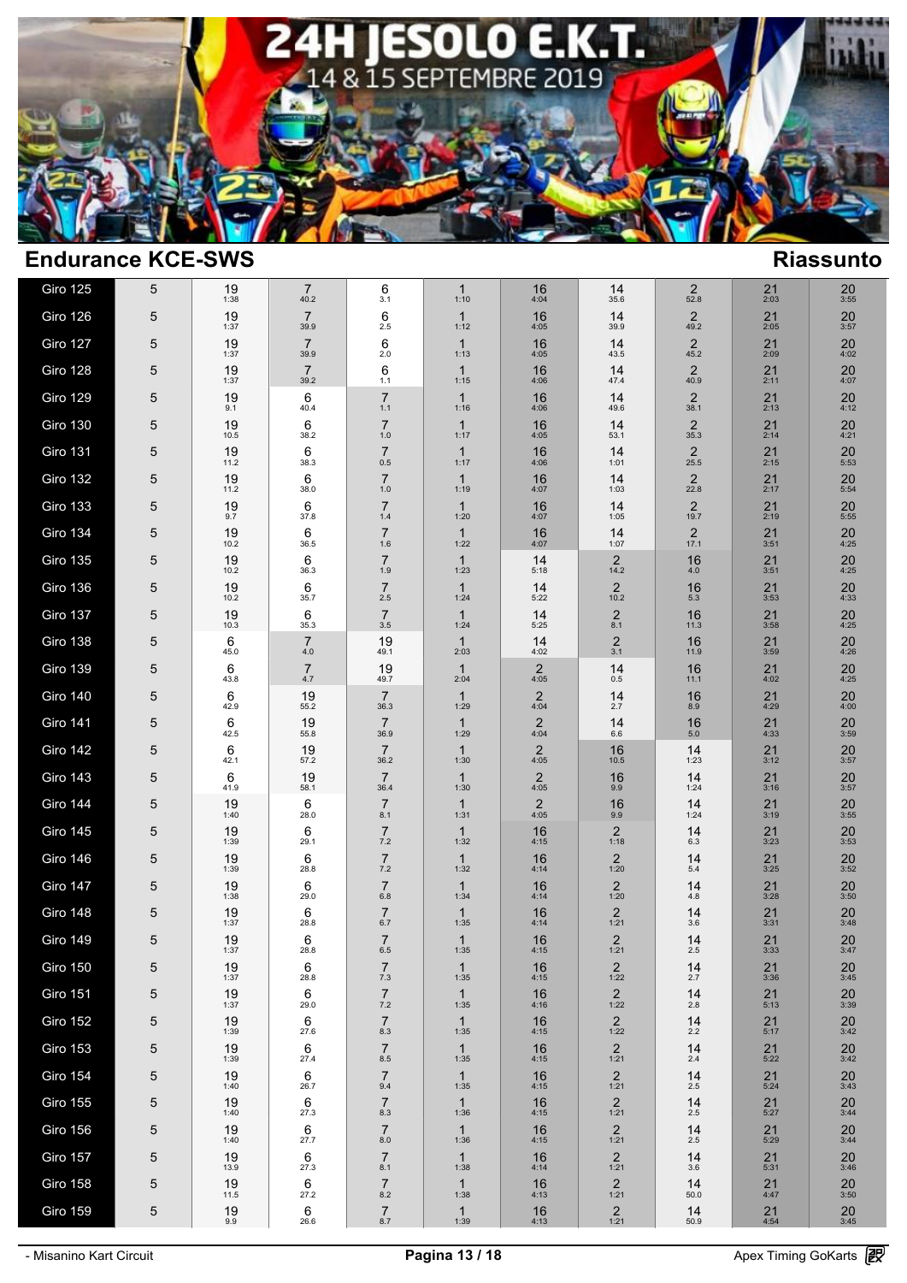

| Giro 125        | 5 | 19<br>1:38 | 7<br>40.2              | 6<br>3.1                  | $\mathbf{1}$<br>1:10 | 16<br>4:04             | 14<br>35.6                      | 2<br>52.8              | 21<br>2:03           | 20<br>3:55        |  |
|-----------------|---|------------|------------------------|---------------------------|----------------------|------------------------|---------------------------------|------------------------|----------------------|-------------------|--|
| Giro 126        | 5 | 19<br>1:37 | $\overline{7}$<br>39.9 | 6<br>2.5                  | $\mathbf{1}$<br>1:12 | 16<br>4:05             | 14<br>39.9                      | 2<br>49.2              | $21$<br>$2:05$       | 20<br>3:57        |  |
| Giro 127        | 5 | 19<br>1:37 | $\overline{7}$<br>39.9 | 6<br>2.0                  | $\mathbf{1}$<br>1:13 | 16<br>4:05             | 14<br>43.5                      | 2<br>45.2              | 21<br>2:09           | 20<br>4:02        |  |
| Giro 128        | 5 | 19<br>1:37 | $\overline{7}$<br>39.2 | 6<br>1.1                  | $\mathbf{1}$<br>1:15 | 16<br>4:06             | 14<br>47.4                      | 2<br>40.9              | 21<br>2:11           | 20<br>4:07        |  |
| Giro 129        | 5 | 19<br>9.1  | 6<br>40.4              | $\overline{7}$<br>1.1     | $\mathbf{1}$<br>1:16 | 16<br>4:06             | 14<br>49.6                      | 2<br>38.1              | 21<br>2:13           | 20<br>4:12        |  |
| Giro 130        | 5 | 19<br>10.5 | 6<br>38.2              | $\overline{7}$<br>1.0     | $\mathbf{1}$<br>1:17 | 16<br>4:05             | 14<br>53.1                      | 2<br>35.3              | 21<br>2:14           | 20<br>4:21        |  |
| Giro 131        | 5 | 19<br>11.2 | 6<br>38.3              | $\overline{7}$<br>0.5     | $\mathbf{1}$<br>1:17 | 16<br>4:06             | 14<br>1:01                      | 2<br>25.5              | 21<br>2:15           | 20<br>5:53        |  |
| <b>Giro 132</b> | 5 | 19<br>11.2 | 6<br>38.0              | $\overline{7}$<br>1.0     | $\mathbf{1}$<br>1:19 | 16<br>4:07             | 14<br>1:03                      | 2<br>22.8              | 21<br>2:17           | 20<br>5:54        |  |
| Giro 133        | 5 | 19<br>9.7  | 6<br>37.8              | $\overline{7}$<br>1.4     | $\mathbf{1}$<br>1:20 | 16<br>4:07             | 14<br>1:05                      | $\overline{2}$<br>19.7 | 21<br>2:19           | 20<br>5:55        |  |
| Giro 134        | 5 | 19<br>10.2 | 6<br>36.5              | $\overline{7}$<br>1.6     | $\mathbf{1}$<br>1:22 | 16<br>4:07             | 14<br>1:07                      | 2<br>17.1              | 21<br>3:51           | 20<br>4:25        |  |
| Giro 135        | 5 | 19<br>10.2 | 6<br>36.3              | $\overline{7}$<br>1.9     | $\mathbf{1}$<br>1:23 | 14<br>5:18             | $\overline{2}$<br>14.2          | 16<br>4.0              | 21<br>3:51           | 20<br>4:25        |  |
| Giro 136        | 5 | 19<br>10.2 | 6<br>35.7              | $\overline{7}$<br>2.5     | $\mathbf{1}$<br>1:24 | 14<br>5:22             | $\overline{c}$<br>10.2          | 16<br>5.3              | 21<br>3:53           | 20<br>4:33        |  |
| Giro 137        | 5 | 19<br>10.3 | 6<br>35.3              | $\overline{7}$<br>3.5     | $\mathbf{1}$<br>1:24 | 14<br>5:25             | $\mathbf 2$<br>8.1              | 16<br>11.3             | 21<br>3:58           | 20<br>4:25        |  |
| Giro 138        | 5 | 6<br>45.0  | 7<br>4.0               | 19<br>49.1                | $\mathbf{1}$<br>2:03 | 14<br>4:02             | $\overline{c}$<br>3.1           | 16<br>11.9             | 21<br>3:59           | 20<br>4:26        |  |
| Giro 139        | 5 | 6<br>43.8  | $\overline{7}$<br>4.7  | 19<br>49.7                | $\mathbf{1}$<br>2:04 | $\overline{2}$<br>4:05 | 14<br>0.5                       | 16<br>11.1             | 21<br>4:02           | 20<br>4:25        |  |
| Giro 140        | 5 | 6<br>42.9  | 19<br>55.2             | $\overline{7}$<br>36.3    | $\mathbf{1}$<br>1:29 | $\overline{2}$<br>4:04 | 14<br>2.7                       | 16<br>8.9              | 21<br>4:29           | 20<br>4:00        |  |
| Giro 141        | 5 | 6<br>42.5  | 19<br>55.8             | $\overline{7}$<br>36.9    | $\mathbf{1}$<br>1:29 | $\overline{2}$<br>4:04 | 14<br>6.6                       | 16<br>5.0              | $21$<br>4:33         | 20<br>3:59        |  |
| Giro 142        | 5 | 6<br>42.1  | 19<br>57.2             | $\overline{7}$<br>36.2    | $\mathbf{1}$<br>1:30 | $\overline{2}$<br>4:05 | 16<br>10.5                      | 14<br>1:23             | 21<br>3:12           | 20<br>3:57        |  |
| Giro 143        | 5 | 6<br>41.9  | 19<br>58.1             | $\overline{7}$<br>36.4    | $\mathbf{1}$<br>1:30 | $\sqrt{2}$<br>4:05     | 16<br>9.9                       | 14<br>1:24             | 21<br>3:16           | 20<br>3:57        |  |
| Giro 144        | 5 | 19<br>1:40 | 6<br>28.0              | $\overline{7}$<br>8.1     | $\mathbf{1}$<br>1:31 | $\overline{2}$<br>4:05 | 16<br>9.9                       | 14<br>1:24             | 21<br>3:19           | 20<br>3:55        |  |
| Giro 145        | 5 | 19<br>1:39 | 6<br>29.1              | $\overline{7}$<br>7.2     | $\mathbf{1}$<br>1:32 | 16<br>4:15             | 2<br>1:18                       | 14<br>6.3              | 21<br>3:23           | 20<br>3:53        |  |
| Giro 146        | 5 | 19<br>1:39 | 6<br>28.8              | $\overline{7}$<br>7.2     | $\mathbf{1}$<br>1:32 | 16<br>4:14             | 2<br>1:20                       | 14<br>5.4              | 21<br>3:25           | 20<br>3:52        |  |
| Giro 147        | 5 | 19<br>1:38 | 6<br>29.0              | $\overline{7}$<br>6.8     | $\mathbf{1}$<br>1:34 | 16<br>4:14             | 2<br>1:20                       | 14<br>4.8              | 21<br>3:28           | 20<br>3:50        |  |
| Giro 148        | 5 | 19<br>1:37 | 6<br>28.8              | $\overline{7}$<br>6.7     | $\mathbf{1}$<br>1:35 | 16<br>4:14             | $\overline{2}$<br>1:21          | 14<br>3.6              | 21<br>3:31           | 20<br>3:48        |  |
| Giro 149        | 5 | 19<br>1:37 | 6<br>28.8              | $\overline{7}$<br>6.5     | $\mathbf{1}$<br>1:35 | 16<br>4:15             | $\overline{2}$<br>1:21          | 14<br>2.5              | 21<br>3:33           | $\frac{20}{3:47}$ |  |
| Giro 150        | 5 | 19<br>1:37 | 6<br>28.8              | $\overline{7}$<br>7.3     | 1<br>1:35            | 16<br>4:15             | $\overline{2}$<br>1:22          | 14<br>2.7              | 21<br>3:36           | 20<br>3:45        |  |
| <b>Giro 151</b> | 5 | 19<br>1:37 | 6<br>29.0              | $\overline{7}$<br>$7.2\,$ | $\mathbf{1}$<br>1:35 | 16<br>4:16             | $\overline{2}$<br>1:22          | 14<br>$2.8$            | 21<br>5:13           | $20\,$<br>3:39    |  |
| Giro 152        | 5 | 19<br>1:39 | 6<br>27.6              | $\overline{7}$<br>8.3     | $\mathbf{1}$<br>1:35 | 16<br>4:15             | $\overline{c}$<br>1:22          | 14<br>2.2              | 21<br>5:17           | 20<br>3:42        |  |
| Giro 153        | 5 | 19<br>1:39 | 6<br>27.4              | $\overline{7}$<br>$8.5\,$ | $\mathbf{1}$<br>1:35 | 16<br>4:15             | $\overline{c}$<br>1:21          | 14<br>2.4              | 21<br>5:22           | 20<br>3:42        |  |
| Giro 154        | 5 | 19<br>1:40 | 6<br>26.7              | $\overline{7}$<br>9.4     | $\mathbf{1}$<br>1:35 | 16<br>4:15             | $\overline{\mathbf{c}}$<br>1:21 | 14<br>2.5              | 21<br>5:24           | $\frac{20}{3:43}$ |  |
| Giro 155        | 5 | 19<br>1:40 | 6<br>27.3              | $\overline{7}$<br>8.3     | $\mathbf{1}$<br>1:36 | 16<br>4:15             | $\frac{2}{1:21}$                | 14<br>$2.5\,$          | $21$<br>5:27         | $\frac{20}{3:44}$ |  |
| Giro 156        | 5 | 19<br>1:40 | 6<br>27.7              | $\overline{7}$<br>8.0     | $\mathbf{1}$<br>1:36 | 16<br>4:15             | $\overline{2}$<br>1:21          | 14<br>2.5              | $21$<br>$5:29$       | 20<br>3:44        |  |
| Giro 157        | 5 | 19<br>13.9 | 6<br>27.3              | $\overline{7}$<br>8.1     | $\mathbf{1}$<br>1:38 | 16<br>4:14             | $\overline{2}$<br>1:21          | 14<br>3.6              | $21$ <sub>5:31</sub> | $\frac{20}{3:46}$ |  |
| Giro 158        | 5 | 19<br>11.5 | 6<br>27.2              | $\overline{7}$<br>$8.2\,$ | $\mathbf{1}$<br>1:38 | 16<br>4:13             | $\overline{2}$<br>1:21          | 14<br>50.0             | 21<br>4:47           | $\frac{20}{3:50}$ |  |
| Giro 159        | 5 | 19<br>9.9  | 6<br>26.6              | $\overline{7}$<br>8.7     | $\mathbf{1}$<br>1:39 | $16$ <sub>4:13</sub>   | $\frac{2}{1:21}$                | 14<br>50.9             | $21$<br>4:54         | $\frac{20}{3:45}$ |  |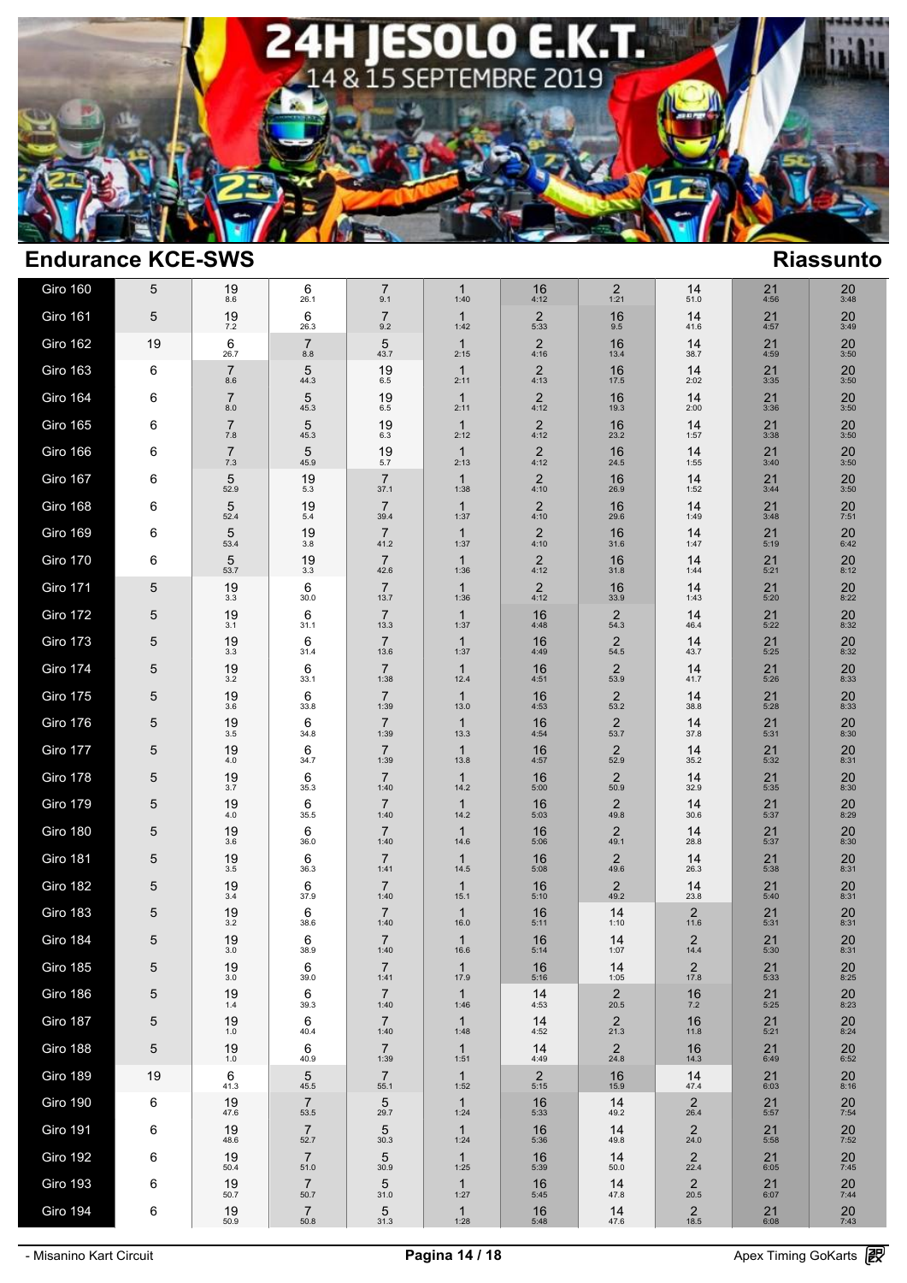

| Giro 160        | 5  | 19                     | 6                          | $\overline{7}$                 | $\mathbf{1}$                 | 16                     | $\overline{2}$                 | 14                              | 21                 | 20                   |
|-----------------|----|------------------------|----------------------------|--------------------------------|------------------------------|------------------------|--------------------------------|---------------------------------|--------------------|----------------------|
| <b>Giro 161</b> | 5  | 8.6<br>19              | 26.1<br>6                  | 9.1<br>$\overline{7}$          | 1:40<br>$\mathbf{1}$         | 4:12<br>$\overline{2}$ | 1:21<br>16                     | 51.0<br>14                      | 4:56<br>21         | 3:48<br>20           |
| Giro 162        | 19 | 7.2<br>6               | 26.3<br>7                  | 9.2<br>5                       | 1:42<br>$\mathbf{1}$         | 5:33<br>$\overline{c}$ | 9.5<br>16                      | 41.6<br>14                      | 4:57<br>21         | 3:49<br>20           |
| <b>Giro 163</b> | 6  | 26.7<br>$\overline{7}$ | $8.8\,$<br>5               | 43.7<br>19                     | 2:15<br>$\mathbf{1}$         | 4:16<br>$\overline{c}$ | 13.4<br>16                     | 38.7<br>14                      | 4:59<br>21         | 3:50<br>20           |
| <b>Giro 164</b> | 6  | 8.6<br>$\overline{7}$  | 44.3<br>5                  | 6.5<br>19                      | 2:11<br>$\mathbf{1}$         | 4:13<br>$\overline{c}$ | 17.5<br>16                     | 2:02<br>14                      | 3:35<br>21         | 3:50<br>20           |
| <b>Giro 165</b> | 6  | 8.0<br>$\overline{7}$  | 45.3<br>5                  | 6.5<br>19                      | 2:11<br>$\mathbf{1}$         | 4:12<br>$2$<br>4:12    | 19.3<br>16                     | 2:00<br>14                      | 3:36<br>21         | 3:50<br>20           |
| Giro 166        | 6  | 7.8<br>$\overline{7}$  | 45.3<br>5                  | 6.3<br>19                      | 2:12<br>$\mathbf{1}$         | $\overline{2}$         | 23.2<br>16                     | 1:57<br>14                      | 3:38<br>21         | 3:50<br>20           |
| Giro 167        | 6  | 7.3<br>5               | 45.9<br>19                 | 5.7<br>$\overline{7}$          | 2:13<br>$\mathbf{1}$         | 4:12<br>$\overline{2}$ | 24.5<br>16                     | 1:55<br>14                      | 3:40<br>21         | 3:50<br>20           |
| Giro 168        | 6  | 52.9<br>5              | 5.3<br>19                  | 37.1<br>$\overline{7}$         | 1:38<br>$\mathbf{1}$         | 4:10<br>$\overline{2}$ | 26.9<br>16                     | 1:52<br>14                      | 3:44<br>21         | 3:50<br>20           |
| <b>Giro 169</b> | 6  | 52.4<br>5              | 5.4<br>19                  | 39.4<br>$\overline{7}$         | 1:37<br>$\mathbf{1}$         | 4:10<br>$\overline{2}$ | 29.6<br>16                     | 1:49<br>14                      | 3:48<br>21         | 7:51<br>20           |
| <b>Giro 170</b> | 6  | 53.4<br>5              | $3.8\,$<br>19              | 41.2<br>$\overline{7}$         | 1:37<br>$\mathbf{1}$         | 4:10<br>$\overline{c}$ | 31.6<br>16                     | 1:47<br>14                      | 5:19<br>21         | 6:42<br>20           |
| Giro 171        | 5  | 53.7<br>19             | 3.3<br>6                   | 42.6<br>$\overline{7}$         | 1:36<br>$\mathbf{1}$         | 4:12<br>$\overline{c}$ | 31.8<br>16                     | 1:44<br>14                      | 5:21<br>21         | 8:12<br>20           |
| Giro 172        | 5  | 3.3<br>19              | 30.0<br>6                  | 13.7<br>$\overline{7}$         | 1:36<br>$\mathbf{1}$         | 4:12<br>16             | 33.9<br>2                      | 1:43<br>14                      | 5:20<br>21         | 8:22<br>20           |
| Giro 173        | 5  | 3.1<br>19              | 31.1<br>6                  | 13.3<br>$\overline{7}$         | 1:37<br>$\mathbf{1}$         | 4:48<br>16             | 54.3<br>2                      | 46.4<br>14                      | 5:22<br>21         | 8:32<br>20           |
| Giro 174        | 5  | 3.3<br>19              | 31.4<br>6                  | 13.6<br>$\overline{7}$         | 1:37<br>$\mathbf{1}$         | 4:49<br>16             | 54.5<br>$\overline{2}$         | 43.7<br>14                      | 5:25<br>21         | 8:32<br>20           |
| Giro 175        | 5  | 3.2<br>19              | 33.1<br>6                  | 1:38<br>$\overline{7}$         | 12.4<br>$\mathbf{1}$         | 4:51<br>16             | 53.9<br>$\overline{2}$         | 41.7<br>14                      | 5:26<br>21         | 8:33<br>20           |
| Giro 176        | 5  | 3.6<br>19              | 33.8<br>6                  | 1:39<br>$\overline{7}$         | 13.0<br>$\mathbf{1}$         | 4:53<br>16             | 53.2<br>$\overline{2}$         | 38.8<br>14                      | 5:28<br>21         | 8:33<br>20           |
| Giro 177        | 5  | 3.5<br>19              | 34.8<br>6                  | 1:39<br>$\overline{7}$         | 13.3<br>$\mathbf{1}$         | 4:54<br>16             | 53.7<br>$\overline{2}$         | 37.8<br>14                      | 5:31<br>21         | 8:30<br>20           |
| Giro 178        | 5  | 4.0<br>19              | 34.7<br>6                  | 1:39<br>$\overline{7}$         | 13.8<br>$\mathbf{1}$         | 4:57<br>16             | 52.9<br>$\overline{2}$         | 35.2<br>14                      | 5:32<br>21         | 8:31<br>20           |
| <b>Giro 179</b> | 5  | 3.7<br>19              | 35.3<br>6                  | 1:40<br>$\overline{7}$         | 14.2<br>$\mathbf{1}$         | 5:00<br>16             | 50.9<br>$\overline{2}$         | 32.9<br>14                      | 5:35<br>21         | 8:30<br>20           |
| Giro 180        | 5  | 4.0<br>19              | 35.5<br>6                  | 1:40<br>$\overline{7}$         | 14.2<br>$\mathbf{1}$         | 5:03<br>16             | 49.8<br>$\overline{2}$         | 30.6<br>14                      | 5:37<br>21         | 8:29<br>20           |
| <b>Giro 181</b> | 5  | 3.6<br>19              | 36.0<br>6                  | 1:40<br>$\overline{7}$         | 14.6<br>$\mathbf{1}$         | 5:06<br>16             | 49.1<br>$\overline{2}$         | 28.8<br>14                      | 5:37<br>21         | 8:30<br>20           |
| Giro 182        | 5  | 3.5<br>19              | 36.3<br>6                  | 1:41<br>$\overline{7}$         | 14.5<br>$\mathbf{1}$         | 5:08<br>16             | 49.6<br>$\overline{2}$<br>49.2 | 26.3<br>14                      | 5:38<br>21         | 8:31<br>20           |
| Giro 183        | 5  | 3.4<br>19              | 37.9<br>6                  | 1:40<br>$\overline{7}$         | 15.1<br>$\mathbf{1}$         | 5:10<br>16             | 14                             | 23.8<br>2                       | 5:40<br>21         | 8:31<br>20           |
| Giro 184        | 5  | 3.2<br>19<br>3.0       | 38.6<br>6<br>38.9          | 1:40<br>$\overline{7}$<br>1:40 | 16.0<br>$\mathbf{1}$<br>16.6 | 5:11<br>16<br>5:14     | 1:10<br>14<br>1:07             | 11.6<br>$\overline{2}$<br>14.4  | 5:31<br>21<br>5:30 | 8:31<br>20<br>8:31   |
| <b>Giro 185</b> | 5  | 19<br>3.0              | 6<br>39.0                  | $\overline{7}$<br>1:41         | $\mathbf{1}$<br>17.9         | 16<br>5:16             | 14<br>1:05                     | $\overline{2}$<br>17.8          | 21<br>5:33         | 20<br>8:25           |
| Giro 186        | 5  | 19<br>$1.4$            | 6<br>39.3                  | $\overline{7}$<br>1:40         | $\mathbf{1}$<br>1:46         | 14<br>4:53             | $\overline{2}$<br>20.5         | 16<br>$7.2\,$                   | 21<br>5:25         | 20<br>8:23           |
| Giro 187        | 5  | 19<br>1.0              | 6<br>40.4                  | $\overline{7}$<br>1:40         | $\mathbf{1}$<br>1:48         | 14<br>4:52             | $\frac{2}{21.3}$               | 16<br>11.8                      | 21<br>5:21         | $20$ <sub>8:24</sub> |
| Giro 188        | 5  | 19<br>1.0              | 6<br>40.9                  | $\overline{7}$<br>1:39         | $\mathbf{1}$<br>1:51         | 14<br>4:49             | $\overline{c}$<br>24.8         | 16<br>14.3                      | 21<br>6:49         | $20$<br>6:52         |
| <b>Giro 189</b> | 19 | 6<br>41.3              | 5<br>45.5                  | $\overline{7}$<br>55.1         | $\mathbf{1}$<br>1:52         | $\overline{2}$<br>5:15 | 16<br>15.9                     | 14<br>47.4                      | 21<br>6:03         | $20_{8:16}$          |
| Giro 190        | 6  | 19<br>47.6             | $\overline{7}$<br>53.5     | 5<br>29.7                      | $\mathbf{1}$<br>1:24         | 16<br>5:33             | 14<br>49.2                     | $\overline{2}$<br>26.4          | $21$<br>5:57       | $\frac{20}{7:54}$    |
| <b>Giro 191</b> | 6  | 19<br>48.6             | $\overline{7}$<br>52.7     | 5<br>30.3                      | $\mathbf{1}$<br>1:24         | 16<br>5:36             | 14<br>49.8                     | $\overline{2}$<br>24.0          | 21<br>5:58         | $20$<br>7:52         |
| <b>Giro 192</b> | 6  | 19<br>50.4             | $\overline{7}$<br>51.0     | 5<br>30.9                      | $\mathbf{1}$<br>1:25         | 16<br>5:39             | 14<br>50.0                     | $\frac{2}{22.4}$                | $21_{6:05}$        | $\frac{20}{7:45}$    |
| <b>Giro 193</b> | 6  | 19<br>50.7             | $\overline{7}$<br>$50.7\,$ | $\frac{5}{31.0}$               | $\mathbf{1}$<br>1:27         | 16<br>5:45             | 14<br>47.8                     | $\overline{\mathbf{c}}$<br>20.5 | 21<br>6:07         | 20<br>7:44           |
| Giro 194        | 6  | 19<br>50.9             | $\overline{7}$<br>50.8     | $\frac{5}{31.3}$               | 1.28                         | $16$ <sub>5:48</sub>   | 14<br>47.6                     | $\frac{2}{18.5}$                | $21$<br>$6:08$     | $20$<br>7:43         |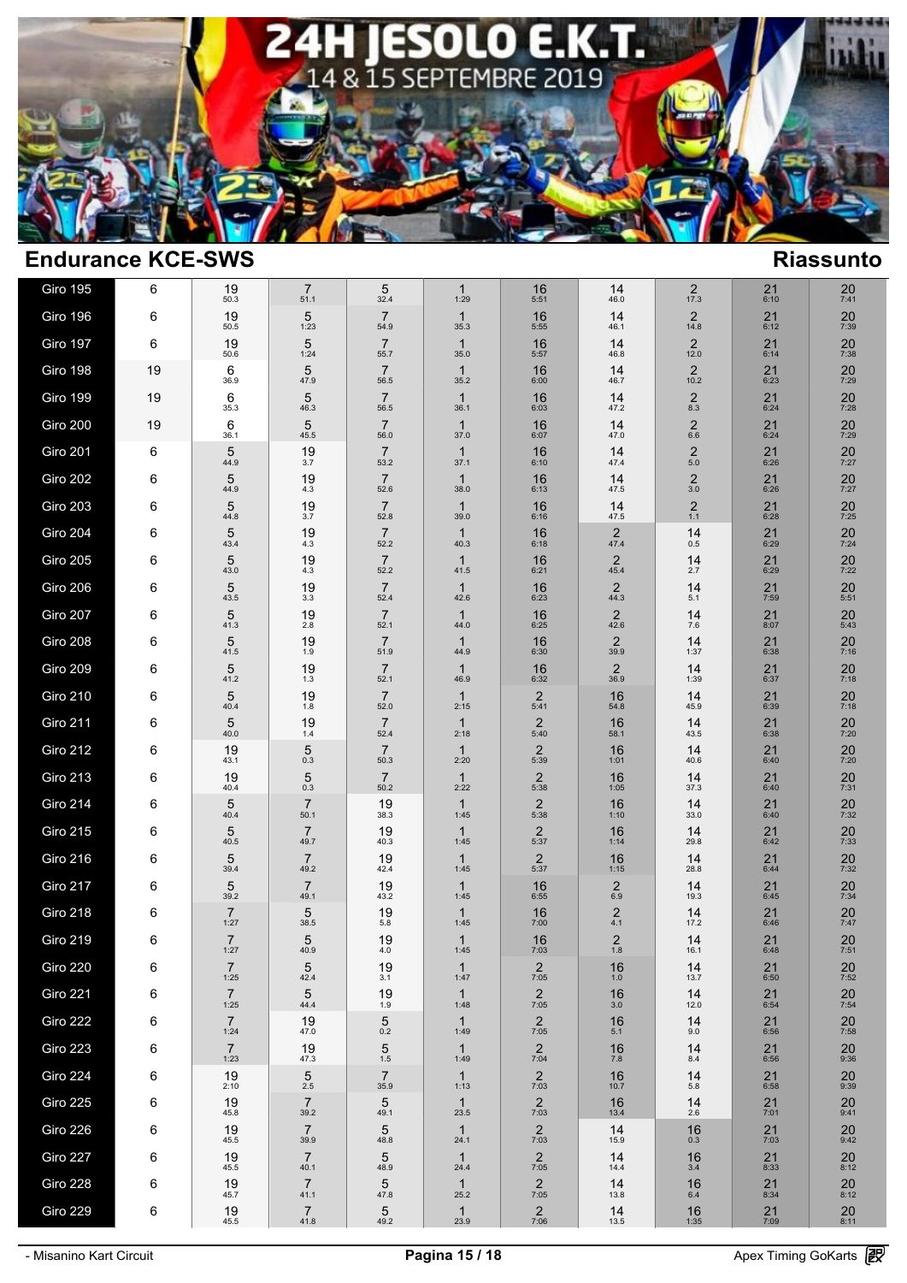

| <b>Giro 195</b> | 6  | 19<br>50.3             | 7<br>51.1              | 5<br>32.4              | $\mathbf{1}$<br>1:29 | 16<br>5:51             | 14<br>46.0             | $\overline{2}$<br>17.3          | 21<br>6:10        | 20<br>7:41           |
|-----------------|----|------------------------|------------------------|------------------------|----------------------|------------------------|------------------------|---------------------------------|-------------------|----------------------|
| Giro 196        | 6  | 19<br>50.5             | 5<br>1:23              | 7<br>54.9              | $\mathbf{1}$<br>35.3 | 16<br>5:55             | 14<br>46.1             | $\overline{2}$<br>14.8          | 21<br>6:12        | 20<br>7:39           |
| Giro 197        | 6  | 19<br>50.6             | 5<br>1:24              | $\overline{7}$<br>55.7 | $\mathbf{1}$<br>35.0 | 16<br>5:57             | 14<br>46.8             | $\overline{2}$<br>12.0          | 21<br>6:14        | 20<br>7:38           |
| Giro 198        | 19 | 6<br>36.9              | 5<br>47.9              | $\overline{7}$<br>56.5 | $\mathbf{1}$<br>35.2 | 16<br>6:00             | 14<br>46.7             | $\overline{\mathbf{c}}$<br>10.2 | 21<br>6:23        | $20$<br>7:29         |
| Giro 199        | 19 | 6<br>35.3              | 5<br>46.3              | $\overline{7}$<br>56.5 | $\mathbf{1}$<br>36.1 | 16<br>6:03             | 14<br>47.2             | $\overline{2}$<br>8.3           | 21<br>6:24        | 20<br>7:28           |
| Giro 200        | 19 | 6<br>36.1              | 5<br>45.5              | $\overline{7}$<br>56.0 | $\mathbf{1}$<br>37.0 | 16<br>6:07             | 14<br>47.0             | 2<br>6.6                        | 21<br>6:24        | 20<br>7:29           |
| Giro 201        | 6  | 5<br>44.9              | 19<br>3.7              | $\overline{7}$<br>53.2 | $\mathbf{1}$<br>37.1 | 16<br>6:10             | 14<br>47.4             | $\overline{2}$<br>$5.0\,$       | 21<br>6:26        | 20<br>7:27           |
| Giro 202        | 6  | 5<br>44.9              | 19<br>4.3              | $\overline{7}$<br>52.6 | $\mathbf{1}$<br>38.0 | 16<br>6:13             | 14<br>47.5             | $\overline{2}$<br>$3.0\,$       | 21<br>6:26        | 20<br>7:27           |
| Giro 203        | 6  | 5<br>44.8              | 19<br>3.7              | $\overline{7}$<br>52.8 | $\mathbf{1}$<br>39.0 | 16<br>6:16             | 14<br>47.5             | $\overline{2}$<br>$1.1$         | 21<br>6:28        | 20<br>7:25           |
| Giro 204        | 6  | 5<br>43.4              | 19<br>4.3              | $\overline{7}$<br>52.2 | $\mathbf{1}$<br>40.3 | 16<br>6:18             | 2<br>47.4              | 14<br>0.5                       | 21<br>6:29        | 20<br>7:24           |
| <b>Giro 205</b> | 6  | 5<br>43.0              | 19<br>4.3              | $\overline{7}$<br>52.2 | $\mathbf{1}$<br>41.5 | 16<br>6:21             | $\overline{2}$<br>45.4 | 14<br>2.7                       | 21<br>6:29        | $20$<br>7:22         |
| Giro 206        | 6  | 5<br>43.5              | 19<br>3.3              | $\overline{7}$<br>52.4 | $\mathbf{1}$<br>42.6 | 16<br>6:23             | $\overline{2}$<br>44.3 | 14<br>5.1                       | 21<br>7:59        | $20$ <sub>5:51</sub> |
| Giro 207        | 6  | 5<br>41.3              | 19<br>2.8              | $\overline{7}$<br>52.1 | $\mathbf{1}$<br>44.0 | 16<br>6:25             | $\overline{2}$<br>42.6 | 14<br>7.6                       | 21<br>8:07        | 20<br>5:43           |
| Giro 208        | 6  | 5<br>41.5              | 19<br>1.9              | $\overline{7}$<br>51.9 | $\mathbf{1}$<br>44.9 | 16<br>6:30             | $\overline{2}$<br>39.9 | 14<br>1:37                      | 21<br>6:38        | 20<br>7:16           |
| Giro 209        | 6  | 5<br>41.2              | 19<br>1.3              | $\overline{7}$<br>52.1 | $\mathbf{1}$<br>46.9 | 16<br>6:32             | $\overline{2}$<br>36.9 | 14<br>1:39                      | 21<br>6:37        | 20<br>7:18           |
| <b>Giro 210</b> | 6  | 5<br>40.4              | 19<br>1.8              | $\overline{7}$<br>52.0 | $\mathbf{1}$<br>2:15 | $\overline{2}$<br>5:41 | 16<br>54.8             | 14<br>45.9                      | 21<br>6:39        | 20<br>7:18           |
| <b>Giro 211</b> | 6  | 5<br>40.0              | 19<br>1.4              | $\overline{7}$<br>52.4 | $\mathbf{1}$<br>2:18 | $\overline{2}$<br>5:40 | 16<br>58.1             | 14<br>43.5                      | 21<br>6:38        | 20<br>7:20           |
| Giro 212        | 6  | 19<br>43.1             | 5<br>0.3               | $\overline{7}$<br>50.3 | $\mathbf{1}$<br>2:20 | $\overline{2}$<br>5:39 | 16<br>1:01             | 14<br>40.6                      | 21<br>6:40        | 20<br>7:20           |
| <b>Giro 213</b> | 6  | 19<br>40.4             | 5<br>0.3               | $\overline{7}$<br>50.2 | $\mathbf{1}$<br>2:22 | $\sqrt{2}$<br>5:38     | 16<br>1:05             | 14<br>37.3                      | 21<br>6:40        | 20<br>7:31           |
| Giro 214        | 6  | 5<br>40.4              | $\overline{7}$<br>50.1 | 19<br>38.3             | $\mathbf{1}$<br>1:45 | $\overline{2}$<br>5:38 | 16<br>1:10             | 14<br>33.0                      | 21<br>6:40        | 20<br>7:32           |
| Giro 215        | 6  | 5<br>40.5              | $\overline{7}$<br>49.7 | 19<br>40.3             | $\mathbf{1}$<br>1:45 | $\overline{2}$<br>5:37 | 16<br>1:14             | 14<br>29.8                      | 21<br>6:42        | 20<br>7:33           |
| Giro 216        | 6  | 5<br>39.4              | $\overline{7}$<br>49.2 | 19<br>42.4             | $\mathbf{1}$<br>1:45 | $\overline{2}$<br>5:37 | 16<br>1:15             | 14<br>28.8                      | 21<br>6:44        | 20<br>7:32           |
| Giro 217        | 6  | 5<br>39.2              | $\overline{7}$<br>49.1 | 19<br>43.2             | $\mathbf{1}$<br>1:45 | 16<br>6:55             | $\overline{c}$<br>6.9  | 14<br>19.3                      | 21<br>6:45        | 20<br>7:34           |
| Giro 218        | 6  | $\overline{7}$<br>1:27 | 5<br>38.5              | 19<br>5.8              | $\mathbf{1}$<br>1:45 | 16<br>7:00             | $\overline{2}$<br>4.1  | 14<br>17.2                      | 21<br>6:46        | 20<br>7:47           |
| <b>Giro 219</b> | 6  | $\overline{7}$<br>1:27 | 5<br>40.9              | 19<br>4.0              | $\mathbf{1}$<br>1:45 | 16<br>7:03             | $\overline{c}$<br>1.8  | 14<br>16.1                      | 21<br>6:48        | 20<br>7:51           |
| Giro 220        | 6  | $\overline{7}$<br>1:25 | 5<br>42.4              | 19<br>3.1              | $\mathbf{1}$<br>1:47 | $\overline{2}$<br>7:05 | 16<br>1.0              | 14<br>13.7                      | 21<br>6:50        | 20<br>7:52           |
| Giro 221        | 6  | $\overline{7}$<br>1:25 | 5<br>44.4              | 19<br>1.9              | $\mathbf{1}$<br>1:48 | $2$<br>7:05            | 16<br>3.0              | 14<br>12.0                      | $21$<br>6:54      | 20<br>7:54           |
| Giro 222        | 6  | $\overline{7}$<br>1:24 | 19<br>47.0             | 5<br>$0.2\,$           | $\mathbf{1}$<br>1:49 | $\overline{2}$<br>7:05 | 16<br>$5.1$            | 14<br>9.0                       | 21<br>6:56        | 20<br>7:58           |
| Giro 223        | 6  | $\overline{7}$<br>1:23 | 19<br>47.3             | 5<br>$1.5\,$           | $\mathbf{1}$<br>1:49 | $\overline{2}$<br>7:04 | 16<br>7.8              | 14<br>$8.4\,$                   | 21<br>6:56        | 20<br>9:36           |
| Giro 224        | 6  | 19<br>2:10             | $\frac{5}{2.5}$        | $\overline{7}$<br>35.9 | $\mathbf{1}$<br>1:13 | $\frac{2}{7:03}$       | 16<br>10.7             | 14<br>5.8                       | 21<br>6:58        | $20\,$<br>9:39       |
| <b>Giro 225</b> | 6  | 19<br>45.8             | $\overline{7}$<br>39.2 | 5<br>49.1              | $\mathbf{1}$<br>23.5 | $\frac{2}{7:03}$       | 16<br>13.4             | 14<br>2.6                       | $\frac{21}{7:01}$ | $20$ <sub>9:41</sub> |
| Giro 226        | 6  | 19<br>45.5             | $\overline{7}$<br>39.9 | 5<br>48.8              | $\mathbf{1}$<br>24.1 | $\frac{2}{7:03}$       | 14<br>15.9             | 16<br>0.3                       | 21<br>7:03        | 20<br>9:42           |
| Giro 227        | 6  | 19<br>45.5             | $\overline{7}$<br>40.1 | 5<br>48.9              | $\mathbf{1}$<br>24.4 | $\overline{c}$<br>7:05 | 14<br>14.4             | 16<br>$3.4$                     | 21<br>8:33        | $20\,$<br>8:12       |
| Giro 228        | 6  | 19<br>45.7             | $\overline{7}$<br>41.1 | 5<br>47.8              | $\mathbf{1}$<br>25.2 | $2$<br>7:05            | 14<br>13.8             | 16<br>6.4                       | 21<br>8:34        | $20$<br>$8:12$       |
| Giro 229        | 6  | $19\n45.5$             | $\frac{7}{41.8}$       | $\frac{5}{49.2}$       | $\frac{1}{23.9}$     | $\frac{2}{7:06}$       | 14<br>13.5             | $16$ <sub>1:35</sub>            | $21$<br>7:09      | $20$ <sub>8:11</sub> |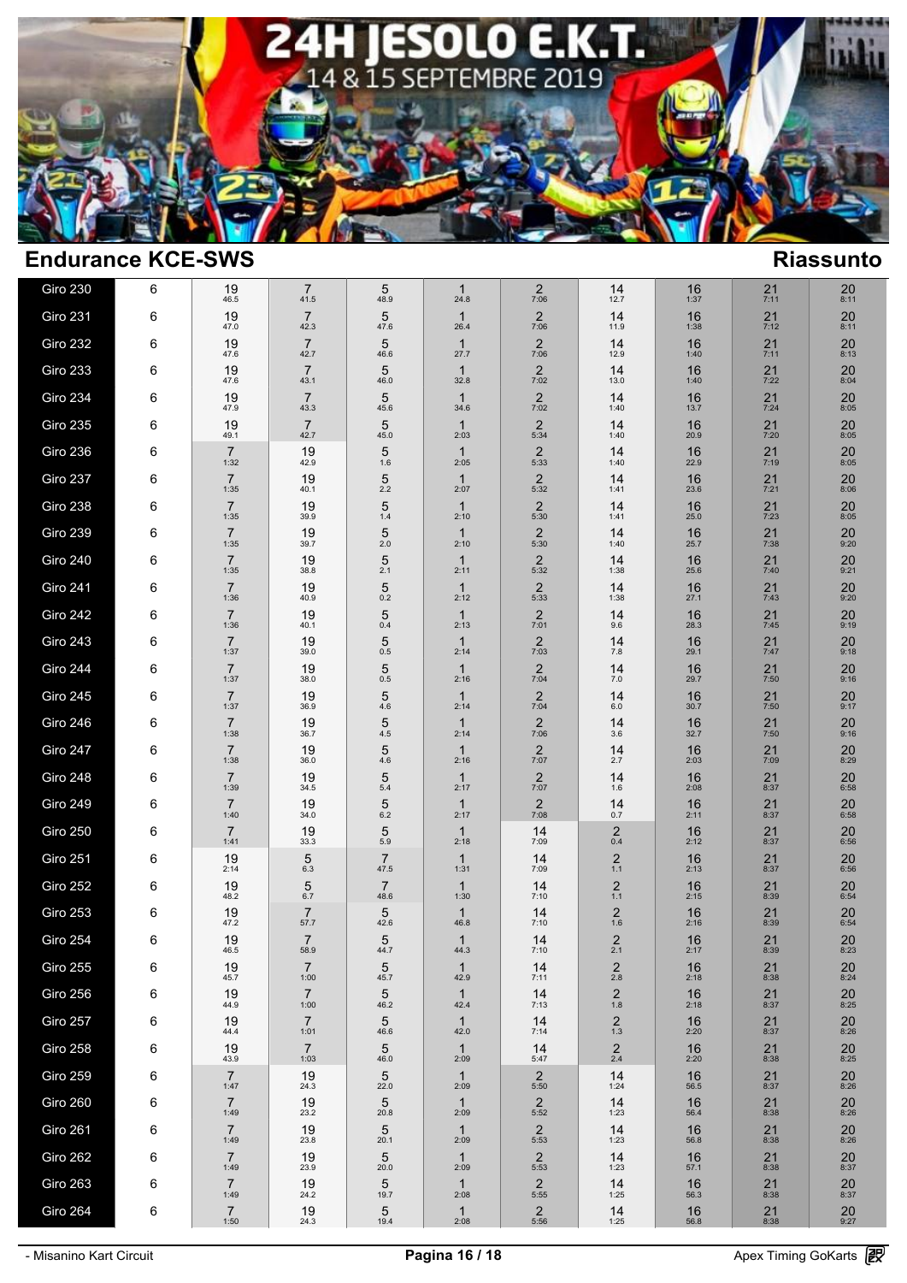

| <b>Giro 230</b> | 6 | 19<br>46.5             | $\overline{7}$<br>41.5 | 5<br>48.9              | $\mathbf{1}$<br>24.8 | 2<br>7:06              | 14<br>12.7                | 16<br>1:37           | 21<br>7:11   | 20<br>8:11           |
|-----------------|---|------------------------|------------------------|------------------------|----------------------|------------------------|---------------------------|----------------------|--------------|----------------------|
| Giro 231        | 6 | 19<br>47.0             | $\overline{7}$<br>42.3 | 5<br>47.6              | $\mathbf{1}$<br>26.4 | $\frac{2}{7:06}$       | 14<br>11.9                | 16<br>1:38           | $21$<br>7:12 | $20$ <sub>8:11</sub> |
| Giro 232        | 6 | 19<br>47.6             | $\overline{7}$<br>42.7 | 5<br>46.6              | $\mathbf{1}$<br>27.7 | $\overline{2}$<br>7:06 | 14<br>12.9                | 16<br>1:40           | 21<br>7:11   | 20<br>8:13           |
| <b>Giro 233</b> | 6 | 19<br>47.6             | $\overline{7}$<br>43.1 | 5<br>46.0              | $\mathbf{1}$<br>32.8 | $2$<br>7:02            | 14<br>13.0                | 16<br>1:40           | 21<br>7:22   | $20_{8:04}$          |
| <b>Giro 234</b> | 6 | 19<br>47.9             | $\overline{7}$<br>43.3 | 5<br>45.6              | $\mathbf{1}$<br>34.6 | $\overline{2}$<br>7:02 | 14<br>1:40                | 16<br>13.7           | 21<br>7:24   | 20<br>8:05           |
| <b>Giro 235</b> | 6 | 19<br>49.1             | $\overline{7}$<br>42.7 | 5<br>45.0              | $\mathbf{1}$<br>2:03 | $\frac{2}{5:34}$       | 14<br>1:40                | 16<br>20.9           | 21<br>7:20   | 20<br>8:05           |
| <b>Giro 236</b> | 6 | $\overline{7}$<br>1:32 | 19<br>42.9             | 5<br>1.6               | $\mathbf{1}$<br>2:05 | $\overline{2}$<br>5:33 | 14<br>1:40                | 16<br>22.9           | 21<br>7:19   | 20<br>8:05           |
| Giro 237        | 6 | $\overline{7}$<br>1:35 | 19<br>40.1             | 5<br>2.2               | $\mathbf{1}$<br>2:07 | $\sqrt{2}$<br>5:32     | 14<br>1:41                | 16<br>23.6           | 21<br>7:21   | 20<br>8:06           |
| Giro 238        | 6 | $\overline{7}$<br>1:35 | 19<br>39.9             | 5<br>$1.4$             | $\mathbf{1}$<br>2:10 | $\overline{2}$<br>5:30 | 14<br>1:41                | 16<br>25.0           | 21<br>7:23   | 20<br>8:05           |
| <b>Giro 239</b> | 6 | $\overline{7}$<br>1:35 | 19<br>39.7             | 5<br>2.0               | $\mathbf{1}$<br>2:10 | $2$ <sub>5:30</sub>    | 14<br>1:40                | 16<br>25.7           | 21<br>7:38   | $20$<br>9:20         |
| <b>Giro 240</b> | 6 | $\overline{7}$<br>1:35 | 19<br>38.8             | 5<br>2.1               | $\mathbf{1}$<br>2:11 | $\overline{2}$<br>5:32 | 14<br>1:38                | 16<br>25.6           | 21<br>7:40   | $20$ <sub>9:21</sub> |
| Giro 241        | 6 | $\overline{7}$<br>1:36 | 19<br>40.9             | 5<br>0.2               | $\mathbf{1}$<br>2:12 | $\overline{2}$<br>5:33 | 14<br>1:38                | 16<br>27.1           | 21<br>7:43   | 20<br>9:20           |
| Giro 242        | 6 | $\overline{7}$<br>1:36 | 19<br>40.1             | 5<br>0.4               | $\mathbf{1}$<br>2:13 | $\frac{2}{7:01}$       | 14<br>9.6                 | 16<br>28.3           | 21<br>7:45   | 20<br>9:19           |
| Giro 243        | 6 | $\overline{7}$<br>1:37 | 19<br>39.0             | 5<br>0.5               | $\mathbf{1}$<br>2:14 | $\overline{2}$<br>7:03 | 14<br>7.8                 | 16<br>29.1           | 21<br>7:47   | 20<br>9:18           |
| Giro 244        | 6 | $\overline{7}$<br>1:37 | 19<br>38.0             | 5<br>$0.5\,$           | $\mathbf{1}$<br>2:16 | $\frac{2}{7:04}$       | 14<br>$7.0$               | 16<br>29.7           | 21<br>7:50   | 20<br>9:16           |
| Giro 245        | 6 | $\overline{7}$<br>1:37 | 19<br>36.9             | 5<br>4.6               | $\mathbf{1}$<br>2:14 | $\sqrt{2}$<br>7:04     | 14<br>$6.0\,$             | 16<br>30.7           | 21<br>7:50   | 20<br>9:17           |
| Giro 246        | 6 | $\overline{7}$<br>1:38 | 19<br>36.7             | 5<br>4.5               | $\mathbf{1}$<br>2:14 | $\frac{2}{7:06}$       | 14<br>3.6                 | 16<br>32.7           | 21<br>7:50   | 20<br>9:16           |
| Giro 247        | 6 | $\overline{7}$<br>1:38 | 19<br>36.0             | 5<br>4.6               | $\mathbf{1}$<br>2:16 | $\overline{2}$<br>7:07 | 14<br>2.7                 | 16<br>2:03           | 21<br>7:09   | 20<br>8:29           |
| Giro 248        | 6 | $\overline{7}$<br>1:39 | 19<br>34.5             | 5<br>5.4               | $\mathbf{1}$<br>2:17 | $\overline{2}$<br>7:07 | 14<br>1.6                 | 16<br>2:08           | 21<br>8:37   | 20<br>6:58           |
| Giro 249        | 6 | $\overline{7}$<br>1:40 | 19<br>34.0             | 5<br>6.2               | $\mathbf{1}$<br>2:17 | $\overline{2}$<br>7:08 | 14<br>0.7                 | 16<br>2:11           | 21<br>8:37   | 20<br>6:58           |
| <b>Giro 250</b> | 6 | $\overline{7}$<br>1:41 | 19<br>33.3             | 5<br>5.9               | $\mathbf{1}$<br>2:18 | 14<br>7:09             | $\overline{c}$<br>0.4     | 16<br>2:12           | 21<br>8:37   | 20<br>6:56           |
| <b>Giro 251</b> | 6 | 19<br>2:14             | 5<br>6.3               | $\overline{7}$<br>47.5 | $\mathbf{1}$<br>1:31 | 14<br>7:09             | $\overline{c}$<br>$1.1$   | 16<br>2:13           | 21<br>8:37   | 20<br>6:56           |
| Giro 252        | 6 | 19<br>48.2             | 5<br>6.7               | $\overline{7}$<br>48.6 | $\mathbf{1}$<br>1:30 | 14<br>7:10             | $\overline{2}$<br>$1.1$   | 16<br>2:15           | 21<br>8:39   | 20<br>6:54           |
| <b>Giro 253</b> | 6 | 19<br>47.2             | $\overline{7}$<br>57.7 | 5<br>42.6              | $\mathbf{1}$<br>46.8 | 14<br>7:10             | 2<br>$1.6$                | 16<br>2:16           | 21<br>8:39   | 20<br>6:54           |
| <b>Giro 254</b> | 6 | 19<br>46.5             | $\overline{7}$<br>58.9 | $\sqrt{5}$<br>44.7     | $\mathbf{1}$<br>44.3 | 14<br>7:10             | $\overline{c}$<br>2.1     | 16<br>2:17           | $21$<br>8:39 | $20$<br>$8:23$       |
| Giro 255        | 6 | 19<br>45.7             | $\overline{7}$<br>1:00 | 5<br>45.7              | 1<br>42.9            | 14<br>7:11             | $\overline{c}$<br>$2.8\,$ | 16<br>2:18           | 21<br>8:38   | 20<br>8:24           |
| Giro 256        | 6 | 19<br>44.9             | $\overline{7}$<br>1:00 | 5<br>46.2              | $\mathbf{1}$<br>42.4 | 14<br>7:13             | $\frac{2}{1.8}$           | 16<br>2:18           | $21$<br>8:37 | $20_{8:25}$          |
| Giro 257        | 6 | 19<br>44.4             | $\overline{7}$<br>1:01 | 5<br>46.6              | $\mathbf{1}$<br>42.0 | 14<br>7:14             | $\frac{2}{1.3}$           | 16<br>2:20           | 21<br>8:37   | 20<br>8:26           |
| Giro 258        | 6 | 19<br>43.9             | $\overline{7}$<br>1:03 | 5<br>46.0              | $\mathbf{1}$<br>2:09 | 14<br>5:47             | $^{2}_{2.4}$              | 16<br>2:20           | $21_{8:38}$  | $20_{8:25}$          |
| Giro 259        | 6 | $\overline{7}$<br>1:47 | 19<br>24.3             | 5<br>22.0              | $\mathbf{1}$<br>2:09 | $\overline{2}$<br>5:50 | 14<br>1:24                | 16<br>56.5           | 21<br>8:37   | $20\,$<br>8:26       |
| Giro 260        | 6 | $\overline{7}$<br>1:49 | 19<br>23.2             | 5<br>20.8              | $\mathbf{1}$<br>2:09 | $\overline{c}$<br>5:52 | 14<br>1:23                | 16<br>56.4           | 21<br>8:38   | 20<br>8:26           |
| Giro 261        | 6 | $\overline{7}$<br>1:49 | 19<br>23.8             | $\overline{5}$<br>20.1 | $\mathbf{1}$<br>2:09 | $\frac{2}{5:53}$       | 14<br>1:23                | 16<br>56.8           | 21<br>8:38   | $20_{8:26}$          |
| Giro 262        | 6 | $\overline{7}$<br>1:49 | 19<br>23.9             | 5<br>20.0              | $\mathbf{1}$<br>2:09 | $\frac{2}{5:53}$       | 14<br>1:23                | 16<br>57.1           | 218.38       | $20_{8:37}$          |
| Giro 263        | 6 | $\overline{7}$<br>1:49 | 19<br>24.2             | 5<br>19.7              | $\mathbf{1}$<br>2:08 | $\frac{2}{5:55}$       | 14<br>1:25                | 16<br>56.3           | $21_{8:38}$  | $20_{8:37}$          |
| Giro 264        | 6 | $\overline{7}$<br>1:50 | $19_{24.3}$            | $\frac{5}{19.4}$       | $\mathbf{1}$<br>2:08 | $\frac{2}{5:56}$       | $14$<br>1:25              | $16$ <sub>56.8</sub> | $21$<br>8:38 | $20$<br>9:27         |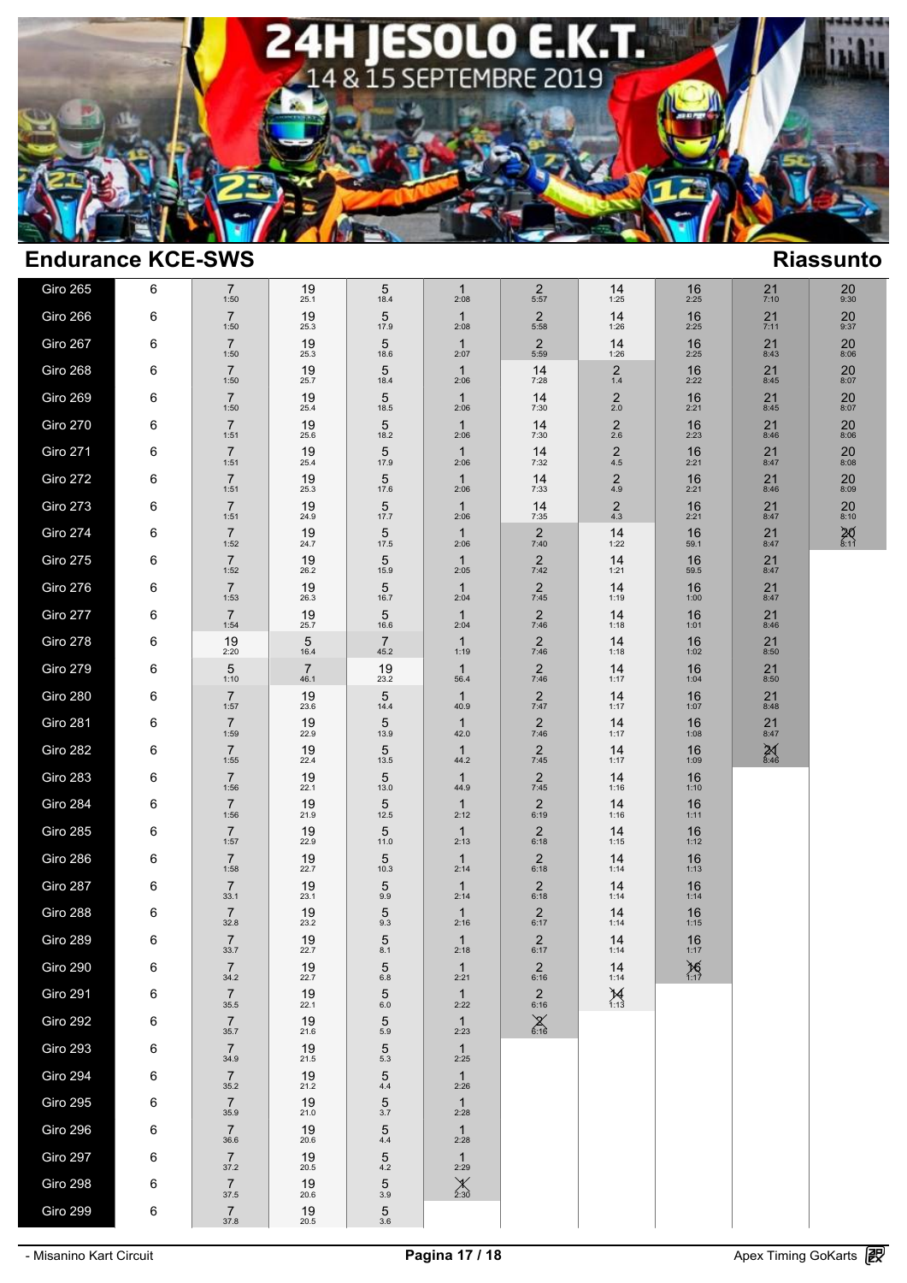

| Giro 265        | 6 | $\overline{7}$<br>1:50 | 19<br>25.1             | 5<br>18.4              | 1<br>2:08              | 2<br>5:57                | 14<br>1:25                | 16<br>2:25    | 21<br>7:10        | 20<br>9:30           |  |
|-----------------|---|------------------------|------------------------|------------------------|------------------------|--------------------------|---------------------------|---------------|-------------------|----------------------|--|
| Giro 266        | 6 | $\overline{7}$<br>1:50 | 19<br>25.3             | 5<br>17.9              | $\mathbf{1}$<br>2:08   | $\frac{2}{5:58}$         | 14<br>1:26                | 16<br>2:25    | $21$<br>7:11      | $20$<br>9:37         |  |
| Giro 267        | 6 | $\overline{7}$<br>1:50 | 19<br>25.3             | 5<br>18.6              | $\mathbf{1}$<br>2:07   | 2<br>5:59                | 14<br>1:26                | 16<br>2:25    | 21<br>8:43        | 20<br>8:06           |  |
| Giro 268        | 6 | $\overline{7}$<br>1:50 | 19<br>25.7             | 5<br>18.4              | $\mathbf{1}$<br>2:06   | 14<br>7:28               | $\overline{c}$<br>$1.4$   | 16<br>2:22    | 21<br>8:45        | 20<br>8:07           |  |
| Giro 269        | 6 | $\overline{7}$<br>1:50 | 19<br>25.4             | 5<br>18.5              | $\mathbf{1}$<br>2:06   | 14<br>7:30               | $\overline{2}$<br>2.0     | 16<br>2:21    | 21<br>8:45        | 20<br>8:07           |  |
| <b>Giro 270</b> | 6 | $\overline{7}$<br>1:51 | 19<br>25.6             | 5<br>18.2              | $\mathbf{1}$<br>2:06   | 14<br>7:30               | $\overline{c}$<br>$2.6\,$ | 16<br>2:23    | 21<br>8:46        | 20<br>8:06           |  |
| Giro 271        | 6 | $\overline{7}$<br>1:51 | 19<br>25.4             | 5<br>17.9              | $\mathbf{1}$<br>2:06   | 14<br>7:32               | $\overline{c}$<br>$4.5\,$ | 16<br>2:21    | 21<br>8:47        | 20<br>8:08           |  |
| Giro 272        | 6 | $\overline{7}$<br>1:51 | 19<br>25.3             | 5<br>17.6              | $\mathbf{1}$<br>2:06   | 14<br>7:33               | 2<br>4.9                  | 16<br>2:21    | 21<br>8:46        | 20<br>8:09           |  |
| Giro 273        | 6 | $\overline{7}$<br>1:51 | 19<br>24.9             | 5<br>17.7              | $\mathbf{1}$<br>2:06   | 14<br>7:35               | $\overline{2}$<br>4.3     | 16<br>2:21    | 21<br>8:47        | 20<br>8:10           |  |
| Giro 274        | 6 | $\overline{7}$<br>1:52 | 19<br>24.7             | 5<br>17.5              | $\mathbf{1}$<br>2:06   | $\frac{2}{7:40}$         | 14<br>1:22                | 16<br>59.1    | 21<br>8:47        | $20$ <sub>8:11</sub> |  |
| Giro 275        | 6 | $\overline{7}$<br>1:52 | 19<br>26.2             | 5<br>15.9              | $\mathbf{1}$<br>2:05   | $\frac{2}{7:42}$         | 14<br>1:21                | 16<br>59.5    | 21<br>8:47        |                      |  |
| Giro 276        | 6 | $\overline{7}$<br>1:53 | 19<br>26.3             | 5<br>16.7              | $\mathbf{1}$<br>2:04   | $\frac{2}{7:45}$         | 14<br>1:19                | 16<br>1:00    | $21$<br>8:47      |                      |  |
| Giro 277        | 6 | $\overline{7}$<br>1:54 | 19<br>25.7             | 5<br>16.6              | $\mathbf{1}$<br>2:04   | $\overline{2}$<br>7:46   | 14<br>1:18                | 16<br>1:01    | 21<br>8:46        |                      |  |
| Giro 278        | 6 | 19<br>2:20             | 5<br>16.4              | 7<br>45.2              | $\mathbf{1}$<br>1:19   | $\overline{2}$<br>7:46   | 14<br>1:18                | 16<br>1:02    | 21<br>8:50        |                      |  |
| Giro 279        | 6 | 5<br>1:10              | $\overline{7}$<br>46.1 | 19<br>23.2             | $\mathbf{1}$<br>56.4   | $\overline{2}$<br>7:46   | 14<br>1:17                | 16<br>1:04    | 21<br>8:50        |                      |  |
| Giro 280        | 6 | $\overline{7}$<br>1:57 | 19<br>23.6             | 5<br>14.4              | $\mathbf{1}$<br>40.9   | $\overline{a}$<br>7:47   | 14<br>1:17                | 16<br>1:07    | 21<br>8:48        |                      |  |
| Giro 281        | 6 | $\overline{7}$<br>1:59 | 19<br>22.9             | 5<br>13.9              | $\mathbf{1}$<br>42.0   | $\frac{2}{7:46}$         | 14<br>1:17                | 16<br>1:08    | $21$<br>$8:47$    |                      |  |
| Giro 282        | 6 | $\overline{7}$<br>1:55 | 19<br>22.4             | 5<br>13.5              | $\mathbf{1}$<br>44.2   | $\overline{c}$<br>7:45   | 14<br>1:17                | 16<br>1:09    | $\frac{25}{8.46}$ |                      |  |
| Giro 283        | 6 | $\overline{7}$<br>1:56 | 19<br>22.1             | 5<br>13.0              | $\mathbf{1}$<br>44.9   | $\overline{c}$<br>7:45   | 14<br>1:16                | 16<br>1:10    |                   |                      |  |
| Giro 284        | 6 | $\overline{7}$<br>1:56 | 19<br>21.9             | 5<br>12.5              | $\mathbf{1}$<br>2:12   | $\overline{2}$<br>6:19   | 14<br>1:16                | 16<br>1:11    |                   |                      |  |
| Giro 285        | 6 | $\overline{7}$<br>1:57 | 19<br>22.9             | 5<br>11.0              | $\mathbf{1}$<br>2:13   | $\boldsymbol{2}$<br>6:18 | 14<br>1:15                | 16<br>1:12    |                   |                      |  |
| Giro 286        | 6 | $\overline{7}$<br>1:58 | 19<br>22.7             | 5<br>10.3              | $\mathbf{1}$<br>2:14   | $\overline{c}$<br>6:18   | 14<br>1:14                | 16<br>1:13    |                   |                      |  |
| Giro 287        | 6 | $\overline{7}$<br>33.1 | 19<br>23.1             | 5<br>9.9               | $\mathbf{1}$<br>2:14   | $\overline{2}$<br>6:18   | 14<br>1:14                | 16<br>1:14    |                   |                      |  |
| Giro 288        | 6 | $\overline{7}$<br>32.8 | 19<br>23.2             | 5<br>9.3               | $\mathbf{1}$<br>2:16   | $\sqrt{2}$<br>6:17       | 14<br>1:14                | 16<br>1:15    |                   |                      |  |
| Giro 289        | 6 | $\overline{7}$<br>33.7 | 19<br>22.7             | 5<br>8.1               | $\mathbf{1}$<br>2:18   | $^{2}_{6:17}$            | 14<br>1:14                | 16<br>1:17    |                   |                      |  |
| Giro 290        | 6 | $\overline{7}$<br>34.2 | 19<br>22.7             | 5<br>$6.8\,$           | $\mathbf{1}$<br>2:21   | $\overline{2}$<br>6:16   | 14<br>1:14                | $\chi_{1:17}$ |                   |                      |  |
| Giro 291        | 6 | $\overline{7}$<br>35.5 | 19<br>22.1             | $\sqrt{5}$<br>$6.0\,$  | $\mathbf{1}$<br>2:22   | $\frac{2}{6:16}$         | $\cancel{14}_{1:13}$      |               |                   |                      |  |
| Giro 292        | 6 | $\overline{7}$<br>35.7 | 19<br>21.6             | $\sqrt{5}$<br>$5.9\,$  | $\mathbf{1}$<br>2:23   | $X_{6:16}$               |                           |               |                   |                      |  |
| Giro 293        | 6 | $\overline{7}$<br>34.9 | 19<br>21.5             | $\mathbf 5$<br>$5.3\,$ | $\mathbf{1}$<br>2:25   |                          |                           |               |                   |                      |  |
| Giro 294        | 6 | $\overline{7}$<br>35.2 | 19<br>21.2             | $\mathbf 5$<br>$4.4\,$ | $\mathbf{1}$<br>2:26   |                          |                           |               |                   |                      |  |
| Giro 295        | 6 | $\overline{7}$<br>35.9 | 19<br>21.0             | $\mathbf 5$<br>$3.7\,$ | $\mathbf{1}$<br>2:28   |                          |                           |               |                   |                      |  |
| Giro 296        | 6 | $\overline{7}$<br>36.6 | 19<br>20.6             | $\mathbf 5$<br>$4.4\,$ | $\mathbf{1}$<br>2:28   |                          |                           |               |                   |                      |  |
| Giro 297        | 6 | $\overline{7}$<br>37.2 | 19<br>20.5             | $\frac{5}{4.2}$        | $\mathbf{1}$<br>2:29   |                          |                           |               |                   |                      |  |
| Giro 298        | 6 | $\overline{7}$<br>37.5 | 19<br>20.6             | 5<br>3.9               | $\chi$ <sub>2:30</sub> |                          |                           |               |                   |                      |  |
| Giro 299        | 6 | $\overline{7}$<br>37.8 | $19_{20.5}$            | $\frac{5}{3.6}$        |                        |                          |                           |               |                   |                      |  |